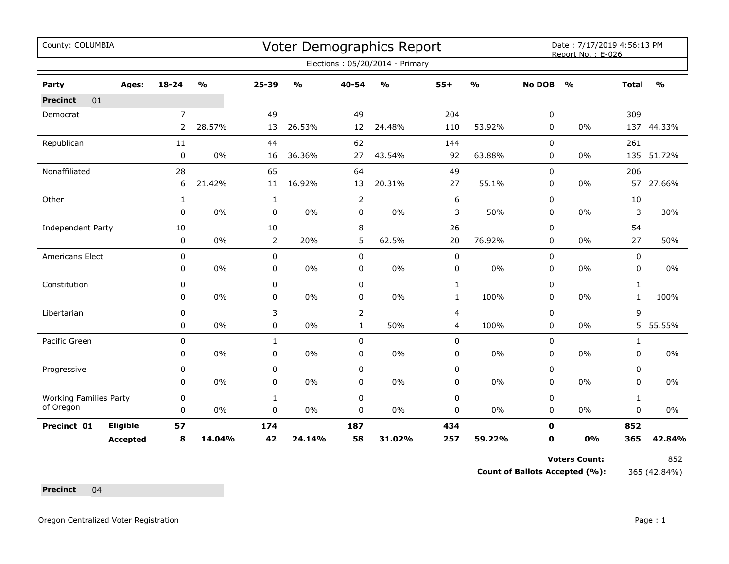| County: COLUMBIA              |                 |                |               |                |               |                | <b>Voter Demographics Report</b> |                |               |               | Date: 7/17/2019 4:56:13 PM<br>Report No.: E-026 |              |               |
|-------------------------------|-----------------|----------------|---------------|----------------|---------------|----------------|----------------------------------|----------------|---------------|---------------|-------------------------------------------------|--------------|---------------|
|                               |                 |                |               |                |               |                | Elections: 05/20/2014 - Primary  |                |               |               |                                                 |              |               |
| Party                         | Ages:           | $18 - 24$      | $\frac{0}{0}$ | 25-39          | $\frac{0}{0}$ | 40-54          | $\frac{1}{2}$                    | $55+$          | $\frac{1}{2}$ | <b>No DOB</b> | $\frac{1}{2}$                                   | <b>Total</b> | $\frac{1}{2}$ |
| 01<br><b>Precinct</b>         |                 |                |               |                |               |                |                                  |                |               |               |                                                 |              |               |
| Democrat                      |                 | $\overline{7}$ |               | 49             |               | 49             |                                  | 204            |               | 0             |                                                 | 309          |               |
|                               |                 | $\overline{2}$ | 28.57%        | 13             | 26.53%        | 12             | 24.48%                           | 110            | 53.92%        | 0             | 0%                                              |              | 137 44.33%    |
| Republican                    |                 | 11             |               | 44             |               | 62             |                                  | 144            |               | 0             |                                                 | 261          |               |
|                               |                 | $\pmb{0}$      | 0%            | 16             | 36.36%        | 27             | 43.54%                           | 92             | 63.88%        | 0             | 0%                                              |              | 135 51.72%    |
| Nonaffiliated                 |                 | 28             |               | 65             |               | 64             |                                  | 49             |               | 0             |                                                 | 206          |               |
|                               |                 | 6              | 21.42%        | 11             | 16.92%        | 13             | 20.31%                           | 27             | 55.1%         | 0             | 0%                                              | 57           | 27.66%        |
| Other                         |                 | $\mathbf{1}$   |               | $\mathbf{1}$   |               | $\overline{2}$ |                                  | 6              |               | $\mathbf 0$   |                                                 | 10           |               |
|                               |                 | $\mathbf 0$    | $0\%$         | 0              | $0\%$         | 0              | $0\%$                            | 3              | 50%           | 0             | $0\%$                                           | 3            | 30%           |
| Independent Party             |                 | 10             |               | 10             |               | 8              |                                  | 26             |               | 0             |                                                 | 54           |               |
|                               |                 | 0              | 0%            | $\overline{2}$ | 20%           | 5              | 62.5%                            | 20             | 76.92%        | 0             | 0%                                              | 27           | 50%           |
| Americans Elect               |                 | $\pmb{0}$      |               | 0              |               | $\pmb{0}$      |                                  | $\mathbf 0$    |               | 0             |                                                 | 0            |               |
|                               |                 | 0              | $0\%$         | 0              | $0\%$         | 0              | $0\%$                            | 0              | $0\%$         | 0             | 0%                                              | 0            | 0%            |
| Constitution                  |                 | 0              |               | 0              |               | $\pmb{0}$      |                                  | $\mathbf{1}$   |               | 0             |                                                 | $\mathbf{1}$ |               |
|                               |                 | 0              | 0%            | 0              | 0%            | 0              | 0%                               | $\mathbf{1}$   | 100%          | 0             | 0%                                              | $\mathbf{1}$ | 100%          |
| Libertarian                   |                 | 0              |               | 3              |               | 2              |                                  | $\overline{4}$ |               | 0             |                                                 | 9            |               |
|                               |                 | 0              | 0%            | $\mathbf 0$    | $0\%$         | $\mathbf{1}$   | 50%                              | 4              | 100%          | $\mathbf 0$   | 0%                                              | 5            | 55.55%        |
| Pacific Green                 |                 | $\mathbf 0$    |               | $\mathbf{1}$   |               | $\mathbf 0$    |                                  | $\pmb{0}$      |               | 0             |                                                 | $\mathbf{1}$ |               |
|                               |                 | 0              | 0%            | 0              | $0\%$         | $\mathbf 0$    | $0\%$                            | $\pmb{0}$      | $0\%$         | 0             | 0%                                              | 0            | 0%            |
| Progressive                   |                 | $\mathbf 0$    |               | 0              |               | $\mathbf 0$    |                                  | $\pmb{0}$      |               | $\mathbf 0$   |                                                 | 0            |               |
|                               |                 | 0              | $0\%$         | 0              | 0%            | $\pmb{0}$      | $0\%$                            | $\pmb{0}$      | $0\%$         | 0             | 0%                                              | 0            | 0%            |
| <b>Working Families Party</b> |                 | $\pmb{0}$      |               | $\mathbf{1}$   |               | $\pmb{0}$      |                                  | $\pmb{0}$      |               | $\mathbf 0$   |                                                 | $\mathbf{1}$ |               |
| of Oregon                     |                 | 0              | $0\%$         | 0              | 0%            | 0              | $0\%$                            | 0              | $0\%$         | 0             | 0%                                              | 0            | 0%            |
| Precinct 01                   | Eligible        | 57             |               | 174            |               | 187            |                                  | 434            |               | $\mathbf 0$   |                                                 | 852          |               |
|                               | <b>Accepted</b> | 8              | 14.04%        | 42             | 24.14%        | 58             | 31.02%                           | 257            | 59.22%        | 0             | 0%                                              | 365          | 42.84%        |

Voters Count: 852

**Count of Ballots Accepted (%):** 365 (42.84%)

**Precinct** 04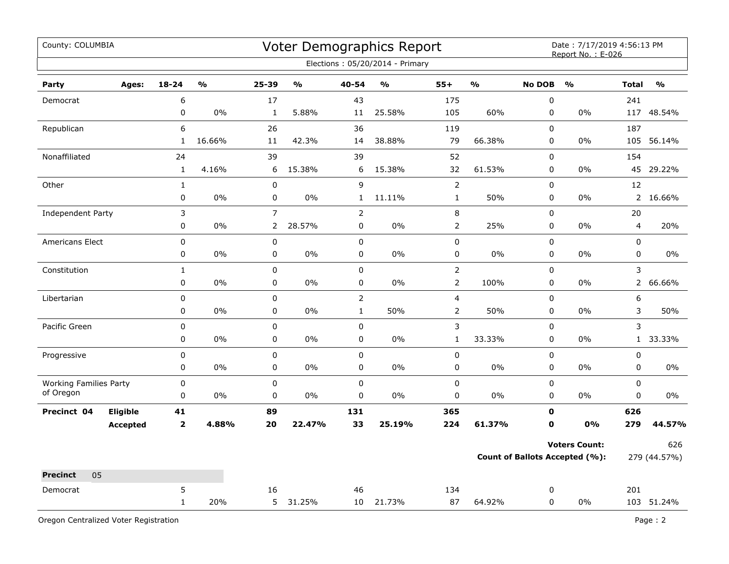| County: COLUMBIA                           |                 |              |               |                |               |                | Voter Demographics Report       |                |               |               | Date: 7/17/2019 4:56:13 PM<br>Report No.: E-026 |                         |               |
|--------------------------------------------|-----------------|--------------|---------------|----------------|---------------|----------------|---------------------------------|----------------|---------------|---------------|-------------------------------------------------|-------------------------|---------------|
|                                            |                 |              |               |                |               |                | Elections: 05/20/2014 - Primary |                |               |               |                                                 |                         |               |
| Party                                      | Ages:           | $18 - 24$    | $\frac{0}{0}$ | 25-39          | $\frac{1}{2}$ | 40-54          | $\frac{0}{0}$                   | $55+$          | $\frac{1}{2}$ | <b>No DOB</b> | $\frac{1}{2}$                                   | <b>Total</b>            | $\frac{0}{0}$ |
| Democrat                                   |                 | 6            |               | 17             |               | 43             |                                 | 175            |               | $\mathsf 0$   |                                                 | 241                     |               |
|                                            |                 | $\mathsf 0$  | $0\%$         | $\mathbf{1}$   | 5.88%         | 11             | 25.58%                          | 105            | 60%           | 0             | $0\%$                                           | 117                     | 48.54%        |
| Republican                                 |                 | 6            |               | 26             |               | 36             |                                 | 119            |               | $\pmb{0}$     |                                                 | 187                     |               |
|                                            |                 | 1            | 16.66%        | 11             | 42.3%         | 14             | 38.88%                          | 79             | 66.38%        | 0             | 0%                                              | 105                     | 56.14%        |
| Nonaffiliated                              |                 | 24           |               | 39             |               | 39             |                                 | 52             |               | $\mathbf 0$   |                                                 | 154                     |               |
|                                            |                 | $\mathbf{1}$ | 4.16%         | 6              | 15.38%        | 6              | 15.38%                          | 32             | 61.53%        | 0             | 0%                                              | 45                      | 29.22%        |
| Other                                      |                 | $\mathbf{1}$ |               | $\mathbf 0$    |               | 9              |                                 | $\overline{2}$ |               | $\mathbf 0$   |                                                 | 12                      |               |
|                                            |                 | 0            | $0\%$         | 0              | $0\%$         | $\mathbf{1}$   | 11.11%                          | $\mathbf{1}$   | 50%           | 0             | $0\%$                                           |                         | 2 16.66%      |
| Independent Party                          |                 | 3            |               | $\overline{7}$ |               | $\overline{2}$ |                                 | 8              |               | 0             |                                                 | 20                      |               |
|                                            |                 | 0            | $0\%$         | $\overline{2}$ | 28.57%        | 0              | $0\%$                           | $\overline{2}$ | 25%           | 0             | 0%                                              | $\overline{\mathbf{4}}$ | 20%           |
| Americans Elect                            |                 | 0            |               | $\pmb{0}$      |               | 0              |                                 | 0              |               | 0             |                                                 | 0                       |               |
|                                            |                 | 0            | 0%            | $\pmb{0}$      | 0%            | 0              | 0%                              | 0              | 0%            | 0             | 0%                                              | 0                       | 0%            |
| Constitution                               |                 | $\mathbf{1}$ |               | $\pmb{0}$      |               | 0              |                                 | $\overline{2}$ |               | 0             |                                                 | 3                       |               |
|                                            |                 | 0            | 0%            | $\pmb{0}$      | $0\%$         | 0              | 0%                              | $\overline{2}$ | 100%          | 0             | 0%                                              | $\overline{2}$          | 66.66%        |
| Libertarian                                |                 | $\pmb{0}$    |               | $\mathsf 0$    |               | $\overline{2}$ |                                 | 4              |               | $\pmb{0}$     |                                                 | 6                       |               |
|                                            |                 | 0            | $0\%$         | $\pmb{0}$      | 0%            | $\mathbf{1}$   | 50%                             | $\overline{2}$ | 50%           | 0             | 0%                                              | 3                       | 50%           |
| Pacific Green                              |                 | $\pmb{0}$    |               | $\mathbf 0$    |               | 0              |                                 | 3              |               | 0             |                                                 | 3                       |               |
|                                            |                 | 0            | 0%            | $\mathsf 0$    | 0%            | $\mathbf 0$    | 0%                              | $\mathbf{1}$   | 33.33%        | 0             | 0%                                              |                         | 1 33.33%      |
| Progressive                                |                 | $\pmb{0}$    |               | $\pmb{0}$      |               | 0              |                                 | 0              |               | $\pmb{0}$     |                                                 | $\pmb{0}$               |               |
|                                            |                 | $\pmb{0}$    | 0%            | $\mathsf 0$    | 0%            | 0              | 0%                              | 0              | 0%            | 0             | $0\%$                                           | 0                       | 0%            |
| <b>Working Families Party</b><br>of Oregon |                 | 0            |               | $\mathbf 0$    |               | $\mathsf 0$    |                                 | 0              |               | $\mathbf 0$   |                                                 | $\mathbf 0$             |               |
|                                            |                 | 0            | 0%            | $\mathbf 0$    | $0\%$         | $\mathbf 0$    | 0%                              | 0              | $0\%$         | 0             | 0%                                              | $\mathbf 0$             | $0\%$         |
| Precinct 04                                | Eligible        | 41           |               | 89             |               | 131            |                                 | 365            |               | $\mathbf 0$   |                                                 | 626                     |               |
|                                            | <b>Accepted</b> | $\mathbf{2}$ | 4.88%         | 20             | 22.47%        | 33             | 25.19%                          | 224            | 61.37%        | $\mathbf{0}$  | 0%                                              | 279                     | 44.57%        |
|                                            |                 |              |               |                |               |                |                                 |                |               |               | <b>Voters Count:</b>                            |                         | 626           |
|                                            |                 |              |               |                |               |                |                                 |                |               |               | <b>Count of Ballots Accepted (%):</b>           |                         | 279 (44.57%)  |
| 05<br><b>Precinct</b>                      |                 |              |               |                |               |                |                                 |                |               |               |                                                 |                         |               |
| Democrat                                   |                 | 5            |               | 16             |               | 46             |                                 | 134            |               | 0             |                                                 | 201                     |               |
|                                            |                 | $\mathbf{1}$ | 20%           |                | 5 31.25%      | 10             | 21.73%                          | 87             | 64.92%        | 0             | 0%                                              |                         | 103 51.24%    |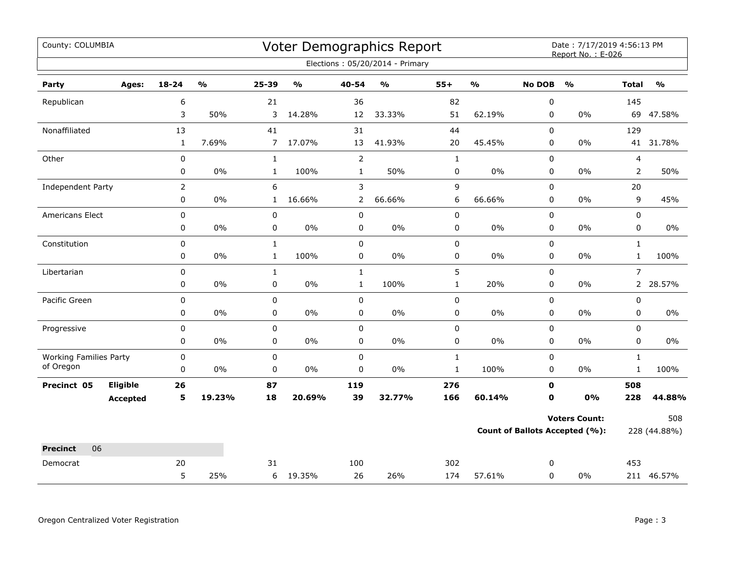| County: COLUMBIA              |                 |                |                         |                |        |                | Voter Demographics Report         |                |                         |               | Date: 7/17/2019 4:56:13 PM<br>Report No.: E-026 |                |                         |
|-------------------------------|-----------------|----------------|-------------------------|----------------|--------|----------------|-----------------------------------|----------------|-------------------------|---------------|-------------------------------------------------|----------------|-------------------------|
|                               |                 |                |                         |                |        |                | Elections: 05/20/2014 - Primary   |                |                         |               |                                                 |                |                         |
| Party                         | Ages:           | $18 - 24$      | $\mathbf{O}/\mathbf{O}$ | 25-39          | %      | 40-54          | $\mathsf{o}\mathsf{v}_\mathsf{o}$ | $55+$          | $\mathbf{O}/\mathbf{o}$ | <b>No DOB</b> | $\mathbf{O}/\mathbf{o}$                         | <b>Total</b>   | $\mathbf{O}/\mathbf{o}$ |
| Republican                    |                 | 6              |                         | 21             |        | 36             |                                   | 82             |                         | 0             |                                                 | 145            |                         |
|                               |                 | 3              | 50%                     | 3              | 14.28% | 12             | 33.33%                            | 51             | 62.19%                  | $\mathbf 0$   | $0\%$                                           |                | 69 47.58%               |
| Nonaffiliated                 |                 | 13             |                         | 41             |        | 31             |                                   | 44             |                         | 0             |                                                 | 129            |                         |
|                               |                 | $\mathbf{1}$   | 7.69%                   | $\overline{7}$ | 17.07% | 13             | 41.93%                            | 20             | 45.45%                  | 0             | 0%                                              | 41             | 31.78%                  |
| Other                         |                 | $\pmb{0}$      |                         | $\mathbf{1}$   |        | $\overline{2}$ |                                   | $\mathbf{1}$   |                         | $\pmb{0}$     |                                                 | 4              |                         |
|                               |                 | 0              | 0%                      | $\mathbf{1}$   | 100%   | $\mathbf{1}$   | 50%                               | 0              | $0\%$                   | $\mathbf 0$   | $0\%$                                           | $\overline{2}$ | 50%                     |
| Independent Party             |                 | $\overline{2}$ |                         | 6              |        | 3              |                                   | $\overline{9}$ |                         | 0             |                                                 | 20             |                         |
|                               |                 | 0              | $0\%$                   | $\mathbf{1}$   | 16.66% | 2              | 66.66%                            | 6              | 66.66%                  | 0             | 0%                                              | 9              | 45%                     |
| Americans Elect               |                 | $\pmb{0}$      |                         | $\pmb{0}$      |        | 0              |                                   | 0              |                         | 0             |                                                 | $\pmb{0}$      |                         |
|                               |                 | 0              | 0%                      | 0              | 0%     | 0              | 0%                                | 0              | $0\%$                   | 0             | $0\%$                                           | 0              | $0\%$                   |
| Constitution                  |                 | 0              |                         | $\mathbf 1$    |        | 0              |                                   | 0              |                         | 0             |                                                 | $\mathbf{1}$   |                         |
|                               |                 | 0              | $0\%$                   | $\mathbf{1}$   | 100%   | 0              | 0%                                | 0              | $0\%$                   | 0             | $0\%$                                           | $\mathbf{1}$   | 100%                    |
| Libertarian                   |                 | $\pmb{0}$      |                         | $\mathbf{1}$   |        | $\mathbf{1}$   |                                   | 5              |                         | $\mathbf 0$   |                                                 | $\overline{7}$ |                         |
|                               |                 | 0              | 0%                      | 0              | 0%     | $\mathbf{1}$   | 100%                              | $\mathbf{1}$   | 20%                     | 0             | 0%                                              | $\overline{2}$ | 28.57%                  |
| Pacific Green                 |                 | $\pmb{0}$      |                         | $\pmb{0}$      |        | 0              |                                   | 0              |                         | $\mathbf 0$   |                                                 | 0              |                         |
|                               |                 | 0              | $0\%$                   | 0              | $0\%$  | 0              | 0%                                | 0              | $0\%$                   | 0             | $0\%$                                           | 0              | $0\%$                   |
| Progressive                   |                 | 0              |                         | $\mathsf 0$    |        | 0              |                                   | 0              |                         | 0             |                                                 | $\mathbf 0$    |                         |
|                               |                 | 0              | 0%                      | 0              | 0%     | 0              | 0%                                | 0              | $0\%$                   | 0             | 0%                                              | 0              | $0\%$                   |
| <b>Working Families Party</b> |                 | $\pmb{0}$      |                         | $\pmb{0}$      |        | 0              |                                   | $\mathbf{1}$   |                         | $\pmb{0}$     |                                                 | $\mathbf{1}$   |                         |
| of Oregon                     |                 | $\pmb{0}$      | 0%                      | $\pmb{0}$      | $0\%$  | $\mathbf 0$    | $0\%$                             | $\mathbf 1$    | 100%                    | $\mathbf 0$   | 0%                                              | $\mathbf 1$    | 100%                    |
| Precinct 05                   | <b>Eligible</b> | 26             |                         | 87             |        | 119            |                                   | 276            |                         | $\mathbf 0$   |                                                 | 508            |                         |
|                               | <b>Accepted</b> | 5              | 19.23%                  | 18             | 20.69% | 39             | 32.77%                            | 166            | 60.14%                  | 0             | 0%                                              | 228            | 44.88%                  |
|                               |                 |                |                         |                |        |                |                                   |                |                         |               | <b>Voters Count:</b>                            |                | 508                     |
|                               |                 |                |                         |                |        |                |                                   |                |                         |               | <b>Count of Ballots Accepted (%):</b>           |                | 228 (44.88%)            |
| <b>Precinct</b><br>06         |                 |                |                         |                |        |                |                                   |                |                         |               |                                                 |                |                         |
| Democrat                      |                 | 20             |                         | 31             |        | 100            |                                   | 302            |                         | 0             |                                                 | 453            |                         |
|                               |                 | 5              | 25%                     | 6              | 19.35% | 26             | 26%                               | 174            | 57.61%                  | $\mathbf 0$   | $0\%$                                           |                | 211 46.57%              |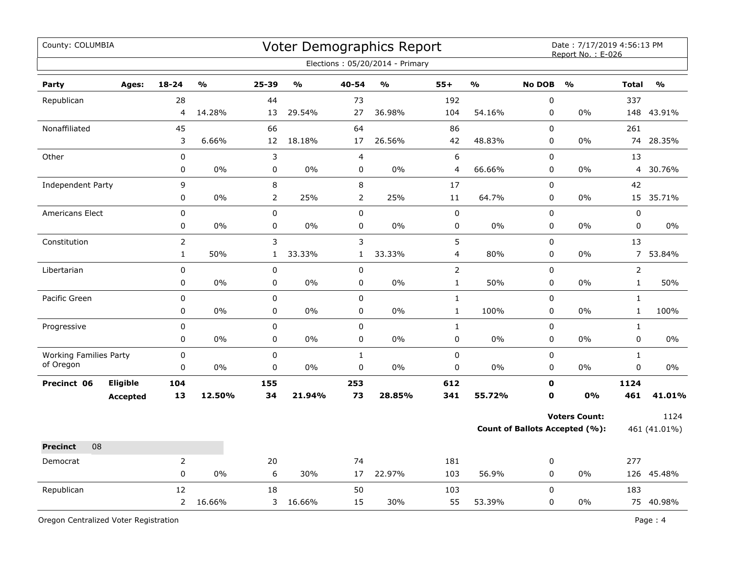| County: COLUMBIA              |                 |                |        |                |               |                | Voter Demographics Report<br>Elections: 05/20/2014 - Primary |                         |                         |               | Date: 7/17/2019 4:56:13 PM<br>Report No.: E-026 |                |                         |
|-------------------------------|-----------------|----------------|--------|----------------|---------------|----------------|--------------------------------------------------------------|-------------------------|-------------------------|---------------|-------------------------------------------------|----------------|-------------------------|
| Party                         | Ages:           | $18 - 24$      | %      | 25-39          | $\frac{1}{2}$ | 40-54          | $\mathsf{o}\mathsf{v}_\mathsf{o}$                            | $55+$                   | $\mathbf{0}/\mathbf{0}$ | <b>No DOB</b> | $\frac{0}{0}$                                   | <b>Total</b>   | $\mathbf{O}/\mathbf{O}$ |
| Republican                    |                 | 28             |        | 44             |               | 73             |                                                              | 192                     |                         | $\pmb{0}$     |                                                 | 337            |                         |
|                               |                 | 4              | 14.28% | 13             | 29.54%        | 27             | 36.98%                                                       | 104                     | 54.16%                  | $\pmb{0}$     | 0%                                              | 148            | 43.91%                  |
| Nonaffiliated                 |                 | 45             |        | 66             |               | 64             |                                                              | 86                      |                         | $\mathbf 0$   |                                                 | 261            |                         |
|                               |                 | 3              | 6.66%  | 12             | 18.18%        | 17             | 26.56%                                                       | 42                      | 48.83%                  | $\pmb{0}$     | 0%                                              | 74             | 28.35%                  |
| Other                         |                 | 0              |        | 3              |               | 4              |                                                              | $\boldsymbol{6}$        |                         | $\pmb{0}$     |                                                 | 13             |                         |
|                               |                 | 0              | 0%     | $\pmb{0}$      | $0\%$         | $\pmb{0}$      | 0%                                                           | 4                       | 66.66%                  | 0             | 0%                                              | $\overline{4}$ | 30.76%                  |
| <b>Independent Party</b>      |                 | 9              |        | $\,8\,$        |               | 8              |                                                              | 17                      |                         | 0             |                                                 | 42             |                         |
|                               |                 | 0              | 0%     | $\overline{2}$ | 25%           | $\overline{2}$ | 25%                                                          | $11\,$                  | 64.7%                   | 0             | 0%                                              |                | 15 35.71%               |
| <b>Americans Elect</b>        |                 | 0              |        | $\pmb{0}$      |               | $\pmb{0}$      |                                                              | $\pmb{0}$               |                         | $\pmb{0}$     |                                                 | 0              |                         |
|                               |                 | 0              | 0%     | 0              | 0%            | 0              | 0%                                                           | $\pmb{0}$               | $0\%$                   | 0             | 0%                                              | 0              | 0%                      |
| Constitution                  |                 | $\overline{2}$ |        | 3              |               | 3              |                                                              | 5                       |                         | $\pmb{0}$     |                                                 | 13             |                         |
|                               |                 | $\mathbf{1}$   | 50%    | 1              | 33.33%        | $\mathbf{1}$   | 33.33%                                                       | $\overline{\mathbf{4}}$ | 80%                     | $\pmb{0}$     | 0%                                              | $\overline{7}$ | 53.84%                  |
| Libertarian                   |                 | $\mathbf 0$    |        | $\pmb{0}$      |               | $\pmb{0}$      |                                                              | $\mathbf 2$             |                         | $\pmb{0}$     |                                                 | $\overline{2}$ |                         |
|                               |                 | 0              | $0\%$  | $\mathbf 0$    | $0\%$         | $\pmb{0}$      | $0\%$                                                        | $\mathbf{1}$            | 50%                     | $\mathbf 0$   | 0%                                              | $\mathbf 1$    | 50%                     |
| Pacific Green                 |                 | 0              |        | $\pmb{0}$      |               | $\pmb{0}$      |                                                              | $\mathbf 1$             |                         | $\pmb{0}$     |                                                 | $\mathbf 1$    |                         |
|                               |                 | 0              | 0%     | 0              | 0%            | 0              | 0%                                                           | $\mathbf{1}$            | 100%                    | 0             | $0\%$                                           | $\mathbf{1}$   | 100%                    |
| Progressive                   |                 | 0              |        | 0              |               | $\mathbf 0$    |                                                              | $\mathbf 1$             |                         | $\Omega$      |                                                 | $\mathbf{1}$   |                         |
|                               |                 | 0              | 0%     | 0              | $0\%$         | $\mathbf 0$    | 0%                                                           | 0                       | $0\%$                   | $\mathbf 0$   | 0%                                              | 0              | 0%                      |
| <b>Working Families Party</b> |                 | 0              |        | $\mathbf 0$    |               | $\mathbf{1}$   |                                                              | $\pmb{0}$               |                         | $\mathbf 0$   |                                                 | $\mathbf{1}$   |                         |
| of Oregon                     |                 | 0              | 0%     | 0              | $0\%$         | 0              | 0%                                                           | 0                       | $0\%$                   | 0             | $0\%$                                           | 0              | 0%                      |
| Precinct 06                   | Eligible        | 104            |        | 155            |               | 253            |                                                              | 612                     |                         | $\mathbf 0$   |                                                 | 1124           |                         |
|                               | <b>Accepted</b> | 13             | 12.50% | 34             | 21.94%        | 73             | 28.85%                                                       | 341                     | 55.72%                  | $\mathbf 0$   | 0%                                              | 461            | 41.01%                  |
|                               |                 |                |        |                |               |                |                                                              |                         |                         |               | <b>Voters Count:</b>                            |                | 1124                    |
|                               |                 |                |        |                |               |                |                                                              |                         |                         |               | <b>Count of Ballots Accepted (%):</b>           |                | 461 (41.01%)            |
| 08<br><b>Precinct</b>         |                 |                |        |                |               |                |                                                              |                         |                         |               |                                                 |                |                         |
| Democrat                      |                 | $\overline{2}$ |        | 20             |               | 74             |                                                              | 181                     |                         | 0             |                                                 | 277            |                         |
|                               |                 | 0              | 0%     | 6              | 30%           | 17             | 22.97%                                                       | 103                     | 56.9%                   | $\pmb{0}$     | 0%                                              |                | 126 45.48%              |
| Republican                    |                 | 12             |        | 18             |               | 50             |                                                              | 103                     |                         | $\mathbf 0$   |                                                 | 183            |                         |
|                               |                 | $\overline{2}$ | 16.66% | 3              | 16.66%        | 15             | 30%                                                          | 55                      | 53.39%                  | $\mathbf 0$   | 0%                                              |                | 75 40.98%               |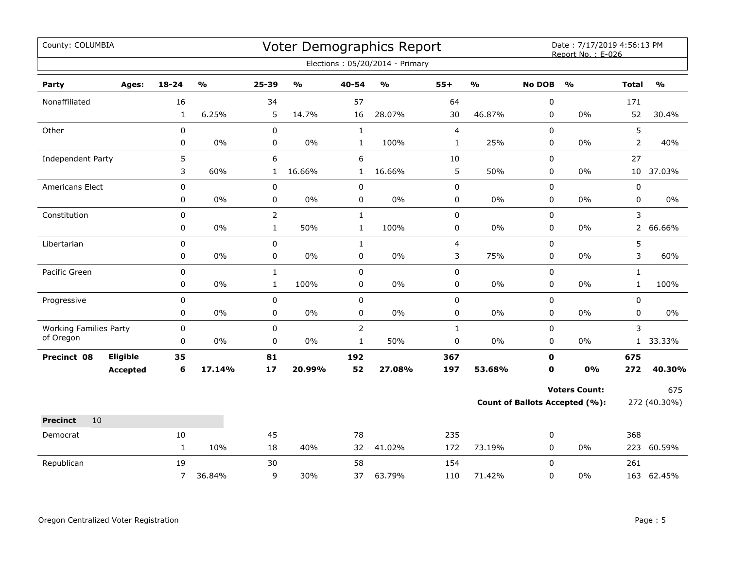| County: COLUMBIA                           |                 |                |                         |                |               |                | <b>Voter Demographics Report</b>  |                         |                         |               | Date: 7/17/2019 4:56:13 PM<br>Report No.: E-026 |                |                                   |
|--------------------------------------------|-----------------|----------------|-------------------------|----------------|---------------|----------------|-----------------------------------|-------------------------|-------------------------|---------------|-------------------------------------------------|----------------|-----------------------------------|
|                                            |                 |                |                         |                |               |                | Elections: 05/20/2014 - Primary   |                         |                         |               |                                                 |                |                                   |
| Party                                      | Ages:           | 18-24          | $\mathbf{O}/\mathbf{o}$ | 25-39          | $\frac{0}{0}$ | 40-54          | $\mathsf{o}\mathsf{v}_\mathsf{o}$ | $55+$                   | $\mathbf{O}/\mathbf{o}$ | <b>No DOB</b> | $\frac{0}{0}$                                   | <b>Total</b>   | $\mathsf{o}\mathsf{v}_\mathsf{o}$ |
| Nonaffiliated                              |                 | 16             |                         | 34             |               | 57             |                                   | 64                      |                         | $\pmb{0}$     |                                                 | 171            |                                   |
|                                            |                 | $\mathbf{1}$   | 6.25%                   | 5              | 14.7%         | 16             | 28.07%                            | 30                      | 46.87%                  | 0             | 0%                                              | 52             | 30.4%                             |
| Other                                      |                 | 0              |                         | $\mathbf 0$    |               | $\mathbf 1$    |                                   | $\overline{4}$          |                         | $\pmb{0}$     |                                                 | 5              |                                   |
|                                            |                 | 0              | 0%                      | 0              | 0%            | $\mathbf{1}$   | 100%                              | $\mathbf{1}$            | 25%                     | 0             | 0%                                              | 2              | 40%                               |
| Independent Party                          |                 | 5              |                         | 6              |               | 6              |                                   | $10\,$                  |                         | $\mathbf 0$   |                                                 | 27             |                                   |
|                                            |                 | 3              | 60%                     | $\mathbf{1}$   | 16.66%        | $\mathbf{1}$   | 16.66%                            | 5                       | 50%                     | $\pmb{0}$     | 0%                                              | 10             | 37.03%                            |
| Americans Elect                            |                 | 0              |                         | 0              |               | $\pmb{0}$      |                                   | $\pmb{0}$               |                         | 0             |                                                 | 0              |                                   |
|                                            |                 | 0              | $0\%$                   | 0              | 0%            | 0              | $0\%$                             | 0                       | 0%                      | 0             | $0\%$                                           | 0              | 0%                                |
| Constitution                               |                 | $\pmb{0}$      |                         | $\overline{2}$ |               | $\mathbf{1}$   |                                   | $\pmb{0}$               |                         | 0             |                                                 | 3              |                                   |
|                                            |                 | 0              | 0%                      | $\mathbf{1}$   | 50%           | $\mathbf{1}$   | 100%                              | 0                       | 0%                      | 0             | 0%                                              | $\overline{2}$ | 66.66%                            |
| Libertarian                                |                 | 0              |                         | 0              |               | $\mathbf{1}$   |                                   | $\overline{\mathbf{4}}$ |                         | 0             |                                                 | 5              |                                   |
|                                            |                 | 0              | 0%                      | 0              | $0\%$         | $\pmb{0}$      | $0\%$                             | 3                       | 75%                     | $\pmb{0}$     | 0%                                              | 3              | 60%                               |
| Pacific Green                              |                 | $\mathbf 0$    |                         | $\mathbf{1}$   |               | $\mathbf 0$    |                                   | $\mathbf 0$             |                         | 0             |                                                 | $\mathbf{1}$   |                                   |
|                                            |                 | 0              | 0%                      | $\mathbf{1}$   | 100%          | 0              | 0%                                | 0                       | $0\%$                   | 0             | 0%                                              | $\mathbf{1}$   | 100%                              |
| Progressive                                |                 | 0              |                         | 0              |               | $\pmb{0}$      |                                   | $\pmb{0}$               |                         | 0             |                                                 | 0              |                                   |
|                                            |                 | 0              | 0%                      | 0              | $0\%$         | $\pmb{0}$      | $0\%$                             | $\pmb{0}$               | 0%                      | 0             | 0%                                              | 0              | $0\%$                             |
| <b>Working Families Party</b><br>of Oregon |                 | 0              |                         | $\mathsf 0$    |               | $\overline{2}$ |                                   | $\mathbf{1}$            |                         | 0             |                                                 | 3              |                                   |
|                                            |                 | 0              | 0%                      | 0              | 0%            | $\mathbf{1}$   | 50%                               | 0                       | 0%                      | 0             | 0%                                              |                | 1 33.33%                          |
| Precinct 08                                | Eligible        | 35             |                         | 81             |               | 192            |                                   | 367                     |                         | $\mathbf 0$   |                                                 | 675            |                                   |
|                                            | <b>Accepted</b> | 6              | 17.14%                  | 17             | 20.99%        | 52             | 27.08%                            | 197                     | 53.68%                  | $\mathbf 0$   | 0%                                              | 272            | 40.30%                            |
|                                            |                 |                |                         |                |               |                |                                   |                         |                         |               | <b>Voters Count:</b>                            |                | 675                               |
|                                            |                 |                |                         |                |               |                |                                   |                         |                         |               | Count of Ballots Accepted (%):                  |                | 272 (40.30%)                      |
| <b>Precinct</b><br>10                      |                 |                |                         |                |               |                |                                   |                         |                         |               |                                                 |                |                                   |
| Democrat                                   |                 | 10             |                         | 45             |               | 78             |                                   | 235                     |                         | 0             |                                                 | 368            |                                   |
|                                            |                 | $\mathbf{1}$   | 10%                     | 18             | 40%           | 32             | 41.02%                            | 172                     | 73.19%                  | 0             | 0%                                              |                | 223 60.59%                        |
| Republican                                 |                 | 19             |                         | 30             |               | 58             |                                   | 154                     |                         | $\Omega$      |                                                 | 261            |                                   |
|                                            |                 | $\overline{7}$ | 36.84%                  | 9              | 30%           | 37             | 63.79%                            | 110                     | 71.42%                  | 0             | 0%                                              |                | 163 62.45%                        |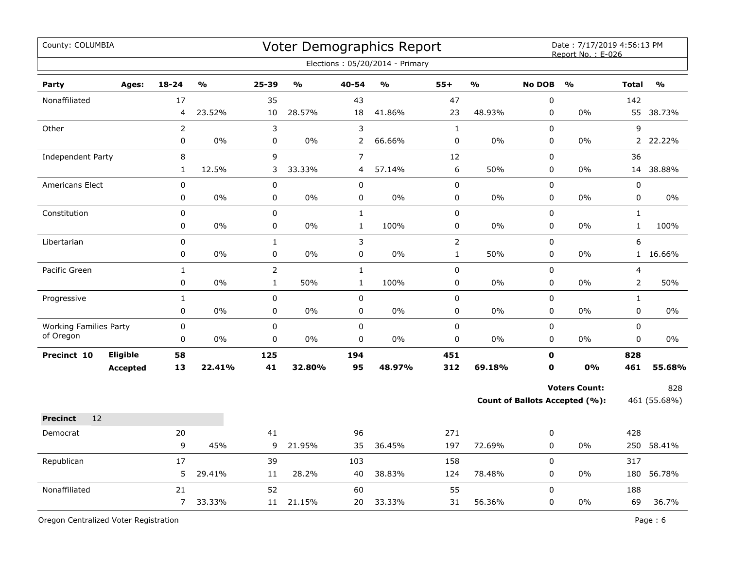| County: COLUMBIA                           |                             |                      |               |                                |               |                              | Voter Demographics Report<br>Elections: 05/20/2014 - Primary |                               |        |                            | Date: 7/17/2019 4:56:13 PM<br>Report No.: E-026               |                              |                     |
|--------------------------------------------|-----------------------------|----------------------|---------------|--------------------------------|---------------|------------------------------|--------------------------------------------------------------|-------------------------------|--------|----------------------------|---------------------------------------------------------------|------------------------------|---------------------|
| Party                                      | Ages:                       | $18 - 24$            | $\frac{0}{0}$ | 25-39                          | $\frac{0}{0}$ | 40-54                        | $\frac{0}{0}$                                                | $55+$                         | %      | <b>No DOB</b>              | $\frac{0}{0}$                                                 | <b>Total</b>                 | $\frac{0}{0}$       |
| Nonaffiliated                              |                             | 17<br>4              | 23.52%        | 35<br>10                       | 28.57%        | 43<br>18                     | 41.86%                                                       | 47<br>23                      | 48.93% | 0<br>0                     | 0%                                                            | 142<br>55                    | 38.73%              |
| Other                                      |                             | $\overline{2}$<br>0  | $0\%$         | 3<br>0                         | 0%            | 3<br>2                       | 66.66%                                                       | $\mathbf{1}$<br>$\pmb{0}$     | 0%     | 0<br>0                     | $0\%$                                                         | 9<br>$\overline{2}$          | 22.22%              |
| Independent Party                          |                             | 8<br>1               | 12.5%         | 9<br>3                         | 33.33%        | $\overline{7}$<br>4          | 57.14%                                                       | 12<br>6                       | 50%    | 0<br>0                     | 0%                                                            | 36                           | 14 38.88%           |
| <b>Americans Elect</b>                     |                             | 0<br>0               | 0%            | 0<br>$\mathsf 0$               | 0%            | $\mathbf 0$<br>$\pmb{0}$     | 0%                                                           | $\pmb{0}$<br>0                | 0%     | 0<br>0                     | 0%                                                            | 0<br>$\pmb{0}$               | $0\%$               |
| Constitution                               |                             | 0<br>0               | 0%            | 0<br>0                         | $0\%$         | $\mathbf{1}$<br>$\mathbf{1}$ | 100%                                                         | $\pmb{0}$<br>0                | 0%     | 0<br>0                     | 0%                                                            | $\mathbf{1}$<br>$\mathbf{1}$ | 100%                |
| Libertarian                                |                             | 0<br>0               | $0\%$         | $\mathbf{1}$<br>0              | $0\%$         | $\mathsf{3}$<br>$\pmb{0}$    | 0%                                                           | $\overline{2}$<br>$\mathbf 1$ | 50%    | 0<br>0                     | $0\%$                                                         | 6<br>1                       | 16.66%              |
| Pacific Green                              |                             | $\mathbf{1}$<br>0    | 0%            | $\overline{2}$<br>$\mathbf{1}$ | 50%           | $\mathbf{1}$<br>$\mathbf{1}$ | 100%                                                         | $\mathsf 0$<br>$\pmb{0}$      | 0%     | 0<br>0                     | 0%                                                            | 4<br>$\overline{2}$          | 50%                 |
| Progressive                                |                             | $\mathbf{1}$<br>0    | 0%            | 0<br>0                         | 0%            | $\pmb{0}$<br>0               | 0%                                                           | $\mathsf 0$<br>$\pmb{0}$      | 0%     | 0<br>0                     | 0%                                                            | $\mathbf{1}$<br>0            | 0%                  |
| <b>Working Families Party</b><br>of Oregon |                             | 0<br>0               | 0%            | 0<br>0                         | 0%            | $\mathsf 0$<br>$\mathsf 0$   | 0%                                                           | $\pmb{0}$<br>$\pmb{0}$        | 0%     | 0<br>0                     | 0%                                                            | 0<br>0                       | 0%                  |
| Precinct 10                                | Eligible<br><b>Accepted</b> | 58<br>13             | 22.41%        | 125<br>41                      | 32.80%        | 194<br>95                    | 48.97%                                                       | 451<br>312                    | 69.18% | $\mathbf 0$<br>$\mathbf 0$ | 0%                                                            | 828<br>461                   | 55.68%              |
|                                            |                             |                      |               |                                |               |                              |                                                              |                               |        |                            | <b>Voters Count:</b><br><b>Count of Ballots Accepted (%):</b> |                              | 828<br>461 (55.68%) |
| 12<br><b>Precinct</b>                      |                             |                      |               |                                |               |                              |                                                              |                               |        |                            |                                                               |                              |                     |
| Democrat                                   |                             | 20<br>9              | 45%           | 41<br>9                        | 21.95%        | 96<br>35                     | 36.45%                                                       | 271<br>197                    | 72.69% | 0<br>0                     | 0%                                                            | 428<br>250                   | 58.41%              |
| Republican                                 |                             | 17<br>5              | 29.41%        | 39<br>11                       | 28.2%         | 103<br>40                    | 38.83%                                                       | 158<br>124                    | 78.48% | 0<br>0                     | 0%                                                            | 317<br>180                   | 56.78%              |
| Nonaffiliated                              |                             | 21<br>$\overline{7}$ | 33.33%        | 52<br>11                       | 21.15%        | 60<br>20                     | 33.33%                                                       | 55<br>31                      | 56.36% | 0<br>0                     | 0%                                                            | 188<br>69                    | 36.7%               |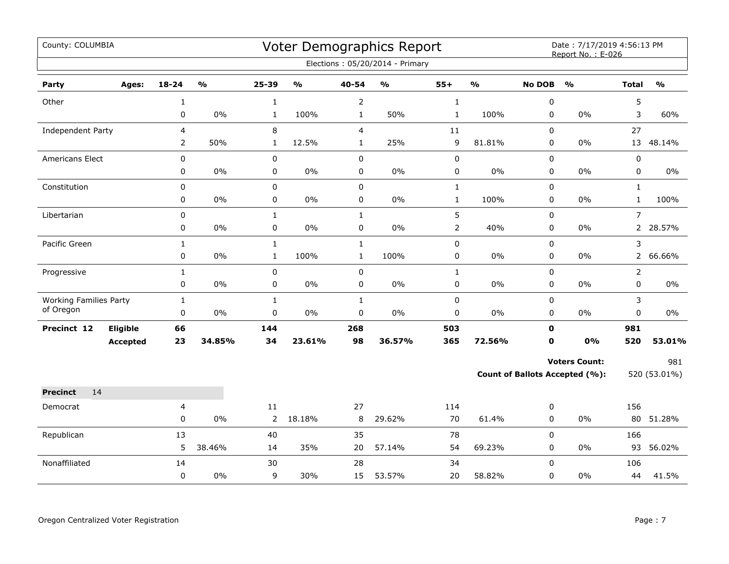| County: COLUMBIA                                  |                 |               |                |               |                | Voter Demographics Report<br>Elections: 05/20/2014 - Primary |                |               |                             | Date: 7/17/2019 4:56:13 PM<br>Report No.: E-026 |                |               |
|---------------------------------------------------|-----------------|---------------|----------------|---------------|----------------|--------------------------------------------------------------|----------------|---------------|-----------------------------|-------------------------------------------------|----------------|---------------|
| Party<br>Ages:                                    | 18-24           | $\frac{0}{0}$ | 25-39          | $\frac{0}{0}$ | 40-54          | $\frac{9}{0}$                                                | $55+$          | $\frac{1}{2}$ | <b>No DOB</b>               | $\frac{0}{0}$                                   | <b>Total</b>   | $\frac{0}{0}$ |
| Other                                             | $\mathbf{1}$    |               | $\mathbf{1}$   |               | $\overline{2}$ |                                                              | $\mathbf{1}$   |               | 0                           |                                                 | 5              |               |
|                                                   | 0               | 0%            | $\mathbf{1}$   | 100%          | $\mathbf{1}$   | 50%                                                          | $\mathbf 1$    | 100%          | $\mathbf 0$                 | $0\%$                                           | 3              | 60%           |
| Independent Party                                 | 4               |               | 8              |               | $\overline{4}$ |                                                              | 11             |               | 0                           |                                                 | 27             |               |
|                                                   | $\overline{2}$  | 50%           | $\mathbf{1}$   | 12.5%         | $\mathbf{1}$   | 25%                                                          | 9              | 81.81%        | 0                           | 0%                                              | 13             | 48.14%        |
| Americans Elect                                   | 0               |               | $\pmb{0}$      |               | $\mathbf 0$    |                                                              | $\pmb{0}$      |               | $\mathbf 0$                 |                                                 | 0              |               |
|                                                   | 0               | 0%            | 0              | $0\%$         | 0              | $0\%$                                                        | 0              | 0%            | $\mathbf 0$                 | $0\%$                                           | 0              | 0%            |
| Constitution                                      | $\pmb{0}$       |               | $\pmb{0}$      |               | $\pmb{0}$      |                                                              | $\mathbf 1$    |               | $\mathsf 0$                 |                                                 | $\mathbf{1}$   |               |
|                                                   | 0               | $0\%$         | 0              | $0\%$         | 0              | 0%                                                           | $\mathbf{1}$   | 100%          | 0                           | 0%                                              | $\mathbf{1}$   | 100%          |
| Libertarian                                       | $\mathbf 0$     |               | $\mathbf{1}$   |               | $\mathbf{1}$   |                                                              | 5              |               | 0                           |                                                 | $\overline{7}$ |               |
|                                                   | 0               | 0%            | 0              | 0%            | 0              | $0\%$                                                        | $\overline{2}$ | 40%           | $\mathbf 0$                 | 0%                                              |                | 2 28.57%      |
| Pacific Green                                     | $\mathbf{1}$    |               | $\mathbf{1}$   |               | $\mathbf{1}$   |                                                              | $\pmb{0}$      |               | $\mathsf 0$                 |                                                 | 3              |               |
|                                                   | 0               | $0\%$         | $\mathbf{1}$   | 100%          | $\mathbf{1}$   | 100%                                                         | $\pmb{0}$      | $0\%$         | 0                           | 0%                                              |                | 2 66.66%      |
| Progressive                                       | $\mathbf{1}$    |               | $\mathbf 0$    |               | $\mathbf 0$    |                                                              | $\mathbf{1}$   |               | $\mathbf 0$                 |                                                 | $\overline{2}$ |               |
|                                                   | 0               | 0%            | $\pmb{0}$      | $0\%$         | $\mathbf 0$    | $0\%$                                                        | $\pmb{0}$      | 0%            | 0                           | 0%                                              | $\mathbf 0$    | 0%            |
| <b>Working Families Party</b><br>of Oregon        | $\mathbf{1}$    | 0%            | $\mathbf 1$    | $0\%$         | $\mathbf 1$    | $0\%$                                                        | $\pmb{0}$      | 0%            | $\pmb{0}$                   | $0\%$                                           | 3              | $0\%$         |
|                                                   | $\pmb{0}$       |               | $\pmb{0}$      |               | $\pmb{0}$      |                                                              | $\pmb{0}$      |               | 0                           |                                                 | $\pmb{0}$      |               |
| <b>Eligible</b><br>Precinct 12<br><b>Accepted</b> | 66<br>23        | 34.85%        | 144<br>34      | 23.61%        | 268<br>98      | 36.57%                                                       | 503<br>365     | 72.56%        | $\mathbf{0}$<br>$\mathbf 0$ | 0%                                              | 981<br>520     | 53.01%        |
|                                                   |                 |               |                |               |                |                                                              |                |               |                             |                                                 |                |               |
|                                                   |                 |               |                |               |                |                                                              |                |               |                             | <b>Voters Count:</b>                            |                | 981           |
|                                                   |                 |               |                |               |                |                                                              |                |               |                             | Count of Ballots Accepted (%):                  |                | 520 (53.01%)  |
| 14<br><b>Precinct</b>                             |                 |               |                |               |                |                                                              |                |               |                             |                                                 |                |               |
| Democrat                                          | 4               |               | 11             |               | 27             |                                                              | 114            |               | 0                           |                                                 | 156            |               |
|                                                   | $\mathbf 0$     | 0%            | $\overline{2}$ | 18.18%        | 8              | 29.62%                                                       | 70             | 61.4%         | 0                           | 0%                                              | 80             | 51.28%        |
| Republican                                        | 13              |               | 40             |               | 35             |                                                              | 78             |               | $\mathsf 0$                 |                                                 | 166            |               |
|                                                   | 5               | 38.46%        | 14             | 35%           | 20             | 57.14%                                                       | 54             | 69.23%        | $\mathbf 0$                 | $0\%$                                           |                | 93 56.02%     |
| Nonaffiliated                                     | 14<br>$\pmb{0}$ | 0%            | 30<br>9        | 30%           | 28<br>15       | 53.57%                                                       | 34<br>20       | 58.82%        | $\Omega$<br>0               | $0\%$                                           | 106<br>44      | 41.5%         |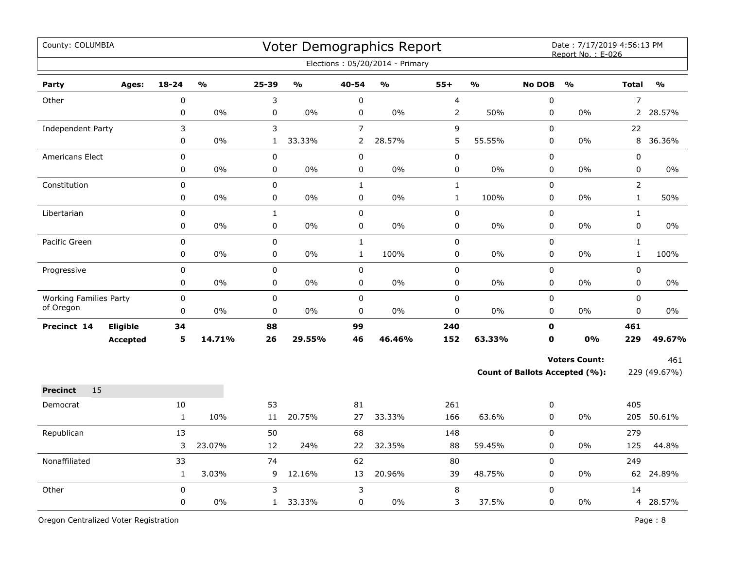| County: COLUMBIA              |                 |              |               |              |               |                          | Voter Demographics Report<br>Elections: 05/20/2014 - Primary |                                           |               |               | Date: 7/17/2019 4:56:13 PM<br>Report No.: E-026 |                |               |
|-------------------------------|-----------------|--------------|---------------|--------------|---------------|--------------------------|--------------------------------------------------------------|-------------------------------------------|---------------|---------------|-------------------------------------------------|----------------|---------------|
| Party                         | Ages:           | $18 - 24$    | $\frac{0}{0}$ | $25 - 39$    | $\frac{0}{0}$ | 40-54                    | $\frac{1}{2}$                                                | $55+$                                     | $\frac{1}{2}$ | <b>No DOB</b> | $\frac{0}{0}$                                   | <b>Total</b>   | $\frac{1}{2}$ |
|                               |                 |              |               | 3            |               |                          |                                                              |                                           |               | 0             |                                                 | $\overline{7}$ |               |
| Other                         |                 | 0<br>0       | 0%            | 0            | $0\%$         | $\pmb{0}$<br>$\mathbf 0$ | 0%                                                           | $\overline{\mathbf{4}}$<br>$\overline{2}$ | 50%           | 0             | 0%                                              | $\mathbf{2}$   | 28.57%        |
| Independent Party             |                 | 3            |               | 3            |               | $\overline{7}$           |                                                              | 9                                         |               | 0             |                                                 | 22             |               |
|                               |                 | 0            | 0%            | $\mathbf{1}$ | 33.33%        | $\overline{2}$           | 28.57%                                                       | 5                                         | 55.55%        | 0             | 0%                                              | 8              | 36.36%        |
| <b>Americans Elect</b>        |                 | 0            |               | 0            |               | $\mathbf 0$              |                                                              | $\pmb{0}$                                 |               | 0             |                                                 | 0              |               |
|                               |                 | 0            | 0%            | 0            | 0%            | 0                        | $0\%$                                                        | 0                                         | 0%            | 0             | 0%                                              | 0              | 0%            |
| Constitution                  |                 | 0            |               | 0            |               | $\mathbf{1}$             |                                                              | $\mathbf{1}$                              |               | 0             |                                                 | $\overline{2}$ |               |
|                               |                 | 0            | 0%            | 0            | 0%            | $\pmb{0}$                | 0%                                                           | $\mathbf 1$                               | 100%          | 0             | 0%                                              | $\mathbf 1$    | 50%           |
| Libertarian                   |                 | 0            |               | $\mathbf{1}$ |               | $\pmb{0}$                |                                                              | $\pmb{0}$                                 |               | 0             |                                                 | $\mathbf{1}$   |               |
|                               |                 | 0            | 0%            | 0            | 0%            | $\pmb{0}$                | 0%                                                           | $\pmb{0}$                                 | $0\%$         | 0             | $0\%$                                           | 0              | 0%            |
| Pacific Green                 |                 | 0            |               | 0            |               | $\mathbf 1$              |                                                              | $\pmb{0}$                                 |               | 0             |                                                 | $\mathbf{1}$   |               |
|                               |                 | 0            | 0%            | 0            | $0\%$         | $\mathbf{1}$             | 100%                                                         | $\pmb{0}$                                 | 0%            | 0             | 0%                                              | $\mathbf{1}$   | 100%          |
| Progressive                   |                 | 0            |               | $\pmb{0}$    |               | $\pmb{0}$                |                                                              | $\pmb{0}$                                 |               | 0             |                                                 | 0              |               |
|                               |                 | 0            | 0%            | 0            | 0%            | $\mathbf 0$              | $0\%$                                                        | $\pmb{0}$                                 | 0%            | 0             | 0%                                              | 0              | 0%            |
| <b>Working Families Party</b> |                 | 0            |               | $\pmb{0}$    |               | $\pmb{0}$                |                                                              | $\pmb{0}$                                 |               | 0             |                                                 | 0              |               |
| of Oregon                     |                 | 0            | 0%            | $\mathbf 0$  | 0%            | $\mathbf 0$              | 0%                                                           | $\pmb{0}$                                 | 0%            | $\mathbf 0$   | 0%                                              | $\mathbf 0$    | $0\%$         |
| Precinct 14                   | Eligible        | 34           |               | 88           |               | 99                       |                                                              | 240                                       |               | $\mathbf{0}$  |                                                 | 461            |               |
|                               | <b>Accepted</b> | 5            | 14.71%        | 26           | 29.55%        | 46                       | 46.46%                                                       | 152                                       | 63.33%        | $\mathbf 0$   | 0%                                              | 229            | 49.67%        |
|                               |                 |              |               |              |               |                          |                                                              |                                           |               |               | <b>Voters Count:</b>                            |                | 461           |
|                               |                 |              |               |              |               |                          |                                                              |                                           |               |               | <b>Count of Ballots Accepted (%):</b>           |                | 229 (49.67%)  |
| 15<br><b>Precinct</b>         |                 |              |               |              |               |                          |                                                              |                                           |               |               |                                                 |                |               |
| Democrat                      |                 | 10           |               | 53           |               | 81                       |                                                              | 261                                       |               | 0             |                                                 | 405            |               |
|                               |                 | $\mathbf{1}$ | 10%           | 11           | 20.75%        | 27                       | 33.33%                                                       | 166                                       | 63.6%         | 0             | 0%                                              | 205            | 50.61%        |
| Republican                    |                 | 13           |               | 50           |               | 68                       |                                                              | 148                                       |               | 0             |                                                 | 279            |               |
|                               |                 | 3            | 23.07%        | 12           | 24%           | 22                       | 32.35%                                                       | 88                                        | 59.45%        | 0             | 0%                                              | 125            | 44.8%         |
| Nonaffiliated                 |                 | 33           |               | 74           |               | 62                       |                                                              | 80                                        |               | 0             |                                                 | 249            |               |
|                               |                 | $\mathbf{1}$ | 3.03%         | 9            | 12.16%        | 13                       | 20.96%                                                       | 39                                        | 48.75%        | 0             | 0%                                              |                | 62 24.89%     |
| Other                         |                 | $\mathbf 0$  |               | 3            |               | 3                        |                                                              | 8                                         |               | 0             |                                                 | 14             |               |
|                               |                 | 0            | 0%            | $\mathbf{1}$ | 33.33%        | $\pmb{0}$                | 0%                                                           | 3                                         | 37.5%         | 0             | 0%                                              |                | 4 28.57%      |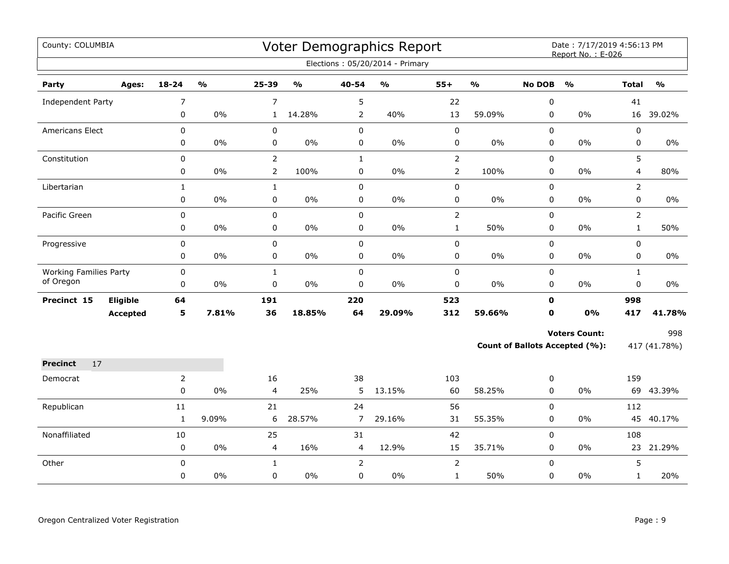| County: COLUMBIA              |                 |                |                         |                |                                   |                | Voter Demographics Report         |                |                         |                  | Date: 7/17/2019 4:56:13 PM<br>Report No.: E-026 |                |                                   |
|-------------------------------|-----------------|----------------|-------------------------|----------------|-----------------------------------|----------------|-----------------------------------|----------------|-------------------------|------------------|-------------------------------------------------|----------------|-----------------------------------|
|                               |                 |                |                         |                |                                   |                | Elections: 05/20/2014 - Primary   |                |                         |                  |                                                 |                |                                   |
| Party                         | Ages:           | 18-24          | $\mathbf{0}/\mathbf{0}$ | 25-39          | $\mathsf{o}\mathsf{v}_\mathsf{o}$ | 40-54          | $\mathsf{o}\mathsf{v}_\mathsf{o}$ | $55+$          | $\mathbf{0}/\mathbf{0}$ | <b>No DOB</b>    | $\frac{0}{0}$                                   | <b>Total</b>   | $\mathsf{o}\mathsf{v}_\mathsf{o}$ |
| Independent Party             |                 | $\overline{7}$ |                         | $\overline{7}$ |                                   | 5              |                                   | 22             |                         | $\pmb{0}$        |                                                 | 41             |                                   |
|                               |                 | 0              | $0\%$                   | $\mathbf{1}$   | 14.28%                            | $\overline{2}$ | 40%                               | 13             | 59.09%                  | 0                | 0%                                              |                | 16 39.02%                         |
| <b>Americans Elect</b>        |                 | 0              |                         | $\pmb{0}$      |                                   | $\mathbf 0$    |                                   | $\mathbf 0$    |                         | 0                |                                                 | 0              |                                   |
|                               |                 | 0              | $0\%$                   | $\mathbf 0$    | $0\%$                             | $\mathbf 0$    | 0%                                | $\pmb{0}$      | $0\%$                   | $\pmb{0}$        | $0\%$                                           | 0              | $0\%$                             |
| Constitution                  |                 | 0              |                         | $\overline{2}$ |                                   | $\mathbf{1}$   |                                   | $\overline{2}$ |                         | $\mathbf 0$      |                                                 | 5              |                                   |
|                               |                 | 0              | 0%                      | $\overline{2}$ | 100%                              | 0              | 0%                                | $\overline{2}$ | 100%                    | 0                | 0%                                              | 4              | 80%                               |
| Libertarian                   |                 | $\mathbf{1}$   |                         | $\mathbf{1}$   |                                   | $\pmb{0}$      |                                   | $\pmb{0}$      |                         | 0                |                                                 | $\overline{2}$ |                                   |
|                               |                 | 0              | 0%                      | 0              | 0%                                | $\pmb{0}$      | $0\%$                             | $\pmb{0}$      | $0\%$                   | 0                | 0%                                              | 0              | $0\%$                             |
| Pacific Green                 |                 | $\mathbf 0$    |                         | $\mathsf 0$    |                                   | $\mathsf 0$    |                                   | $\overline{2}$ |                         | $\boldsymbol{0}$ |                                                 | $\overline{2}$ |                                   |
|                               |                 | 0              | 0%                      | 0              | 0%                                | 0              | 0%                                | $\mathbf{1}$   | 50%                     | 0                | 0%                                              | $\mathbf{1}$   | 50%                               |
| Progressive                   |                 | $\mathbf 0$    |                         | $\pmb{0}$      |                                   | $\mathsf 0$    |                                   | $\pmb{0}$      |                         | $\mathbf 0$      |                                                 | 0              |                                   |
|                               |                 | 0              | 0%                      | $\pmb{0}$      | 0%                                | $\mathbf 0$    | 0%                                | $\pmb{0}$      | $0\%$                   | 0                | 0%                                              | 0              | 0%                                |
| <b>Working Families Party</b> |                 | 0              |                         | $\mathbf{1}$   |                                   | $\pmb{0}$      |                                   | $\pmb{0}$      |                         | 0                |                                                 | $\mathbf{1}$   |                                   |
| of Oregon                     |                 | $\mathbf 0$    | 0%                      | $\mathbf 0$    | $0\%$                             | $\mathbf 0$    | 0%                                | $\pmb{0}$      | $0\%$                   | $\mathbf 0$      | 0%                                              | 0              | $0\%$                             |
| Precinct 15                   | Eligible        | 64             |                         | 191            |                                   | 220            |                                   | 523            |                         | $\mathbf 0$      |                                                 | 998            |                                   |
|                               | <b>Accepted</b> | 5              | 7.81%                   | 36             | 18.85%                            | 64             | 29.09%                            | 312            | 59.66%                  | $\mathbf 0$      | 0%                                              | 417            | 41.78%                            |
|                               |                 |                |                         |                |                                   |                |                                   |                |                         |                  | <b>Voters Count:</b>                            |                | 998                               |
|                               |                 |                |                         |                |                                   |                |                                   |                |                         |                  | <b>Count of Ballots Accepted (%):</b>           |                | 417 (41.78%)                      |
| 17<br><b>Precinct</b>         |                 |                |                         |                |                                   |                |                                   |                |                         |                  |                                                 |                |                                   |
| Democrat                      |                 | $\overline{2}$ |                         | 16             |                                   | 38             |                                   | 103            |                         | 0                |                                                 | 159            |                                   |
|                               |                 | $\mathbf 0$    | 0%                      | $\overline{4}$ | 25%                               | 5              | 13.15%                            | 60             | 58.25%                  | 0                | $0\%$                                           |                | 69 43.39%                         |
| Republican                    |                 | $11\,$         |                         | 21             |                                   | 24             |                                   | 56             |                         | $\mathbf 0$      |                                                 | 112            |                                   |
|                               |                 | $\mathbf{1}$   | 9.09%                   | 6              | 28.57%                            | $\overline{7}$ | 29.16%                            | 31             | 55.35%                  | 0                | 0%                                              | 45             | 40.17%                            |
| Nonaffiliated                 |                 | 10             |                         | 25             |                                   | 31             |                                   | 42             |                         | 0                |                                                 | 108            |                                   |
|                               |                 | $\pmb{0}$      | $0\%$                   | $\overline{4}$ | 16%                               | 4              | 12.9%                             | 15             | 35.71%                  | 0                | 0%                                              | 23             | 21.29%                            |
| Other                         |                 | 0              |                         | $\mathbf{1}$   |                                   | $\overline{2}$ |                                   | $\overline{2}$ |                         | 0                |                                                 | 5              |                                   |
|                               |                 | 0              | 0%                      | 0              | 0%                                | 0              | 0%                                | $\mathbf{1}$   | 50%                     | 0                | 0%                                              | $\mathbf{1}$   | 20%                               |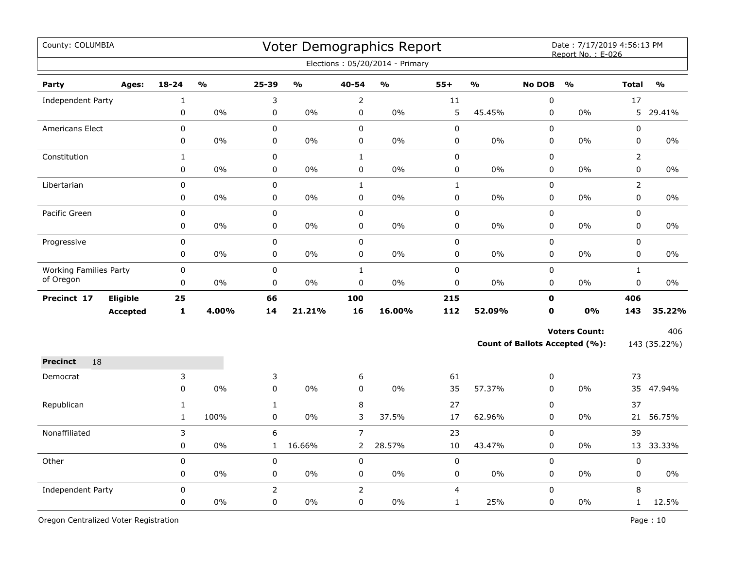| County: COLUMBIA              |                 |              |               |                |               |                | Voter Demographics Report<br>Elections: 05/20/2014 - Primary |              |               |               | Date: 7/17/2019 4:56:13 PM<br>Report No.: E-026 |                |               |
|-------------------------------|-----------------|--------------|---------------|----------------|---------------|----------------|--------------------------------------------------------------|--------------|---------------|---------------|-------------------------------------------------|----------------|---------------|
| Party                         | Ages:           | $18 - 24$    | $\frac{0}{0}$ | 25-39          | $\frac{0}{0}$ | 40-54          | $\mathbf{O}/\mathbf{o}$                                      | $55+$        | $\frac{0}{0}$ | <b>No DOB</b> | $\frac{0}{0}$                                   | <b>Total</b>   | $\frac{0}{0}$ |
| Independent Party             |                 | $\mathbf{1}$ |               | 3              |               | 2              |                                                              | 11           |               | $\mathbf 0$   |                                                 | 17             |               |
|                               |                 | 0            | 0%            | 0              | 0%            | $\mathbf 0$    | $0\%$                                                        | 5            | 45.45%        | 0             | $0\%$                                           | 5              | 29.41%        |
| <b>Americans Elect</b>        |                 | $\mathbf 0$  |               | $\mathbf 0$    |               | $\mathbf 0$    |                                                              | $\mathbf 0$  |               | $\mathbf 0$   |                                                 | 0              |               |
|                               |                 | 0            | 0%            | $\pmb{0}$      | 0%            | $\pmb{0}$      | 0%                                                           | 0            | 0%            | 0             | 0%                                              | 0              | $0\%$         |
| Constitution                  |                 | $\mathbf{1}$ |               | $\mathbf 0$    |               | $\mathbf{1}$   |                                                              | 0            |               | $\mathbf 0$   |                                                 | $\overline{2}$ |               |
|                               |                 | $\pmb{0}$    | 0%            | 0              | 0%            | 0              | 0%                                                           | 0            | 0%            | 0             | 0%                                              | 0              | $0\%$         |
| Libertarian                   |                 | $\mathbf 0$  |               | $\mathbf 0$    |               | $\mathbf{1}$   |                                                              | $\mathbf{1}$ |               | $\pmb{0}$     |                                                 | $\overline{2}$ |               |
|                               |                 | $\pmb{0}$    | 0%            | 0              | $0\%$         | 0              | 0%                                                           | 0            | $0\%$         | 0             | $0\%$                                           | 0              | 0%            |
| Pacific Green                 |                 | $\pmb{0}$    |               | $\pmb{0}$      |               | $\mathbf 0$    |                                                              | $\pmb{0}$    |               | $\mathbf 0$   |                                                 | 0              |               |
|                               |                 | $\pmb{0}$    | $0\%$         | 0              | 0%            | 0              | 0%                                                           | $\pmb{0}$    | 0%            | 0             | $0\%$                                           | 0              | $0\%$         |
| Progressive                   |                 | $\pmb{0}$    |               | $\pmb{0}$      |               | 0              |                                                              | $\pmb{0}$    |               | $\mathbf 0$   |                                                 | 0              |               |
|                               |                 | 0            | 0%            | 0              | 0%            | 0              | 0%                                                           | $\pmb{0}$    | 0%            | 0             | 0%                                              | 0              | 0%            |
| <b>Working Families Party</b> |                 | 0            |               | $\pmb{0}$      |               | $\mathbf 1$    |                                                              | $\pmb{0}$    |               | 0             |                                                 | $\mathbf{1}$   |               |
| of Oregon                     |                 | $\mathbf 0$  | 0%            | $\mathbf 0$    | 0%            | 0              | 0%                                                           | 0            | 0%            | 0             | 0%                                              | 0              | $0\%$         |
| Precinct 17                   | <b>Eligible</b> | 25           |               | 66             |               | 100            |                                                              | 215          |               | $\mathbf 0$   |                                                 | 406            |               |
|                               | <b>Accepted</b> | $\mathbf{1}$ | 4.00%         | 14             | 21.21%        | 16             | 16.00%                                                       | 112          | 52.09%        | 0             | 0%                                              | 143            | 35.22%        |
|                               |                 |              |               |                |               |                |                                                              |              |               |               | <b>Voters Count:</b>                            |                | 406           |
|                               |                 |              |               |                |               |                |                                                              |              |               |               | Count of Ballots Accepted (%):                  |                | 143 (35.22%)  |
| 18<br><b>Precinct</b>         |                 |              |               |                |               |                |                                                              |              |               |               |                                                 |                |               |
| Democrat                      |                 | 3            |               | 3              |               | 6              |                                                              | 61           |               | 0             |                                                 | 73             |               |
|                               |                 | $\mathsf 0$  | 0%            | $\pmb{0}$      | 0%            | 0              | 0%                                                           | 35           | 57.37%        | 0             | 0%                                              |                | 35 47.94%     |
| Republican                    |                 | $\mathbf{1}$ |               | $\mathbf{1}$   |               | 8              |                                                              | 27           |               | 0             |                                                 | 37             |               |
|                               |                 | $\mathbf{1}$ | 100%          | $\pmb{0}$      | 0%            | 3              | 37.5%                                                        | 17           | 62.96%        | 0             | $0\%$                                           | 21             | 56.75%        |
| Nonaffiliated                 |                 | 3            |               | 6              |               | $\overline{7}$ |                                                              | 23           |               | $\mathbf 0$   |                                                 | 39             |               |
|                               |                 | 0            | 0%            | $\mathbf{1}$   | 16.66%        | 2              | 28.57%                                                       | 10           | 43.47%        | 0             | 0%                                              | 13             | 33.33%        |
| Other                         |                 | $\pmb{0}$    |               | 0              |               | 0              |                                                              | $\pmb{0}$    |               | 0             |                                                 | $\pmb{0}$      |               |
|                               |                 | 0            | 0%            | 0              | $0\%$         | 0              | $0\%$                                                        | 0            | 0%            | 0             | 0%                                              | 0              | 0%            |
| Independent Party             |                 | $\pmb{0}$    |               | $\overline{2}$ |               |                |                                                              | 4            |               | 0             |                                                 | 8              |               |
|                               |                 | $\mathbf 0$  | 0%            | $\mathbf 0$    | 0%            | 0              | 0%                                                           | $\mathbf{1}$ | 25%           | $\mathbf 0$   | $0\%$                                           | $\mathbf{1}$   | 12.5%         |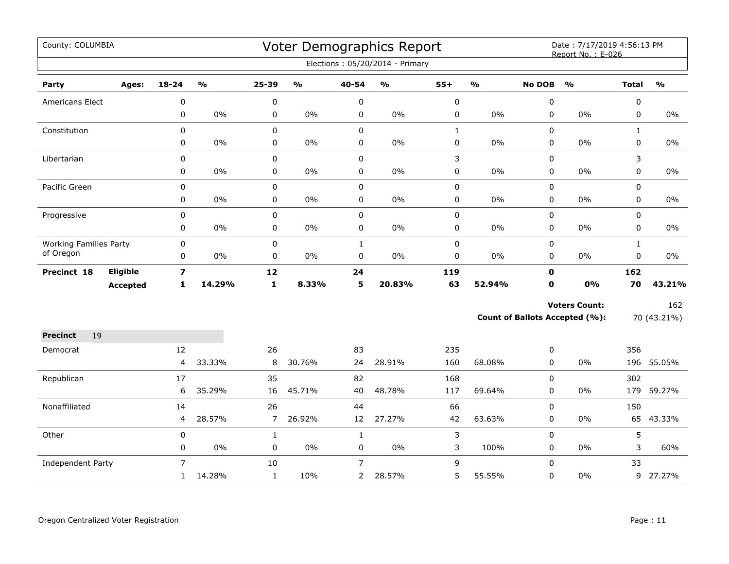| County: COLUMBIA              |                 |                         |               |                |               |                | <b>Voter Demographics Report</b><br>Elections: 05/20/2014 - Primary |              |               |               | Date: 7/17/2019 4:56:13 PM<br>Report No.: E-026 |              |               |
|-------------------------------|-----------------|-------------------------|---------------|----------------|---------------|----------------|---------------------------------------------------------------------|--------------|---------------|---------------|-------------------------------------------------|--------------|---------------|
|                               |                 |                         |               |                |               |                |                                                                     |              |               |               |                                                 |              |               |
| Party                         | Ages:           | $18 - 24$               | $\frac{1}{2}$ | $25 - 39$      | $\frac{0}{0}$ | 40-54          | $\frac{9}{0}$                                                       | $55+$        | $\frac{1}{2}$ | <b>No DOB</b> | $\frac{0}{0}$                                   | <b>Total</b> | $\frac{1}{2}$ |
| <b>Americans Elect</b>        |                 | 0                       |               | 0              |               | 0              |                                                                     | $\mathbf 0$  |               | 0             |                                                 | 0            |               |
|                               |                 | $\mathbf 0$             | $0\%$         | 0              | $0\%$         | 0              | 0%                                                                  | 0            | 0%            | $\mathbf 0$   | 0%                                              | $\mathbf 0$  | 0%            |
| Constitution                  |                 | $\mathbf 0$             |               | 0              |               | 0              |                                                                     | $\mathbf{1}$ |               | 0             |                                                 | $\mathbf{1}$ |               |
|                               |                 | 0                       | $0\%$         | 0              | $0\%$         | 0              | 0%                                                                  | 0            | 0%            | $\mathbf 0$   | $0\%$                                           | 0            | 0%            |
| Libertarian                   |                 | $\pmb{0}$               |               | 0              |               | 0              |                                                                     | 3            |               | 0             |                                                 | 3            |               |
|                               |                 | 0                       | $0\%$         | 0              | $0\%$         | 0              | 0%                                                                  | 0            | 0%            | 0             | 0%                                              | $\pmb{0}$    | $0\%$         |
| Pacific Green                 |                 | $\pmb{0}$               |               | 0              |               | 0              |                                                                     | $\pmb{0}$    |               | 0             |                                                 | $\pmb{0}$    |               |
|                               |                 | 0                       | $0\%$         | 0              | 0%            | 0              | $0\%$                                                               | 0            | $0\%$         | 0             | 0%                                              | $\mathbf 0$  | $0\%$         |
| Progressive                   |                 | $\pmb{0}$               |               | 0              |               | 0              |                                                                     | 0            |               | 0             |                                                 | $\mathbf 0$  |               |
|                               |                 | 0                       | $0\%$         | 0              | $0\%$         | 0              | 0%                                                                  | 0            | $0\%$         | 0             | 0%                                              | 0            | 0%            |
| <b>Working Families Party</b> |                 | 0                       |               | 0              |               | $\mathbf{1}$   |                                                                     | $\pmb{0}$    |               | 0             |                                                 | $\mathbf{1}$ |               |
| of Oregon                     |                 | $\pmb{0}$               | $0\%$         | 0              | $0\%$         | $\pmb{0}$      | 0%                                                                  | 0            | $0\%$         | 0             | 0%                                              | $\mathbf 0$  | $0\%$         |
| Precinct 18                   | Eligible        | $\overline{\mathbf{z}}$ |               | 12             |               | 24             |                                                                     | 119          |               | $\mathbf 0$   |                                                 | 162          |               |
|                               | <b>Accepted</b> | 1                       | 14.29%        | $\mathbf{1}$   | 8.33%         | 5              | 20.83%                                                              | 63           | 52.94%        | $\mathbf 0$   | 0%                                              | 70           | 43.21%        |
|                               |                 |                         |               |                |               |                |                                                                     |              |               |               | <b>Voters Count:</b>                            |              | 162           |
|                               |                 |                         |               |                |               |                |                                                                     |              |               |               | <b>Count of Ballots Accepted (%):</b>           |              | 70 (43.21%)   |
| <b>Precinct</b><br>19         |                 |                         |               |                |               |                |                                                                     |              |               |               |                                                 |              |               |
| Democrat                      |                 | 12                      |               | 26             |               | 83             |                                                                     | 235          |               | 0             |                                                 | 356          |               |
|                               |                 | 4                       | 33.33%        | 8              | 30.76%        | 24             | 28.91%                                                              | 160          | 68.08%        | $\mathbf 0$   | $0\%$                                           |              | 196 55.05%    |
| Republican                    |                 | 17                      |               | 35             |               | 82             |                                                                     | 168          |               | 0             |                                                 | 302          |               |
|                               |                 | 6                       | 35.29%        | 16             | 45.71%        | 40             | 48.78%                                                              | 117          | 69.64%        | 0             | 0%                                              |              | 179 59.27%    |
| Nonaffiliated                 |                 | 14                      |               | 26             |               | 44             |                                                                     | 66           |               | 0             |                                                 | 150          |               |
|                               |                 | 4                       | 28.57%        | $\overline{7}$ | 26.92%        | 12             | 27.27%                                                              | 42           | 63.63%        | 0             | 0%                                              | 65           | 43.33%        |
| Other                         |                 | $\pmb{0}$               |               | $\mathbf{1}$   |               | $\mathbf{1}$   |                                                                     | 3            |               | $\mathbf 0$   |                                                 | 5            |               |
|                               |                 | $\mathbf 0$             | $0\%$         | 0              | $0\%$         | 0              | 0%                                                                  | 3            | 100%          | 0             | $0\%$                                           | 3            | 60%           |
| <b>Independent Party</b>      |                 | $\overline{7}$          |               | 10             |               | $\overline{7}$ |                                                                     | 9            |               | 0             |                                                 | 33           |               |
|                               |                 | 1                       | 14.28%        | $\mathbf 1$    | 10%           | $2^{\circ}$    | 28.57%                                                              | 5            | 55.55%        | 0             | $0\%$                                           |              | 9 27.27%      |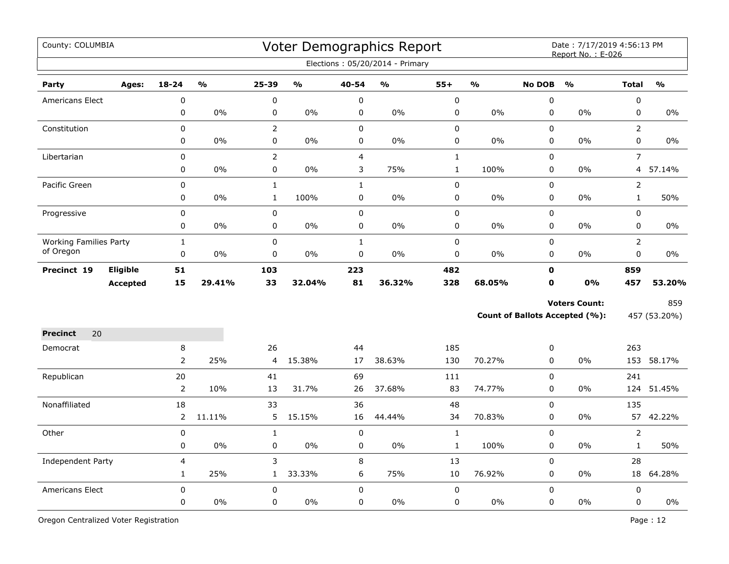| County: COLUMBIA              |                 |                |               |                |               |                | Voter Demographics Report<br>Elections: 05/20/2014 - Primary |              |               |               | Date: 7/17/2019 4:56:13 PM<br>Report No.: E-026 |                |                         |
|-------------------------------|-----------------|----------------|---------------|----------------|---------------|----------------|--------------------------------------------------------------|--------------|---------------|---------------|-------------------------------------------------|----------------|-------------------------|
| Party                         | Ages:           | $18 - 24$      | $\frac{0}{0}$ | $25 - 39$      | $\frac{1}{2}$ | 40-54          | $\frac{9}{6}$                                                | $55+$        | $\frac{1}{2}$ | <b>No DOB</b> | $\frac{1}{2}$                                   | <b>Total</b>   | $\mathbf{O}/\mathbf{O}$ |
| Americans Elect               |                 | $\mathbf 0$    |               | 0              |               | $\pmb{0}$      |                                                              | $\mathbf 0$  |               | 0             |                                                 | $\pmb{0}$      |                         |
|                               |                 | 0              | 0%            | 0              | 0%            | $\pmb{0}$      | 0%                                                           | 0            | 0%            | $\pmb{0}$     | 0%                                              | $\pmb{0}$      | 0%                      |
| Constitution                  |                 | 0              |               | $\overline{2}$ |               | $\pmb{0}$      |                                                              | 0            |               | 0             |                                                 | $\overline{2}$ |                         |
|                               |                 | 0              | 0%            | 0              | 0%            | $\pmb{0}$      | 0%                                                           | 0            | 0%            | $\pmb{0}$     | 0%                                              | $\pmb{0}$      | 0%                      |
| Libertarian                   |                 | 0              |               | $\overline{2}$ |               | $\overline{4}$ |                                                              | $\mathbf{1}$ |               | $\pmb{0}$     |                                                 | $\overline{7}$ |                         |
|                               |                 | 0              | $0\%$         | 0              | $0\%$         | 3              | 75%                                                          | $\mathbf{1}$ | 100%          | 0             | 0%                                              |                | 4 57.14%                |
| Pacific Green                 |                 | 0              |               | $\mathbf{1}$   |               | $\mathbf{1}$   |                                                              | 0            |               | 0             |                                                 | $\overline{2}$ |                         |
|                               |                 | 0              | $0\%$         | $\mathbf{1}$   | 100%          | $\mathbf 0$    | 0%                                                           | 0            | 0%            | 0             | $0\%$                                           | $\mathbf{1}$   | 50%                     |
| Progressive                   |                 | 0              |               | $\mathbf 0$    |               | $\pmb{0}$      |                                                              | 0            |               | $\pmb{0}$     |                                                 | $\pmb{0}$      |                         |
|                               |                 | 0              | 0%            | $\pmb{0}$      | 0%            | $\pmb{0}$      | 0%                                                           | 0            | 0%            | $\mathbf 0$   | 0%                                              | $\mathbf 0$    | $0\%$                   |
| <b>Working Families Party</b> |                 | $\mathbf 1$    |               | 0              |               | $\mathbf 1$    |                                                              | 0            |               | $\pmb{0}$     |                                                 | $\overline{2}$ |                         |
| of Oregon                     |                 | $\mathbf 0$    | 0%            | 0              | $0\%$         | $\pmb{0}$      | 0%                                                           | 0            | 0%            | $\mathbf 0$   | 0%                                              | $\mathbf 0$    | $0\%$                   |
| Precinct 19                   | Eligible        | 51             |               | 103            |               | 223            |                                                              | 482          |               | $\mathbf 0$   |                                                 | 859            |                         |
|                               | <b>Accepted</b> | 15             | 29.41%        | 33             | 32.04%        | 81             | 36.32%                                                       | 328          | 68.05%        | $\mathbf 0$   | 0%                                              | 457            | 53.20%                  |
|                               |                 |                |               |                |               |                |                                                              |              |               |               | <b>Voters Count:</b>                            |                | 859                     |
|                               |                 |                |               |                |               |                |                                                              |              |               |               | Count of Ballots Accepted (%):                  |                | 457 (53.20%)            |
| 20<br><b>Precinct</b>         |                 |                |               |                |               |                |                                                              |              |               |               |                                                 |                |                         |
| Democrat                      |                 | 8              |               | 26             |               | 44             |                                                              | 185          |               | 0             |                                                 | 263            |                         |
|                               |                 | $\overline{2}$ | 25%           | 4              | 15.38%        | 17             | 38.63%                                                       | 130          | 70.27%        | 0             | 0%                                              | 153            | 58.17%                  |
| Republican                    |                 | 20             |               | 41             |               | 69             |                                                              | 111          |               | 0             |                                                 | 241            |                         |
|                               |                 | $\overline{2}$ | 10%           | 13             | 31.7%         | 26             | 37.68%                                                       | 83           | 74.77%        | $\mathbf 0$   | 0%                                              | 124            | 51.45%                  |
| Nonaffiliated                 |                 | 18             |               | 33             |               | 36             |                                                              | 48           |               | $\mathbf 0$   |                                                 | 135            |                         |
|                               |                 | $\overline{2}$ | 11.11%        | 5              | 15.15%        | 16             | 44.44%                                                       | 34           | 70.83%        | 0             | 0%                                              | 57             | 42.22%                  |
| Other                         |                 | $\mathbf 0$    |               | $\mathbf{1}$   |               | $\pmb{0}$      |                                                              | $\mathbf{1}$ |               | $\mathbf 0$   |                                                 | $\overline{2}$ |                         |
|                               |                 | 0              | 0%            | 0              | $0\%$         | $\pmb{0}$      | 0%                                                           | $\mathbf{1}$ | 100%          | $\mathbf 0$   | 0%                                              | $\mathbf{1}$   | 50%                     |
| Independent Party             |                 | 4              |               | 3              |               | 8              |                                                              | 13           |               | 0             |                                                 | 28             |                         |
|                               |                 | 1              | 25%           | $\mathbf{1}$   | 33.33%        | 6              | 75%                                                          | 10           | 76.92%        | 0             | 0%                                              |                | 18 64.28%               |
| <b>Americans Elect</b>        |                 | $\mathbf 0$    |               | 0              |               | $\pmb{0}$      |                                                              | 0            |               | 0             |                                                 | $\pmb{0}$      |                         |
|                               |                 | 0              | $0\%$         | 0              | $0\%$         | $\mathsf 0$    | 0%                                                           | 0            | 0%            | 0             | $0\%$                                           | $\mathsf 0$    | 0%                      |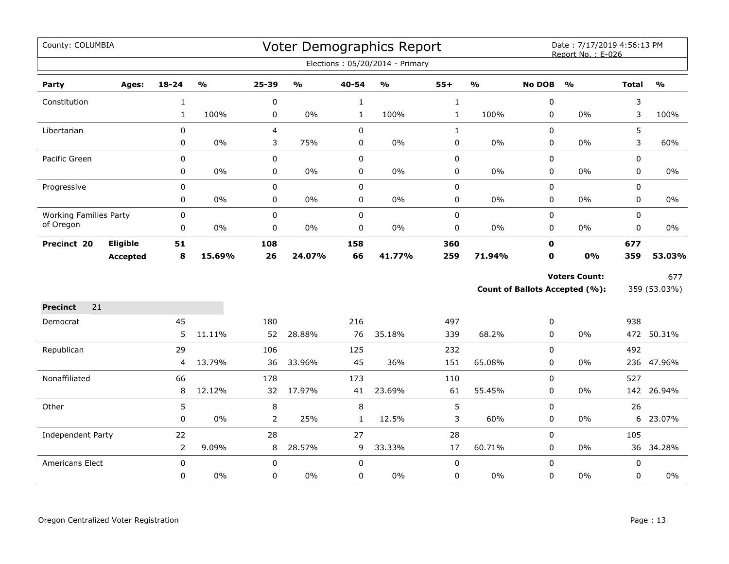| County: COLUMBIA              |                 |                |                         |           |                                   |              | Voter Demographics Report       |              |                         |               | Date: 7/17/2019 4:56:13 PM<br>Report No.: E-026 |              |                                   |
|-------------------------------|-----------------|----------------|-------------------------|-----------|-----------------------------------|--------------|---------------------------------|--------------|-------------------------|---------------|-------------------------------------------------|--------------|-----------------------------------|
|                               |                 |                |                         |           |                                   |              | Elections: 05/20/2014 - Primary |              |                         |               |                                                 |              |                                   |
| Party                         | Ages:           | 18-24          | $\mathbf{O}/\mathbf{o}$ | 25-39     | $\mathsf{o}\mathsf{v}_\mathsf{o}$ | 40-54        | %                               | $55+$        | $\mathbf{0}/\mathbf{0}$ | <b>No DOB</b> | $\mathbf{O}/\mathbf{o}$                         | <b>Total</b> | $\mathsf{o}\mathsf{v}_\mathsf{o}$ |
| Constitution                  |                 | $\mathbf{1}$   |                         | 0         |                                   | $\mathbf{1}$ |                                 | $\mathbf{1}$ |                         | 0             |                                                 | 3            |                                   |
|                               |                 | $\mathbf{1}$   | 100%                    | 0         | $0\%$                             | $\mathbf{1}$ | 100%                            | $\mathbf{1}$ | 100%                    | 0             | 0%                                              | 3            | 100%                              |
| Libertarian                   |                 | 0              |                         | 4         |                                   | $\mathbf 0$  |                                 | $\mathbf{1}$ |                         | $\mathbf 0$   |                                                 | 5            |                                   |
|                               |                 | 0              | 0%                      | 3         | 75%                               | 0            | 0%                              | $\mathbf 0$  | 0%                      | 0             | 0%                                              | 3            | 60%                               |
| Pacific Green                 |                 | 0              |                         | $\pmb{0}$ |                                   | $\pmb{0}$    |                                 | $\pmb{0}$    |                         | $\mathbf 0$   |                                                 | 0            |                                   |
|                               |                 | 0              | $0\%$                   | 0         | $0\%$                             | $\pmb{0}$    | $0\%$                           | $\pmb{0}$    | 0%                      | 0             | $0\%$                                           | 0            | $0\%$                             |
| Progressive                   |                 | 0              |                         | 0         |                                   | $\mathbf 0$  |                                 | $\pmb{0}$    |                         | $\mathbf 0$   |                                                 | $\mathbf 0$  |                                   |
|                               |                 | 0              | 0%                      | 0         | 0%                                | $\pmb{0}$    | 0%                              | 0            | 0%                      | 0             | 0%                                              | 0            | $0\%$                             |
| <b>Working Families Party</b> |                 | 0              |                         | $\pmb{0}$ |                                   | $\pmb{0}$    |                                 | $\pmb{0}$    |                         | 0             |                                                 | 0            |                                   |
| of Oregon                     |                 | 0              | $0\%$                   | 0         | $0\%$                             | $\pmb{0}$    | $0\%$                           | $\pmb{0}$    | $0\%$                   | 0             | $0\%$                                           | 0            | $0\%$                             |
| Precinct 20                   | Eligible        | 51             |                         | 108       |                                   | 158          |                                 | 360          |                         | $\mathbf 0$   |                                                 | 677          |                                   |
|                               | <b>Accepted</b> | 8              | 15.69%                  | 26        | 24.07%                            | 66           | 41.77%                          | 259          | 71.94%                  | $\mathbf 0$   | 0%                                              | 359          | 53.03%                            |
|                               |                 |                |                         |           |                                   |              |                                 |              |                         |               | <b>Voters Count:</b>                            |              | 677                               |
|                               |                 |                |                         |           |                                   |              |                                 |              |                         |               | <b>Count of Ballots Accepted (%):</b>           |              | 359 (53.03%)                      |
| <b>Precinct</b><br>21         |                 |                |                         |           |                                   |              |                                 |              |                         |               |                                                 |              |                                   |
| Democrat                      |                 | 45             |                         | 180       |                                   | 216          |                                 | 497          |                         | 0             |                                                 | 938          |                                   |
|                               |                 | 5              | 11.11%                  | 52        | 28.88%                            | 76           | 35.18%                          | 339          | 68.2%                   | 0             | $0\%$                                           |              | 472 50.31%                        |
| Republican                    |                 | 29             |                         | 106       |                                   | 125          |                                 | 232          |                         | 0             |                                                 | 492          |                                   |
|                               |                 | 4              | 13.79%                  | 36        | 33.96%                            | 45           | 36%                             | 151          | 65.08%                  | 0             | 0%                                              |              | 236 47.96%                        |
| Nonaffiliated                 |                 | 66             |                         | 178       |                                   | 173          |                                 | 110          |                         | 0             |                                                 | 527          |                                   |
|                               |                 | 8              | 12.12%                  | 32        | 17.97%                            | 41           | 23.69%                          | 61           | 55.45%                  | $\mathbf 0$   | 0%                                              |              | 142 26.94%                        |
| Other                         |                 | 5              |                         | $\,8\,$   |                                   | $\,8\,$      |                                 | 5            |                         | 0             |                                                 | 26           |                                   |
|                               |                 | 0              | 0%                      | 2         | 25%                               | $\mathbf{1}$ | 12.5%                           | 3            | 60%                     | 0             | 0%                                              | 6            | 23.07%                            |
| Independent Party             |                 | 22             |                         | 28        |                                   | 27           |                                 | 28           |                         | 0             |                                                 | 105          |                                   |
|                               |                 | $\overline{2}$ | 9.09%                   | 8         | 28.57%                            | 9            | 33.33%                          | 17           | 60.71%                  | 0             | 0%                                              |              | 36 34.28%                         |
| Americans Elect               |                 | $\mathbf 0$    |                         | 0         |                                   | $\mathbf 0$  |                                 | $\mathbf 0$  |                         | 0             |                                                 | $\mathbf 0$  |                                   |
|                               |                 | 0              | 0%                      | 0         | $0\%$                             | $\mathbf 0$  | $0\%$                           | $\pmb{0}$    | 0%                      | 0             | 0%                                              | 0            | $0\%$                             |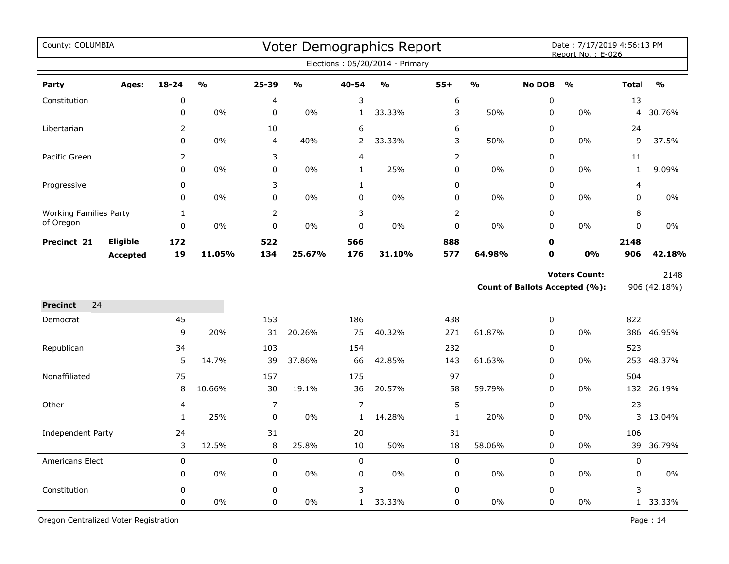| County: COLUMBIA              |                 |                |               |                |                                   |                | Voter Demographics Report<br>Elections: 05/20/2014 - Primary |                |               |                       | Date: 7/17/2019 4:56:13 PM<br>Report No.: E-026        |                |                      |
|-------------------------------|-----------------|----------------|---------------|----------------|-----------------------------------|----------------|--------------------------------------------------------------|----------------|---------------|-----------------------|--------------------------------------------------------|----------------|----------------------|
|                               |                 |                |               |                |                                   |                |                                                              |                |               |                       |                                                        |                |                      |
| Party                         | Ages:           | $18 - 24$      | $\frac{1}{2}$ | 25-39          | $\mathsf{o}\mathsf{v}_\mathsf{o}$ | 40-54          | $\frac{1}{2}$                                                | $55+$          | $\frac{1}{2}$ | <b>No DOB</b>         | $\frac{0}{0}$                                          | <b>Total</b>   | $\frac{1}{2}$        |
| Constitution                  |                 | $\pmb{0}$      |               | 4              |                                   | 3              |                                                              | 6              |               | $\boldsymbol{0}$      |                                                        | 13             |                      |
|                               |                 | 0              | $0\%$         | 0              | 0%                                | $\mathbf{1}$   | 33.33%                                                       | 3              | 50%           | $\mathbf 0$           | $0\%$                                                  | $\overline{4}$ | 30.76%               |
| Libertarian                   |                 | $\overline{2}$ |               | 10             |                                   | 6              |                                                              | 6              |               | $\mathbf 0$           |                                                        | 24             |                      |
|                               |                 | 0              | $0\%$         | 4              | 40%                               | 2              | 33.33%                                                       | 3              | 50%           | 0                     | 0%                                                     | 9              | 37.5%                |
| Pacific Green                 |                 | $\overline{2}$ |               | 3              |                                   | $\overline{4}$ |                                                              | $\mathbf 2$    |               | 0                     |                                                        | 11             |                      |
|                               |                 | $\pmb{0}$      | 0%            | 0              | 0%                                | $\mathbf{1}$   | 25%                                                          | $\pmb{0}$      | 0%            | $\pmb{0}$             | 0%                                                     | $\mathbf{1}$   | 9.09%                |
| Progressive                   |                 | $\pmb{0}$      |               | 3              |                                   | $\mathbf{1}$   |                                                              | $\pmb{0}$      |               | $\pmb{0}$             |                                                        | 4              |                      |
|                               |                 | $\mathbf 0$    | 0%            | $\mathbf 0$    | 0%                                | $\mathbf 0$    | 0%                                                           | $\pmb{0}$      | 0%            | 0                     | 0%                                                     | 0              | $0\%$                |
| <b>Working Families Party</b> |                 | $\mathbf{1}$   |               | $\overline{2}$ |                                   | $\mathsf 3$    |                                                              | $\overline{2}$ |               | 0                     |                                                        | 8              |                      |
| of Oregon                     |                 | $\pmb{0}$      | 0%            | 0              | 0%                                | $\pmb{0}$      | 0%                                                           | $\pmb{0}$      | 0%            | 0                     | 0%                                                     | 0              | 0%                   |
| Precinct 21                   | <b>Eligible</b> | 172            |               | 522            |                                   | 566            |                                                              | 888            |               | $\mathbf 0$           |                                                        | 2148           |                      |
|                               | <b>Accepted</b> | 19             | 11.05%        | 134            | 25.67%                            | 176            | 31.10%                                                       | 577            | 64.98%        | $\mathbf 0$           | 0%                                                     | 906            | 42.18%               |
|                               |                 |                |               |                |                                   |                |                                                              |                |               |                       | <b>Voters Count:</b><br>Count of Ballots Accepted (%): |                | 2148<br>906 (42.18%) |
|                               |                 |                |               |                |                                   |                |                                                              |                |               |                       |                                                        |                |                      |
| <b>Precinct</b><br>24         |                 |                |               |                |                                   |                |                                                              |                |               |                       |                                                        |                |                      |
| Democrat                      |                 | 45<br>9        | 20%           | 153<br>31      | 20.26%                            | 186<br>75      | 40.32%                                                       | 438<br>271     | 61.87%        | $\boldsymbol{0}$<br>0 | 0%                                                     | 822            | 386 46.95%           |
|                               |                 | 34             |               |                |                                   |                |                                                              |                |               |                       |                                                        | 523            |                      |
| Republican                    |                 | 5              | 14.7%         | 103<br>39      | 37.86%                            | 154<br>66      | 42.85%                                                       | 232<br>143     | 61.63%        | $\mathbf 0$<br>0      | 0%                                                     |                | 253 48.37%           |
|                               |                 | 75             |               |                |                                   |                |                                                              | 97             |               | $\mathbf 0$           |                                                        | 504            |                      |
| Nonaffiliated                 |                 | 8              | 10.66%        | 157<br>30      | 19.1%                             | 175<br>36      | 20.57%                                                       | 58             | 59.79%        | 0                     | 0%                                                     | 132            | 26.19%               |
| Other                         |                 | 4              |               | $\overline{7}$ |                                   | $\overline{7}$ |                                                              | 5              |               | $\pmb{0}$             |                                                        | 23             |                      |
|                               |                 | $\mathbf{1}$   | 25%           | 0              | 0%                                | $\mathbf{1}$   | 14.28%                                                       | $\mathbf 1$    | 20%           | 0                     | 0%                                                     |                | 3 13.04%             |
| Independent Party             |                 | 24             |               | 31             |                                   | 20             |                                                              | 31             |               | 0                     |                                                        | 106            |                      |
|                               |                 | 3              | 12.5%         | 8              | 25.8%                             | 10             | 50%                                                          | 18             | 58.06%        | $\pmb{0}$             | $0\%$                                                  | 39             | 36.79%               |
| Americans Elect               |                 | 0              |               | 0              |                                   | 0              |                                                              | $\pmb{0}$      |               | 0                     |                                                        | 0              |                      |
|                               |                 | $\pmb{0}$      | 0%            | 0              | 0%                                | $\mathbf 0$    | 0%                                                           | $\pmb{0}$      | 0%            | 0                     | 0%                                                     | 0              | 0%                   |
| Constitution                  |                 | $\mathbf 0$    |               | 0              |                                   | 3              |                                                              | $\pmb{0}$      |               | 0                     |                                                        | 3              |                      |
|                               |                 | 0              | 0%            | $\mathbf 0$    | 0%                                | $\mathbf{1}$   | 33.33%                                                       | $\mathbf 0$    | $0\%$         | 0                     | 0%                                                     |                | 1 33.33%             |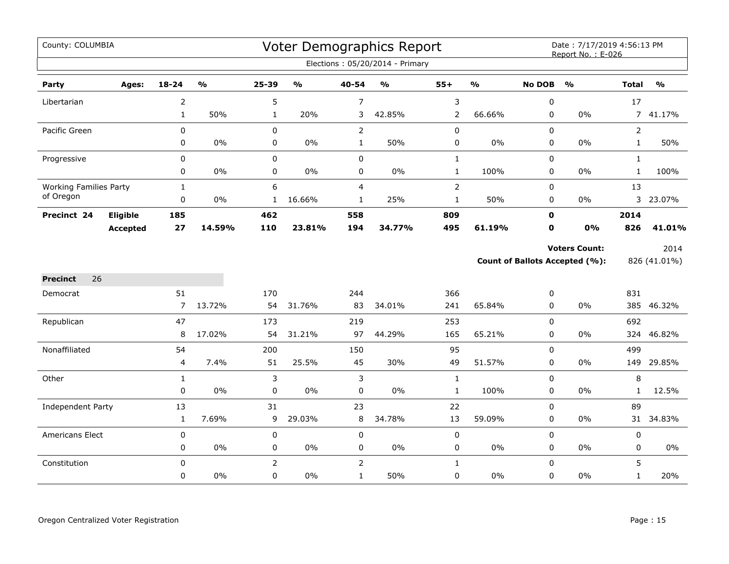| County: COLUMBIA              |                 |                         |               |                |               |                | Voter Demographics Report       |                |                                   |               | Date: 7/17/2019 4:56:13 PM<br>Report No.: E-026 |                |               |
|-------------------------------|-----------------|-------------------------|---------------|----------------|---------------|----------------|---------------------------------|----------------|-----------------------------------|---------------|-------------------------------------------------|----------------|---------------|
|                               |                 |                         |               |                |               |                | Elections: 05/20/2014 - Primary |                |                                   |               |                                                 |                |               |
| Party                         | Ages:           | 18-24                   | $\frac{0}{0}$ | 25-39          | $\frac{1}{2}$ | 40-54          | $\frac{1}{2}$                   | $55+$          | $\mathsf{o}\mathsf{v}_\mathsf{o}$ | <b>No DOB</b> | $\frac{1}{2}$                                   | <b>Total</b>   | $\frac{1}{2}$ |
| Libertarian                   |                 | $\overline{2}$          |               | 5              |               | 7              |                                 | 3              |                                   | $\pmb{0}$     |                                                 | 17             |               |
|                               |                 | $\mathbf{1}$            | 50%           | $\mathbf{1}$   | 20%           | 3              | 42.85%                          | $\overline{2}$ | 66.66%                            | 0             | 0%                                              |                | 7 41.17%      |
| Pacific Green                 |                 | $\mathsf 0$             |               | $\mathbf 0$    |               | $\overline{2}$ |                                 | 0              |                                   | 0             |                                                 | $\overline{2}$ |               |
|                               |                 | 0                       | 0%            | $\pmb{0}$      | 0%            | $\mathbf{1}$   | 50%                             | 0              | 0%                                | 0             | $0\%$                                           | $\mathbf{1}$   | 50%           |
| Progressive                   |                 | $\mathbf 0$             |               | $\mathbf 0$    |               | $\mathbf 0$    |                                 | $\mathbf{1}$   |                                   | $\mathbf 0$   |                                                 | $\mathbf{1}$   |               |
|                               |                 | 0                       | 0%            | 0              | 0%            | 0              | $0\%$                           | $\mathbf{1}$   | 100%                              | $\mathbf 0$   | $0\%$                                           | $\mathbf{1}$   | 100%          |
| <b>Working Families Party</b> |                 | $\mathbf{1}$            |               | 6              |               | 4              |                                 | $\overline{2}$ |                                   | 0             |                                                 | 13             |               |
| of Oregon                     |                 | $\pmb{0}$               | $0\%$         | $\mathbf{1}$   | 16.66%        | $\mathbf{1}$   | 25%                             | $\mathbf 1$    | 50%                               | 0             | $0\%$                                           |                | 3 23.07%      |
| Precinct 24                   | Eligible        | 185                     |               | 462            |               | 558            |                                 | 809            |                                   | $\mathbf 0$   |                                                 | 2014           |               |
|                               | <b>Accepted</b> | 27                      | 14.59%        | 110            | 23.81%        | 194            | 34.77%                          | 495            | 61.19%                            | 0             | 0%                                              | 826            | 41.01%        |
|                               |                 |                         |               |                |               |                |                                 |                |                                   |               | <b>Voters Count:</b>                            |                | 2014          |
|                               |                 |                         |               |                |               |                |                                 |                |                                   |               | <b>Count of Ballots Accepted (%):</b>           |                | 826 (41.01%)  |
| 26<br><b>Precinct</b>         |                 |                         |               |                |               |                |                                 |                |                                   |               |                                                 |                |               |
| Democrat                      |                 | 51                      |               | 170            |               | 244            |                                 | 366            |                                   | 0             |                                                 | 831            |               |
|                               |                 | $\overline{7}$          | 13.72%        | 54             | 31.76%        | 83             | 34.01%                          | 241            | 65.84%                            | 0             | $0\%$                                           |                | 385 46.32%    |
| Republican                    |                 | 47                      |               | 173            |               | 219            |                                 | 253            |                                   | $\Omega$      |                                                 | 692            |               |
|                               |                 | 8                       | 17.02%        | 54             | 31.21%        | 97             | 44.29%                          | 165            | 65.21%                            | 0             | $0\%$                                           | 324            | 46.82%        |
| Nonaffiliated                 |                 | 54                      |               | 200            |               | 150            |                                 | 95             |                                   | 0             |                                                 | 499            |               |
|                               |                 | $\overline{\mathbf{4}}$ | 7.4%          | 51             | 25.5%         | 45             | 30%                             | 49             | 51.57%                            | 0             | $0\%$                                           | 149            | 29.85%        |
| Other                         |                 | $\mathbf{1}$            |               | 3              |               | 3              |                                 | $\mathbf{1}$   |                                   | $\mathbf 0$   |                                                 | 8              |               |
|                               |                 | $\mathbf 0$             | 0%            | 0              | 0%            | 0              | 0%                              | $\mathbf{1}$   | 100%                              | 0             | $0\%$                                           | $\mathbf{1}$   | 12.5%         |
| Independent Party             |                 | 13                      |               | 31             |               | 23             |                                 | 22             |                                   | $\mathbf 0$   |                                                 | 89             |               |
|                               |                 | $\mathbf{1}$            | 7.69%         | 9              | 29.03%        | 8              | 34.78%                          | 13             | 59.09%                            | $\mathbf 0$   | $0\%$                                           | 31             | 34.83%        |
| Americans Elect               |                 | $\pmb{0}$               |               | 0              |               | 0              |                                 | $\pmb{0}$      |                                   | 0             |                                                 | $\pmb{0}$      |               |
|                               |                 | 0                       | 0%            | 0              | 0%            | 0              | $0\%$                           | 0              | $0\%$                             | 0             | $0\%$                                           | 0              | $0\%$         |
| Constitution                  |                 | $\Omega$                |               | $\overline{2}$ |               | $\overline{2}$ |                                 | $\mathbf{1}$   |                                   | 0             |                                                 | 5              |               |
|                               |                 | 0                       | $0\%$         | $\mathbf 0$    | 0%            | $\mathbf{1}$   | 50%                             | 0              | $0\%$                             | $\mathbf 0$   | $0\%$                                           | $\mathbf{1}$   | 20%           |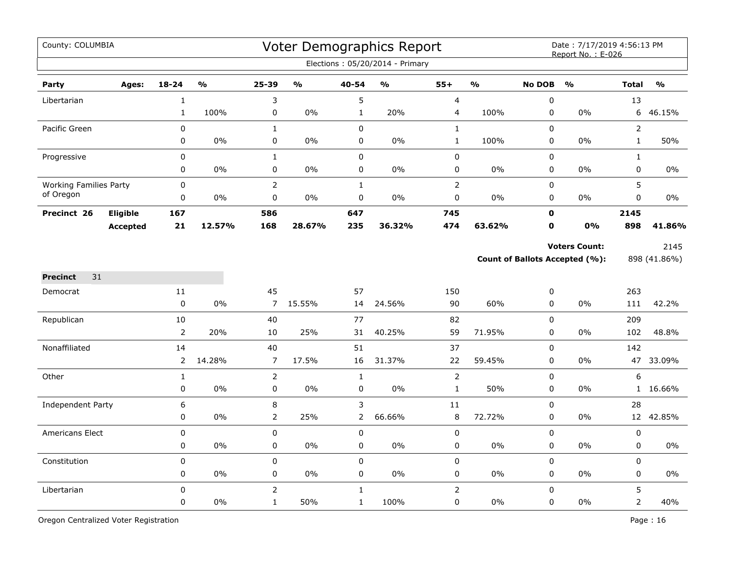| County: COLUMBIA              |                 |                   |               |                             |               |                   | Voter Demographics Report<br>Elections: 05/20/2014 - Primary |                               |               |                  | Date: 7/17/2019 4:56:13 PM<br>Report No.: E-026               |                |                      |
|-------------------------------|-----------------|-------------------|---------------|-----------------------------|---------------|-------------------|--------------------------------------------------------------|-------------------------------|---------------|------------------|---------------------------------------------------------------|----------------|----------------------|
| Party                         | Ages:           | $18 - 24$         | $\frac{0}{0}$ | 25-39                       | $\frac{0}{0}$ | 40-54             | $\frac{0}{0}$                                                | $55+$                         | $\frac{1}{2}$ | <b>No DOB</b>    | $\frac{0}{0}$                                                 | <b>Total</b>   | $\frac{0}{0}$        |
| Libertarian                   |                 | $\mathbf 1$       |               | 3                           |               | 5                 |                                                              | $\overline{4}$                |               | $\pmb{0}$        |                                                               | 13             |                      |
|                               |                 | $\mathbf{1}$      | 100%          | 0                           | $0\%$         | $\mathbf{1}$      | 20%                                                          | 4                             | 100%          | 0                | $0\%$                                                         | 6              | 46.15%               |
| Pacific Green                 |                 | 0                 |               | $\mathbf{1}$                |               | $\mathbf 0$       |                                                              | $\mathbf 1$                   |               | $\mathbf 0$      |                                                               | $\overline{2}$ |                      |
|                               |                 | 0                 | 0%            | $\pmb{0}$                   | $0\%$         | $\pmb{0}$         | $0\%$                                                        | $\mathbf{1}$                  | 100%          | $\pmb{0}$        | 0%                                                            | $\mathbf{1}$   | 50%                  |
| Progressive                   |                 | 0                 |               | $\mathbf{1}$                |               | $\mathbf 0$       |                                                              | $\pmb{0}$                     |               | $\mathbf 0$      |                                                               | $\mathbf{1}$   |                      |
|                               |                 | 0                 | 0%            | 0                           | $0\%$         | 0                 | 0%                                                           | 0                             | $0\%$         | 0                | $0\%$                                                         | 0              | 0%                   |
| <b>Working Families Party</b> |                 | 0                 |               | $\overline{2}$              |               | $\mathbf{1}$      |                                                              | $\overline{2}$                |               | $\mathbf 0$      |                                                               | 5              |                      |
| of Oregon                     |                 | 0                 | $0\%$         | $\pmb{0}$                   | $0\%$         | $\pmb{0}$         | $0\%$                                                        | 0                             | $0\%$         | 0                | $0\%$                                                         | 0              | 0%                   |
| Precinct 26                   | Eligible        | 167               |               | 586                         |               | 647               |                                                              | 745                           |               | $\mathbf 0$      |                                                               | 2145           |                      |
|                               | <b>Accepted</b> | 21                | 12.57%        | 168                         | 28.67%        | 235               | 36.32%                                                       | 474                           | 63.62%        | $\mathbf 0$      | 0%                                                            | 898            | 41.86%               |
|                               |                 |                   |               |                             |               |                   |                                                              |                               |               |                  | <b>Voters Count:</b><br><b>Count of Ballots Accepted (%):</b> |                | 2145<br>898 (41.86%) |
| 31<br><b>Precinct</b>         |                 |                   |               |                             |               |                   |                                                              |                               |               |                  |                                                               |                |                      |
| Democrat                      |                 | 11                |               | 45                          |               | 57                |                                                              | 150                           |               | 0                |                                                               | 263            |                      |
|                               |                 | $\mathbf 0$       | 0%            | $\overline{7}$              | 15.55%        | 14                | 24.56%                                                       | 90                            | 60%           | $\pmb{0}$        | 0%                                                            | 111            | 42.2%                |
| Republican                    |                 | 10                |               | 40                          |               | 77                |                                                              | 82                            |               | $\mathbf 0$      |                                                               | 209            |                      |
|                               |                 | $\overline{2}$    | 20%           | 10                          | 25%           | 31                | 40.25%                                                       | 59                            | 71.95%        | $\pmb{0}$        | 0%                                                            | 102            | 48.8%                |
| Nonaffiliated                 |                 | 14                | 14.28%        | 40<br>7                     | 17.5%         | 51<br>16          | 31.37%                                                       | 37<br>22                      | 59.45%        | $\pmb{0}$<br>0   | 0%                                                            | 142            | 47 33.09%            |
|                               |                 | $\overline{2}$    |               |                             |               |                   |                                                              |                               |               |                  |                                                               |                |                      |
| Other                         |                 | $\mathbf{1}$<br>0 | 0%            | $\overline{2}$<br>$\pmb{0}$ | 0%            | $\mathbf{1}$<br>0 | 0%                                                           | $\mathsf{2}\,$<br>$\mathbf 1$ | 50%           | $\mathbf 0$<br>0 | 0%                                                            | 6<br>1         | 16.66%               |
| Independent Party             |                 | 6                 |               | 8                           |               | $\mathsf 3$       |                                                              | 11                            |               | $\pmb{0}$        |                                                               | 28             |                      |
|                               |                 | 0                 | $0\%$         | 2                           | 25%           | 2                 | 66.66%                                                       | $\, 8$                        | 72.72%        | 0                | 0%                                                            |                | 12 42.85%            |
| <b>Americans Elect</b>        |                 | 0                 |               | 0                           |               | $\mathbf 0$       |                                                              | 0                             |               | $\mathbf 0$      |                                                               | 0              |                      |
|                               |                 | 0                 | 0%            | $\pmb{0}$                   | 0%            | 0                 | 0%                                                           | 0                             | $0\%$         | 0                | 0%                                                            | 0              | 0%                   |
| Constitution                  |                 | 0                 |               | $\pmb{0}$                   |               | $\pmb{0}$         |                                                              | $\pmb{0}$                     |               | $\pmb{0}$        |                                                               | 0              |                      |
|                               |                 | 0                 | 0%            | 0                           | $0\%$         | 0                 | 0%                                                           | 0                             | $0\%$         | 0                | $0\%$                                                         | 0              | 0%                   |
| Libertarian                   |                 | 0                 |               | $\overline{2}$              |               | $\mathbf{1}$      |                                                              | $\overline{2}$                |               | $\mathbf 0$      |                                                               | 5              |                      |
|                               |                 | 0                 | 0%            | $\mathbf{1}$                | 50%           | $\mathbf{1}$      | 100%                                                         | 0                             | 0%            | $\pmb{0}$        | 0%                                                            | $\overline{2}$ | 40%                  |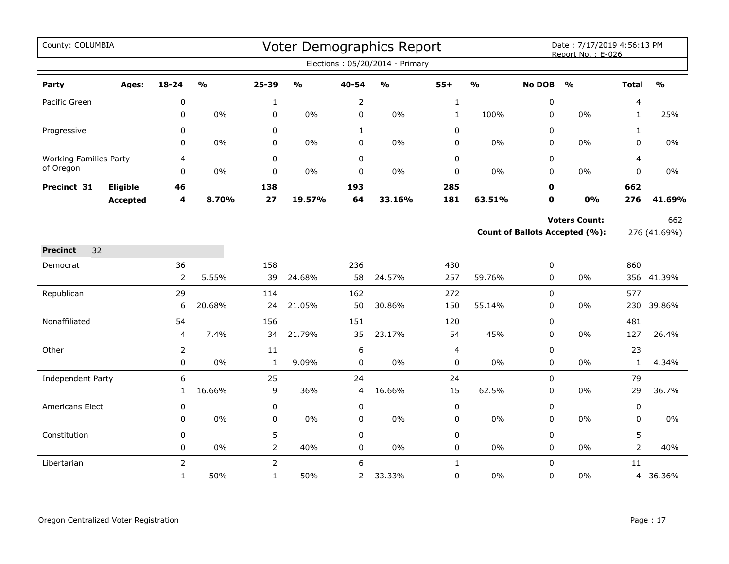| County: COLUMBIA              |                 |                |                         |                |                                   |                | Voter Demographics Report         |              |                         |               | Date: 7/17/2019 4:56:13 PM<br>Report No.: E-026 |                |               |
|-------------------------------|-----------------|----------------|-------------------------|----------------|-----------------------------------|----------------|-----------------------------------|--------------|-------------------------|---------------|-------------------------------------------------|----------------|---------------|
|                               |                 |                |                         |                |                                   |                | Elections: 05/20/2014 - Primary   |              |                         |               |                                                 |                |               |
| Party                         | Ages:           | $18 - 24$      | $\mathbf{0}/\mathbf{0}$ | 25-39          | $\mathsf{o}\mathsf{v}_\mathsf{o}$ | 40-54          | $\mathsf{o}\mathsf{v}_\mathsf{o}$ | $55+$        | $\mathbf{O}/\mathbf{o}$ | <b>No DOB</b> | $\mathbf{O}/\mathbf{o}$                         | <b>Total</b>   | $\frac{0}{0}$ |
| Pacific Green                 |                 | 0              |                         | $\mathbf{1}$   |                                   | $\overline{2}$ |                                   | $\mathbf{1}$ |                         | 0             |                                                 | 4              |               |
|                               |                 | 0              | $0\%$                   | 0              | $0\%$                             | $\pmb{0}$      | $0\%$                             | $\mathbf{1}$ | 100%                    | 0             | 0%                                              | $\mathbf{1}$   | 25%           |
| Progressive                   |                 | $\mathbf 0$    |                         | 0              |                                   | $\mathbf{1}$   |                                   | $\pmb{0}$    |                         | 0             |                                                 | $\mathbf{1}$   |               |
|                               |                 | 0              | 0%                      | 0              | $0\%$                             | 0              | $0\%$                             | 0            | 0%                      | 0             | 0%                                              | 0              | 0%            |
| <b>Working Families Party</b> |                 | 4              |                         | 0              |                                   | $\pmb{0}$      |                                   | $\pmb{0}$    |                         | 0             |                                                 | 4              |               |
| of Oregon                     |                 | 0              | $0\%$                   | 0              | $0\%$                             | $\pmb{0}$      | $0\%$                             | $\pmb{0}$    | 0%                      | 0             | 0%                                              | 0              | $0\%$         |
| Precinct 31                   | Eligible        | 46             |                         | 138            |                                   | 193            |                                   | 285          |                         | $\mathbf{0}$  |                                                 | 662            |               |
|                               | <b>Accepted</b> | 4              | 8.70%                   | 27             | 19.57%                            | 64             | 33.16%                            | 181          | 63.51%                  | 0             | 0%                                              | 276            | 41.69%        |
|                               |                 |                |                         |                |                                   |                |                                   |              |                         |               | <b>Voters Count:</b>                            |                | 662           |
|                               |                 |                |                         |                |                                   |                |                                   |              |                         |               | Count of Ballots Accepted (%):                  |                | 276 (41.69%)  |
| <b>Precinct</b><br>32         |                 |                |                         |                |                                   |                |                                   |              |                         |               |                                                 |                |               |
| Democrat                      |                 | 36             |                         | 158            |                                   | 236            |                                   | 430          |                         | 0             |                                                 | 860            |               |
|                               |                 | $\overline{2}$ | 5.55%                   | 39             | 24.68%                            | 58             | 24.57%                            | 257          | 59.76%                  | 0             | 0%                                              |                | 356 41.39%    |
| Republican                    |                 | 29             |                         | 114            |                                   | 162            |                                   | 272          |                         | 0             |                                                 | 577            |               |
|                               |                 | 6              | 20.68%                  | 24             | 21.05%                            | 50             | 30.86%                            | 150          | 55.14%                  | $\Omega$      | $0\%$                                           | 230            | 39.86%        |
| Nonaffiliated                 |                 | 54             |                         | 156            |                                   | 151            |                                   | 120          |                         | 0             |                                                 | 481            |               |
|                               |                 | $\overline{4}$ | 7.4%                    | 34             | 21.79%                            | 35             | 23.17%                            | 54           | 45%                     | 0             | $0\%$                                           | 127            | 26.4%         |
| Other                         |                 | $\overline{2}$ |                         | 11             |                                   | 6              |                                   | 4            |                         | 0             |                                                 | 23             |               |
|                               |                 | 0              | $0\%$                   | $\mathbf 1$    | 9.09%                             | $\mathbf 0$    | $0\%$                             | $\pmb{0}$    | $0\%$                   | 0             | $0\%$                                           | $\mathbf{1}$   | 4.34%         |
| Independent Party             |                 | 6              |                         | 25             |                                   | 24             |                                   | 24           |                         | 0             |                                                 | 79             |               |
|                               |                 | $\mathbf{1}$   | 16.66%                  | $\overline{9}$ | 36%                               | 4              | 16.66%                            | 15           | 62.5%                   | 0             | $0\%$                                           | 29             | 36.7%         |
| <b>Americans Elect</b>        |                 | $\pmb{0}$      |                         | 0              |                                   | $\pmb{0}$      |                                   | $\pmb{0}$    |                         | 0             |                                                 | 0              |               |
|                               |                 | $\pmb{0}$      | $0\%$                   | 0              | $0\%$                             | $\pmb{0}$      | $0\%$                             | $\pmb{0}$    | $0\%$                   | 0             | 0%                                              | 0              | $0\%$         |
| Constitution                  |                 | 0              |                         | 5              |                                   | $\mathbf 0$    |                                   | $\mathsf 0$  |                         | 0             |                                                 | 5              |               |
|                               |                 | 0              | $0\%$                   | $\overline{2}$ | 40%                               | $\pmb{0}$      | $0\%$                             | $\pmb{0}$    | 0%                      | 0             | 0%                                              | $\overline{2}$ | 40%           |
| Libertarian                   |                 | $\overline{2}$ |                         | $\overline{2}$ |                                   | 6              |                                   | $\mathbf 1$  |                         | 0             |                                                 | $11\,$         |               |
|                               |                 | $\mathbf{1}$   | 50%                     | $\mathbf{1}$   | 50%                               | 2              | 33.33%                            | $\pmb{0}$    | 0%                      | 0             | 0%                                              | 4              | 36.36%        |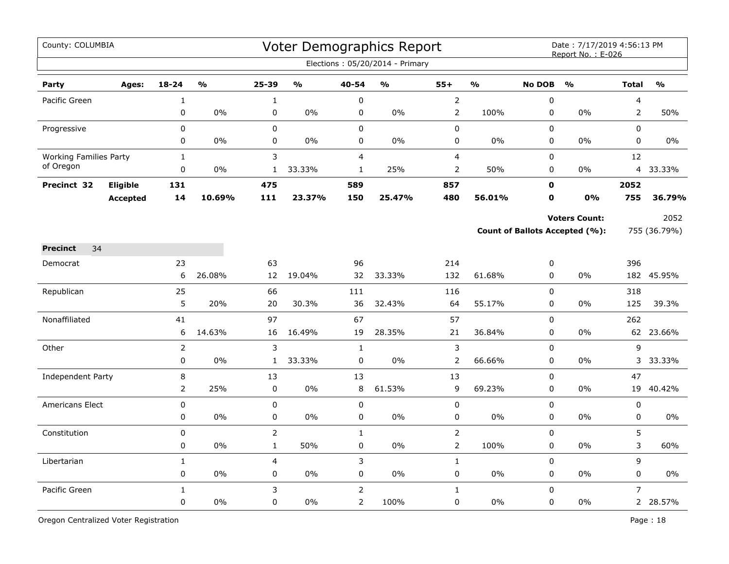| County: COLUMBIA              |                 |              |                         |                |               |                | Voter Demographics Report<br>Elections: 05/20/2014 - Primary |                |               |                  | Date: 7/17/2019 4:56:13 PM<br>Report No.: E-026 |                |               |
|-------------------------------|-----------------|--------------|-------------------------|----------------|---------------|----------------|--------------------------------------------------------------|----------------|---------------|------------------|-------------------------------------------------|----------------|---------------|
| Party                         | Ages:           | $18 - 24$    | $\mathbf{O}/\mathbf{O}$ | 25-39          | $\frac{0}{0}$ | 40-54          | $\frac{1}{2}$                                                | $55+$          | $\frac{1}{2}$ | <b>No DOB</b>    | $\frac{0}{0}$                                   | <b>Total</b>   | $\frac{0}{0}$ |
| Pacific Green                 |                 | $\mathbf 1$  |                         | $\mathbf 1$    |               | $\pmb{0}$      |                                                              | $\overline{2}$ |               | $\mathbf 0$      |                                                 | 4              |               |
|                               |                 | $\mathbf 0$  | 0%                      | 0              | 0%            | $\pmb{0}$      | $0\%$                                                        | $\overline{2}$ | 100%          | $\mathbf 0$      | 0%                                              | 2              | 50%           |
| Progressive                   |                 | 0            |                         | 0              |               | $\mathbf 0$    |                                                              | 0              |               | $\Omega$         |                                                 | $\Omega$       |               |
|                               |                 | 0            | $0\%$                   | 0              | $0\%$         | $\mathbf 0$    | 0%                                                           | 0              | $0\%$         | 0                | 0%                                              | 0              | 0%            |
| <b>Working Families Party</b> |                 | $\mathbf{1}$ |                         | 3              |               | $\overline{4}$ |                                                              | $\overline{4}$ |               | $\mathbf 0$      |                                                 | 12             |               |
| of Oregon                     |                 | 0            | 0%                      | $\mathbf{1}$   | 33.33%        | $\mathbf{1}$   | 25%                                                          | 2              | 50%           | 0                | 0%                                              |                | 4 33.33%      |
| Precinct 32                   | Eligible        | 131          |                         | 475            |               | 589            |                                                              | 857            |               | $\mathbf 0$      |                                                 | 2052           |               |
|                               | <b>Accepted</b> | 14           | 10.69%                  | 111            | 23.37%        | 150            | 25.47%                                                       | 480            | 56.01%        | $\mathbf o$      | 0%                                              | 755            | 36.79%        |
|                               |                 |              |                         |                |               |                |                                                              |                |               |                  | <b>Voters Count:</b>                            |                | 2052          |
|                               |                 |              |                         |                |               |                |                                                              |                |               |                  | <b>Count of Ballots Accepted (%):</b>           |                | 755 (36.79%)  |
| 34<br><b>Precinct</b>         |                 |              |                         |                |               |                |                                                              |                |               |                  |                                                 |                |               |
| Democrat                      |                 | 23           |                         | 63             |               | 96             |                                                              | 214            |               | $\boldsymbol{0}$ |                                                 | 396            |               |
|                               |                 | 6            | 26.08%                  | 12             | 19.04%        | 32             | 33.33%                                                       | 132            | 61.68%        | $\pmb{0}$        | 0%                                              |                | 182 45.95%    |
| Republican                    |                 | 25           |                         | 66             |               | 111            |                                                              | 116            |               | $\pmb{0}$        |                                                 | 318            |               |
|                               |                 | 5            | 20%                     | 20             | 30.3%         | 36             | 32.43%                                                       | 64             | 55.17%        | $\mathbf 0$      | 0%                                              | 125            | 39.3%         |
| Nonaffiliated                 |                 | 41           |                         | 97             |               | 67             |                                                              | 57             |               | $\mathbf 0$      |                                                 | 262            |               |
|                               |                 | 6            | 14.63%                  | 16             | 16.49%        | 19             | 28.35%                                                       | 21             | 36.84%        | $\pmb{0}$        | 0%                                              |                | 62 23.66%     |
| Other                         |                 |              |                         | 3              |               | $\mathbf{1}$   |                                                              | $\mathsf 3$    |               | $\pmb{0}$        |                                                 | 9              |               |
|                               |                 | 0            | 0%                      | $\mathbf{1}$   | 33.33%        | $\mathbf 0$    | $0\%$                                                        | $\overline{2}$ | 66.66%        | 0                | 0%                                              |                | 3 33.33%      |
| Independent Party             |                 | 8            |                         | 13             |               | 13             |                                                              | 13             |               | $\Omega$         |                                                 | 47             |               |
|                               |                 | 2            | 25%                     | $\pmb{0}$      | $0\%$         | 8              | 61.53%                                                       | 9              | 69.23%        | 0                | 0%                                              | 19             | 40.42%        |
| <b>Americans Elect</b>        |                 | $\mathsf 0$  |                         | $\pmb{0}$      |               | 0              |                                                              | 0              |               | $\mathbf 0$      |                                                 | $\pmb{0}$      |               |
|                               |                 | 0            | 0%                      | 0              | 0%            | $\mathsf 0$    | 0%                                                           | $\pmb{0}$      | 0%            | $\pmb{0}$        | 0%                                              | 0              | $0\%$         |
| Constitution                  |                 | 0            |                         | $\overline{2}$ |               | $\mathbf{1}$   |                                                              | $\mathsf{2}\,$ |               | $\mathbf 0$      |                                                 | 5              |               |
|                               |                 | $\mathbf 0$  | $0\%$                   | $\mathbf{1}$   | 50%           | $\mathbf 0$    | $0\%$                                                        | $\mathsf{2}$   | 100%          | $\mathbf 0$      | 0%                                              | 3              | 60%           |
| Libertarian                   |                 | $\mathbf{1}$ |                         | $\overline{4}$ |               | 3              |                                                              | $\mathbf{1}$   |               | $\mathbf 0$      |                                                 | 9              |               |
|                               |                 | 0            | 0%                      | 0              | $0\%$         | $\pmb{0}$      | 0%                                                           | $\pmb{0}$      | $0\%$         | 0                | $0\%$                                           | 0              | 0%            |
| Pacific Green                 |                 | $\mathbf{1}$ |                         | 3              |               | $\overline{2}$ |                                                              | $\mathbf{1}$   |               | $\mathbf 0$      |                                                 | $\overline{7}$ |               |
|                               |                 | $\mathbf 0$  | 0%                      | 0              | 0%            | $\overline{2}$ | 100%                                                         | 0              | 0%            | $\pmb{0}$        | 0%                                              |                | 2 28.57%      |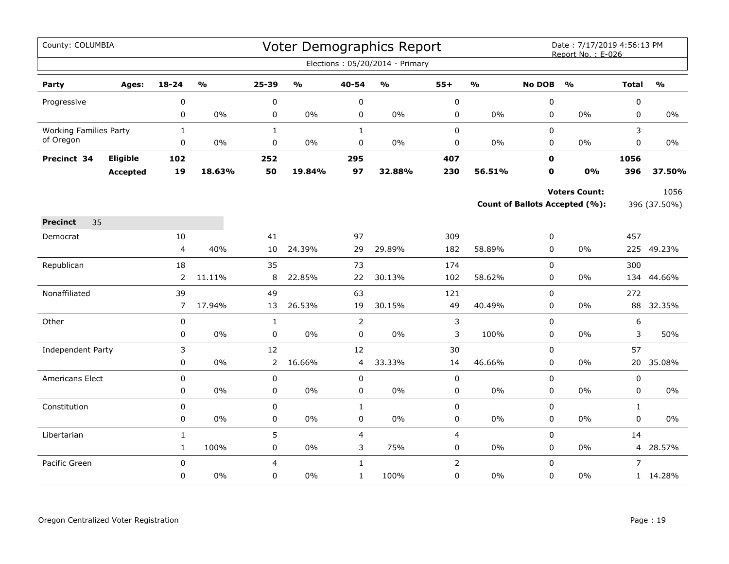| County: COLUMBIA              |                 |                              |                         |                        |                         |                           | Voter Demographics Report         |                             |                         |               | Date: 7/17/2019 4:56:13 PM<br>Report No.: E-026 |                   |                                   |
|-------------------------------|-----------------|------------------------------|-------------------------|------------------------|-------------------------|---------------------------|-----------------------------------|-----------------------------|-------------------------|---------------|-------------------------------------------------|-------------------|-----------------------------------|
|                               |                 |                              |                         |                        |                         |                           | Elections: 05/20/2014 - Primary   |                             |                         |               |                                                 |                   |                                   |
| Party                         | Ages:           | 18-24                        | $\mathbf{O}/\mathbf{o}$ | 25-39                  | $\mathbf{O}/\mathbf{o}$ | 40-54                     | $\mathsf{o}\mathsf{v}_\mathsf{o}$ | $55+$                       | $\mathbf{O}/\mathbf{o}$ | <b>No DOB</b> | $\mathbf{O}/\mathbf{o}$                         | <b>Total</b>      | $\mathsf{o}\mathsf{v}_\mathsf{o}$ |
| Progressive                   |                 | 0                            |                         | $\boldsymbol{0}$       |                         | $\pmb{0}$                 |                                   | $\pmb{0}$                   |                         | $\pmb{0}$     |                                                 | 0                 |                                   |
|                               |                 | 0                            | $0\%$                   | 0                      | 0%                      | 0                         | $0\%$                             | 0                           | 0%                      | 0             | $0\%$                                           | 0                 | $0\%$                             |
| <b>Working Families Party</b> |                 | $\mathbf{1}$                 |                         | $\mathbf{1}$           |                         | $\mathbf{1}$              |                                   | $\mathbf 0$                 |                         | 0             |                                                 | 3                 |                                   |
| of Oregon                     |                 | 0                            | 0%                      | 0                      | 0%                      | 0                         | 0%                                | 0                           | 0%                      | 0             | 0%                                              | 0                 | 0%                                |
| Precinct 34                   | Eligible        | 102                          |                         | 252                    |                         | 295                       |                                   | 407                         |                         | $\mathbf 0$   |                                                 | 1056              |                                   |
|                               | <b>Accepted</b> | 19                           | 18.63%                  | 50                     | 19.84%                  | 97                        | 32.88%                            | 230                         | 56.51%                  | 0             | 0%                                              | 396               | 37.50%                            |
|                               |                 |                              |                         |                        |                         |                           |                                   |                             |                         |               | <b>Voters Count:</b>                            |                   | 1056                              |
|                               |                 |                              |                         |                        |                         |                           |                                   |                             |                         |               | Count of Ballots Accepted (%):                  |                   | 396 (37.50%)                      |
| 35<br><b>Precinct</b>         |                 |                              |                         |                        |                         |                           |                                   |                             |                         |               |                                                 |                   |                                   |
| Democrat                      |                 | 10                           |                         | 41                     |                         | 97                        |                                   | 309                         |                         | 0             |                                                 | 457               |                                   |
|                               |                 | $\overline{\mathbf{4}}$      | 40%                     | 10                     | 24.39%                  | 29                        | 29.89%                            | 182                         | 58.89%                  | 0             | 0%                                              |                   | 225 49.23%                        |
| Republican                    |                 | 18                           |                         | 35                     |                         | 73                        |                                   | 174                         |                         | 0             |                                                 | 300               |                                   |
|                               |                 | 2                            | 11.11%                  | 8                      | 22.85%                  | 22                        | 30.13%                            | 102                         | 58.62%                  | 0             | 0%                                              | 134               | 44.66%                            |
| Nonaffiliated                 |                 | 39                           |                         | 49                     |                         | 63                        |                                   | 121                         |                         | 0             |                                                 | 272               |                                   |
|                               |                 | $\overline{7}$               | 17.94%                  | 13                     | 26.53%                  | 19                        | 30.15%                            | 49                          | 40.49%                  | 0             | $0\%$                                           | 88                | 32.35%                            |
| Other                         |                 | 0                            |                         | $\mathbf{1}$           |                         | $\overline{2}$            |                                   | 3                           |                         | 0             |                                                 | 6                 |                                   |
|                               |                 | 0                            | $0\%$                   | $\pmb{0}$              | 0%                      | $\pmb{0}$                 | $0\%$                             | 3                           | 100%                    | 0             | 0%                                              | 3                 | 50%                               |
| Independent Party             |                 | 3                            |                         | 12                     |                         | 12                        |                                   | 30                          |                         | 0             |                                                 | 57                |                                   |
|                               |                 | 0                            | $0\%$                   | $\overline{2}$         | 16.66%                  | 4                         | 33.33%                            | 14                          | 46.66%                  | $\mathbf 0$   | $0\%$                                           | 20                | 35.08%                            |
| Americans Elect               |                 | 0                            | $0\%$                   | 0                      | $0\%$                   | 0                         | $0\%$                             | $\mathbf 0$                 |                         | 0             | $0\%$                                           | 0                 | $0\%$                             |
|                               |                 | 0                            |                         | 0                      |                         | $\mathbf 0$               |                                   | $\pmb{0}$                   | $0\%$                   | 0             |                                                 | 0                 |                                   |
| Constitution                  |                 | 0<br>0                       | $0\%$                   | $\pmb{0}$<br>$\pmb{0}$ | $0\%$                   | $\mathbf{1}$<br>$\pmb{0}$ | $0\%$                             | $\pmb{0}$<br>0              | 0%                      | 0<br>0        | $0\%$                                           | $\mathbf{1}$<br>0 | $0\%$                             |
|                               |                 |                              |                         |                        |                         |                           |                                   |                             |                         |               |                                                 |                   |                                   |
| Libertarian                   |                 | $\mathbf{1}$<br>$\mathbf{1}$ | 100%                    | 5<br>0                 | 0%                      | $\overline{4}$<br>3       | 75%                               | $\overline{4}$<br>$\pmb{0}$ | 0%                      | 0<br>0        | $0\%$                                           | 14<br>4           | 28.57%                            |
| Pacific Green                 |                 | 0                            |                         | 4                      |                         | $\mathbf{1}$              |                                   | $\overline{2}$              |                         | 0             |                                                 | $\overline{7}$    |                                   |
|                               |                 | 0                            | 0%                      | 0                      | 0%                      | $\mathbf{1}$              | 100%                              | 0                           | $0\%$                   | $\mathbf 0$   | 0%                                              |                   | 1 14.28%                          |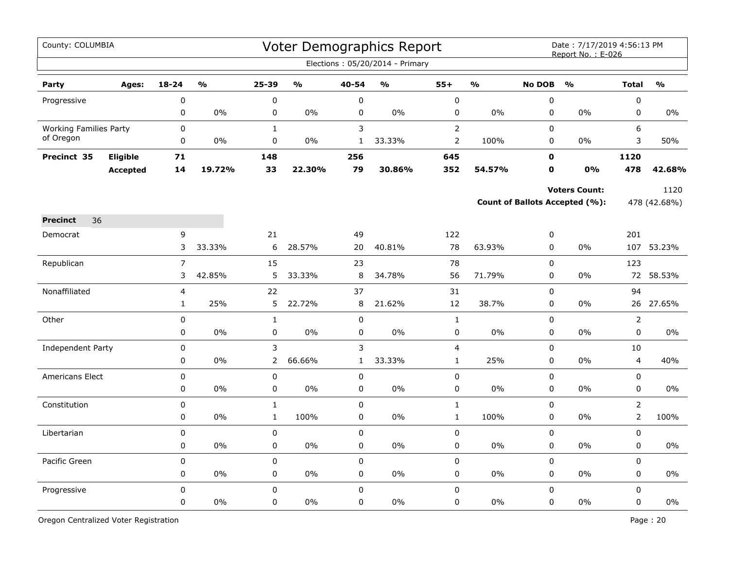| County: COLUMBIA              |                 |                |               |                |               |              | Voter Demographics Report<br>Elections: 05/20/2014 - Primary |                |               |               | Date: 7/17/2019 4:56:13 PM<br>Report No.: E-026 |                |               |
|-------------------------------|-----------------|----------------|---------------|----------------|---------------|--------------|--------------------------------------------------------------|----------------|---------------|---------------|-------------------------------------------------|----------------|---------------|
| Party                         | Ages:           | 18-24          | $\frac{1}{2}$ | 25-39          | $\frac{1}{2}$ | 40-54        | $\mathsf{o}\mathsf{v}_\mathsf{o}$                            | $55+$          | $\frac{0}{0}$ | <b>No DOB</b> | O <sub>0</sub>                                  | <b>Total</b>   | $\frac{1}{2}$ |
| Progressive                   |                 | 0              |               | $\pmb{0}$      |               | 0            |                                                              | $\mathbf 0$    |               | $\pmb{0}$     |                                                 | $\pmb{0}$      |               |
|                               |                 | 0              | 0%            | 0              | $0\%$         | 0            | $0\%$                                                        | 0              | $0\%$         | $\mathbf 0$   | $0\%$                                           | $\pmb{0}$      | 0%            |
| <b>Working Families Party</b> |                 | 0              |               | $\mathbf{1}$   |               | 3            |                                                              | $\overline{2}$ |               | $\mathbf 0$   |                                                 | 6              |               |
| of Oregon                     |                 | 0              | 0%            | 0              | 0%            | $\mathbf{1}$ | 33.33%                                                       | $\overline{2}$ | 100%          | 0             | 0%                                              | 3              | 50%           |
| Precinct 35                   | Eligible        | 71             |               | 148            |               | 256          |                                                              | 645            |               | 0             |                                                 | 1120           |               |
|                               | <b>Accepted</b> | 14             | 19.72%        | 33             | 22.30%        | 79           | 30.86%                                                       | 352            | 54.57%        | O             | 0%                                              | 478            | 42.68%        |
|                               |                 |                |               |                |               |              |                                                              |                |               |               | <b>Voters Count:</b>                            |                | 1120          |
|                               |                 |                |               |                |               |              |                                                              |                |               |               | <b>Count of Ballots Accepted (%):</b>           |                | 478 (42.68%)  |
| 36<br><b>Precinct</b>         |                 |                |               |                |               |              |                                                              |                |               |               |                                                 |                |               |
| Democrat                      |                 | 9              |               | 21             |               | 49           |                                                              | 122            |               | 0             |                                                 | 201            |               |
|                               |                 | 3              | 33.33%        | 6              | 28.57%        | 20           | 40.81%                                                       | 78             | 63.93%        | $\mathbf 0$   | 0%                                              |                | 107 53.23%    |
| Republican                    |                 | $\overline{7}$ |               | 15             |               | 23           |                                                              | 78             |               | $\mathbf 0$   |                                                 | 123            |               |
|                               |                 | 3              | 42.85%        | 5              | 33.33%        | 8            | 34.78%                                                       | 56             | 71.79%        | 0             | $0\%$                                           |                | 72 58.53%     |
| Nonaffiliated                 |                 | 4              |               | 22             |               | 37           |                                                              | 31             |               | $\pmb{0}$     |                                                 | 94             |               |
|                               |                 | $\mathbf{1}$   | 25%           | 5              | 22.72%        | 8            | 21.62%                                                       | 12             | 38.7%         | 0             | 0%                                              |                | 26 27.65%     |
| Other                         |                 | 0              |               | $\mathbf 1$    |               | $\mathbf 0$  |                                                              | $\mathbf 1$    |               | $\pmb{0}$     |                                                 | $\overline{2}$ |               |
|                               |                 | 0              | 0%            | 0              | 0%            | $\mathbf 0$  | 0%                                                           | 0              | $0\%$         | 0             | $0\%$                                           | $\mathbf 0$    | $0\%$         |
| Independent Party             |                 | 0              |               | 3              |               | 3            |                                                              | 4              |               | 0             |                                                 | 10             |               |
|                               |                 | 0              | 0%            | $\overline{2}$ | 66.66%        | $\mathbf{1}$ | 33.33%                                                       | $\mathbf{1}$   | 25%           | $\pmb{0}$     | 0%                                              | $\overline{4}$ | 40%           |
| Americans Elect               |                 | 0              |               | 0              |               | $\pmb{0}$    |                                                              | 0              |               | $\mathbf 0$   |                                                 | $\pmb{0}$      |               |
|                               |                 | 0              | 0%            | 0              | 0%            | $\mathbf 0$  | 0%                                                           | 0              | 0%            | $\mathbf 0$   | 0%                                              | $\mathbf 0$    | 0%            |
| Constitution                  |                 | $\mathbf 0$    |               | $\mathbf{1}$   |               | $\mathbf 0$  |                                                              | $\mathbf 1$    |               | $\mathbf 0$   |                                                 | $\overline{2}$ |               |
|                               |                 | 0              | $0\%$         | $\mathbf{1}$   | 100%          | 0            | 0%                                                           | $\mathbf{1}$   | 100%          | $\mathbf 0$   | $0\%$                                           | $\overline{2}$ | 100%          |
| Libertarian                   |                 | 0              |               | 0              |               | 0            |                                                              | $\mathsf{O}$   |               | $\mathbf 0$   |                                                 | $\mathbf 0$    |               |
|                               |                 | 0              | 0%            | 0              | 0%            | $\pmb{0}$    | 0%                                                           | 0              | 0%            | 0             | 0%                                              | $\pmb{0}$      | $0\%$         |
| Pacific Green                 |                 | 0              |               | $\pmb{0}$      |               | $\pmb{0}$    |                                                              | 0              |               | $\pmb{0}$     |                                                 | $\pmb{0}$      |               |
|                               |                 | 0              | $0\%$         | 0              | $0\%$         | 0            | 0%                                                           | 0              | 0%            | 0             | 0%                                              | 0              | 0%            |
| Progressive                   |                 | 0              |               | $\mathbf 0$    |               | $\mathbf 0$  |                                                              | $\mathbf 0$    |               | $\mathbf 0$   |                                                 | $\mathbf 0$    |               |
|                               |                 | 0              | 0%            | $\pmb{0}$      | 0%            | 0            | 0%                                                           | 0              | 0%            | $\mathbf 0$   | 0%                                              | $\mathsf 0$    | 0%            |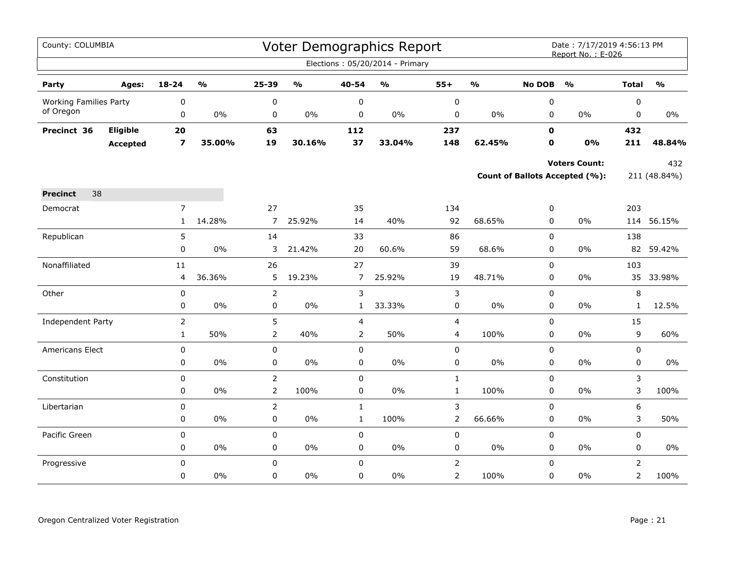| County: COLUMBIA              |                 |                         |                         |                |                         |                | Voter Demographics Report         |                |               |               | Date: 7/17/2019 4:56:13 PM<br>Report No.: E-026 |                |                         |
|-------------------------------|-----------------|-------------------------|-------------------------|----------------|-------------------------|----------------|-----------------------------------|----------------|---------------|---------------|-------------------------------------------------|----------------|-------------------------|
|                               |                 |                         |                         |                |                         |                | Elections: 05/20/2014 - Primary   |                |               |               |                                                 |                |                         |
| Party                         | Ages:           | $18 - 24$               | $\mathbf{0}/\mathbf{0}$ | 25-39          | $\mathbf{O}/\mathbf{o}$ | 40-54          | $\mathsf{o}\mathsf{v}_\mathsf{o}$ | $55+$          | $\frac{0}{0}$ | <b>No DOB</b> | $\mathbf{O}/\mathbf{o}$                         | <b>Total</b>   | $\mathbf{O}/\mathbf{o}$ |
| <b>Working Families Party</b> |                 | 0                       |                         | $\pmb{0}$      |                         | $\pmb{0}$      |                                   | $\pmb{0}$      |               | $\pmb{0}$     |                                                 | $\pmb{0}$      |                         |
| of Oregon                     |                 | 0                       | 0%                      | 0              | 0%                      | $\mathbf 0$    | $0\%$                             | 0              | $0\%$         | $\mathbf 0$   | 0%                                              | $\mathbf 0$    | 0%                      |
| Precinct 36                   | Eligible        | 20                      |                         | 63             |                         | 112            |                                   | 237            |               | $\mathbf 0$   |                                                 | 432            |                         |
|                               | <b>Accepted</b> | $\overline{\mathbf{z}}$ | 35.00%                  | 19             | 30.16%                  | 37             | 33.04%                            | 148            | 62.45%        | 0             | 0%                                              | 211            | 48.84%                  |
|                               |                 |                         |                         |                |                         |                |                                   |                |               |               | <b>Voters Count:</b>                            |                | 432                     |
|                               |                 |                         |                         |                |                         |                |                                   |                |               |               | Count of Ballots Accepted (%):                  |                | 211 (48.84%)            |
| 38<br><b>Precinct</b>         |                 |                         |                         |                |                         |                |                                   |                |               |               |                                                 |                |                         |
| Democrat                      |                 | $\overline{7}$          |                         | 27             |                         | 35             |                                   | 134            |               | $\pmb{0}$     |                                                 | 203            |                         |
|                               |                 | $\mathbf{1}$            | 14.28%                  | $\overline{7}$ | 25.92%                  | 14             | 40%                               | 92             | 68.65%        | 0             | 0%                                              |                | 114 56.15%              |
| Republican                    |                 | 5                       |                         | 14             |                         | 33             |                                   | 86             |               | $\mathsf 0$   |                                                 | 138            |                         |
|                               |                 | 0                       | 0%                      | 3              | 21.42%                  | 20             | 60.6%                             | 59             | 68.6%         | $\mathbf 0$   | 0%                                              | 82             | 59.42%                  |
| Nonaffiliated                 |                 | 11                      |                         | 26             |                         | 27             |                                   | 39             |               | $\mathbf 0$   |                                                 | 103            |                         |
|                               |                 | 4                       | 36.36%                  | 5              | 19.23%                  | $\overline{7}$ | 25.92%                            | 19             | 48.71%        | 0             | $0\%$                                           | 35             | 33.98%                  |
| Other                         |                 | $\pmb{0}$               |                         | $\overline{2}$ |                         | $\mathsf 3$    |                                   | $\mathsf 3$    |               | $\mathbf 0$   |                                                 | $\,8\,$        |                         |
|                               |                 | 0                       | 0%                      | $\pmb{0}$      | 0%                      | $\mathbf{1}$   | 33.33%                            | 0              | $0\%$         | 0             | $0\%$                                           | $\mathbf{1}$   | 12.5%                   |
| Independent Party             |                 | $\overline{2}$          |                         | 5              |                         | $\overline{4}$ |                                   | 4              |               | $\mathsf 0$   |                                                 | 15             |                         |
|                               |                 | $\mathbf 1$             | 50%                     | $\overline{2}$ | 40%                     | $\overline{2}$ | 50%                               | 4              | 100%          | $\pmb{0}$     | $0\%$                                           | 9              | 60%                     |
| Americans Elect               |                 | 0                       |                         | 0              |                         | $\mathbf 0$    |                                   | 0              |               | $\mathbf 0$   |                                                 | $\mathbf 0$    |                         |
|                               |                 | 0                       | 0%                      | 0              | 0%                      | $\pmb{0}$      | 0%                                | 0              | 0%            | $\pmb{0}$     | $0\%$                                           | $\pmb{0}$      | $0\%$                   |
| Constitution                  |                 | 0                       |                         | $\overline{2}$ |                         | $\pmb{0}$      |                                   | $\mathbf{1}$   |               | $\pmb{0}$     |                                                 | 3              |                         |
|                               |                 | 0                       | 0%                      | $\overline{2}$ | 100%                    | 0              | $0\%$                             | $\mathbf{1}$   | 100%          | $\mathbf 0$   | $0\%$                                           | 3              | 100%                    |
| Libertarian                   |                 | 0                       |                         | $\mathsf{2}\,$ |                         | $\mathbf{1}$   |                                   | 3              |               | $\mathbf 0$   |                                                 | 6              |                         |
|                               |                 | 0                       | 0%                      | $\pmb{0}$      | 0%                      | $\mathbf{1}$   | 100%                              | $\overline{2}$ | 66.66%        | $\pmb{0}$     | 0%                                              | 3              | 50%                     |
| Pacific Green                 |                 | 0                       |                         | $\mathbf 0$    |                         | $\mathbf 0$    |                                   | 0              |               | $\mathbf 0$   |                                                 | $\mathbf 0$    |                         |
|                               |                 | 0                       | 0%                      | 0              | 0%                      | 0              | $0\%$                             | 0              | $0\%$         | $\mathbf 0$   | $0\%$                                           | 0              | $0\%$                   |
| Progressive                   |                 | 0                       |                         | $\pmb{0}$      |                         | $\mathbf 0$    |                                   | $\mathsf{2}\,$ |               | $\mathbf 0$   |                                                 | $\overline{2}$ |                         |
|                               |                 | 0                       | $0\%$                   | 0              | 0%                      | 0              | $0\%$                             | $\overline{2}$ | 100%          | $\mathbf 0$   | $0\%$                                           | $\overline{2}$ | 100%                    |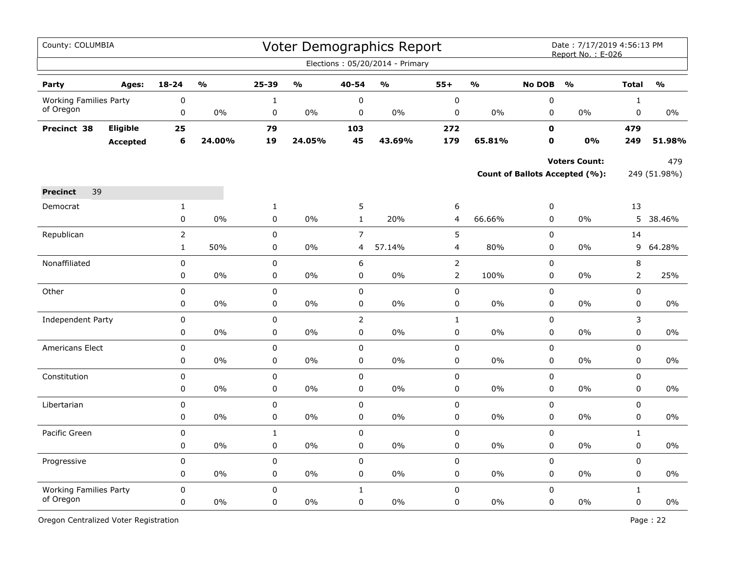| County: COLUMBIA              |                 |                             |                         |                   |                         |                | Voter Demographics Report<br>Elections: 05/20/2014 - Primary |                |                                   |               | Date: 7/17/2019 4:56:13 PM<br>Report No.: E-026 |              |                         |
|-------------------------------|-----------------|-----------------------------|-------------------------|-------------------|-------------------------|----------------|--------------------------------------------------------------|----------------|-----------------------------------|---------------|-------------------------------------------------|--------------|-------------------------|
|                               |                 |                             |                         |                   |                         |                |                                                              |                |                                   |               |                                                 |              |                         |
| Party                         | Ages:           | $18 - 24$                   | $\mathbf{O}/\mathbf{O}$ | 25-39             | $\mathbf{O}/\mathbf{O}$ | $40 - 54$      | $\mathbf{0}/\mathbf{0}$                                      | $55+$          | $\mathsf{o}\mathsf{v}_\mathsf{o}$ | <b>No DOB</b> | $\frac{1}{2}$                                   | <b>Total</b> | $\mathbf{O}/\mathbf{o}$ |
| <b>Working Families Party</b> |                 | 0                           |                         | $\mathbf{1}$      |                         | 0              |                                                              | $\pmb{0}$      |                                   | $\pmb{0}$     |                                                 | $\mathbf{1}$ |                         |
| of Oregon                     |                 | $\pmb{0}$                   | 0%                      | $\pmb{0}$         | $0\%$                   | $\pmb{0}$      | 0%                                                           | $\pmb{0}$      | $0\%$                             | 0             | $0\%$                                           | 0            | $0\%$                   |
| Precinct 38                   | Eligible        | 25                          |                         | 79                |                         | 103            |                                                              | 272            |                                   | $\mathbf 0$   |                                                 | 479          |                         |
|                               | <b>Accepted</b> | $6\phantom{1}6$             | 24.00%                  | 19                | 24.05%                  | 45             | 43.69%                                                       | 179            | 65.81%                            | $\mathbf 0$   | 0%                                              | 249          | 51.98%                  |
|                               |                 |                             |                         |                   |                         |                |                                                              |                |                                   |               | <b>Voters Count:</b>                            |              | 479                     |
|                               |                 |                             |                         |                   |                         |                |                                                              |                |                                   |               | Count of Ballots Accepted (%):                  |              | 249 (51.98%)            |
| 39<br><b>Precinct</b>         |                 |                             |                         |                   |                         |                |                                                              |                |                                   |               |                                                 |              |                         |
| Democrat                      |                 |                             |                         |                   |                         | 5              |                                                              | 6              |                                   | $\pmb{0}$     |                                                 | 13           |                         |
|                               |                 | $\mathbf{1}$<br>$\mathbf 0$ | 0%                      | $\mathbf{1}$<br>0 | 0%                      | $\mathbf{1}$   | 20%                                                          | 4              | 66.66%                            | 0             | $0\%$                                           | 5            | 38.46%                  |
| Republican                    |                 | $\overline{2}$              |                         | 0                 |                         | $\overline{7}$ |                                                              | 5              |                                   | $\pmb{0}$     |                                                 | 14           |                         |
|                               |                 | $\mathbf{1}$                | 50%                     | $\mathbf 0$       | 0%                      | 4              | 57.14%                                                       | 4              | 80%                               | $\mathbf 0$   | 0%                                              | 9            | 64.28%                  |
| Nonaffiliated                 |                 | 0                           |                         | 0                 |                         | 6              |                                                              | $\overline{2}$ |                                   | $\mathbf 0$   |                                                 | 8            |                         |
|                               |                 | 0                           | 0%                      | 0                 | 0%                      | 0              | 0%                                                           | $\overline{2}$ | 100%                              | $\pmb{0}$     | 0%                                              | $\mathsf{2}$ | 25%                     |
| Other                         |                 | 0                           |                         | 0                 |                         | $\pmb{0}$      |                                                              | $\pmb{0}$      |                                   | $\pmb{0}$     |                                                 | $\pmb{0}$    |                         |
|                               |                 | 0                           | 0%                      | 0                 | 0%                      | 0              | 0%                                                           | $\pmb{0}$      | 0%                                | $\mathbf 0$   | 0%                                              | 0            | $0\%$                   |
| Independent Party             |                 | 0                           |                         | $\mathbf 0$       |                         | $\overline{2}$ |                                                              | $\mathbf{1}$   |                                   | $\mathbf 0$   |                                                 | 3            |                         |
|                               |                 | 0                           | 0%                      | 0                 | 0%                      | 0              | 0%                                                           | $\mathbf 0$    | 0%                                | 0             | 0%                                              | 0            | 0%                      |
| Americans Elect               |                 | $\pmb{0}$                   |                         | 0                 |                         | 0              |                                                              | 0              |                                   | 0             |                                                 | 0            |                         |
|                               |                 | 0                           | 0%                      | 0                 | 0%                      | 0              | 0%                                                           | 0              | $0\%$                             | 0             | 0%                                              | 0            | 0%                      |
| Constitution                  |                 | $\mathbf 0$                 |                         | $\mathbf 0$       |                         | 0              |                                                              | $\mathbf 0$    |                                   | $\mathbf 0$   |                                                 | $\mathbf 0$  |                         |
|                               |                 | 0                           | 0%                      | 0                 | 0%                      | 0              | 0%                                                           | $\mathbf 0$    | 0%                                | 0             | 0%                                              | 0            | 0%                      |
| Libertarian                   |                 | 0                           |                         | 0                 |                         | $\pmb{0}$      |                                                              | $\pmb{0}$      |                                   | $\pmb{0}$     |                                                 | 0            |                         |
|                               |                 | 0                           | 0%                      | 0                 | 0%                      | 0              | 0%                                                           | 0              | $0\%$                             | $\mathbf 0$   | $0\%$                                           | 0            | $0\%$                   |
| Pacific Green                 |                 | 0                           |                         | $\mathbf{1}$      |                         | 0              |                                                              | 0              |                                   | $\mathbf 0$   |                                                 | $\mathbf{1}$ |                         |
|                               |                 | 0                           | 0%                      | 0                 | $0\%$                   | $\pmb{0}$      | 0%                                                           | $\mathbf 0$    | 0%                                | $\pmb{0}$     | 0%                                              | 0            | $0\%$                   |
| Progressive                   |                 | $\mathbf 0$                 |                         | $\pmb{0}$         |                         | $\pmb{0}$      |                                                              | $\pmb{0}$      |                                   | $\pmb{0}$     |                                                 | $\pmb{0}$    |                         |
|                               |                 | 0                           | 0%                      | 0                 | 0%                      | 0              | 0%                                                           | 0              | $0\%$                             | 0             | $0\%$                                           | 0            | $0\%$                   |
| <b>Working Families Party</b> |                 | $\mathbf 0$                 |                         | $\mathbf 0$       |                         | $\mathbf{1}$   |                                                              | $\mathbf 0$    |                                   | $\mathbf 0$   |                                                 | $\mathbf{1}$ |                         |
| of Oregon                     |                 | 0                           | 0%                      | 0                 | 0%                      | $\pmb{0}$      | 0%                                                           | $\pmb{0}$      | 0%                                | 0             | 0%                                              | $\mathsf 0$  | $0\%$                   |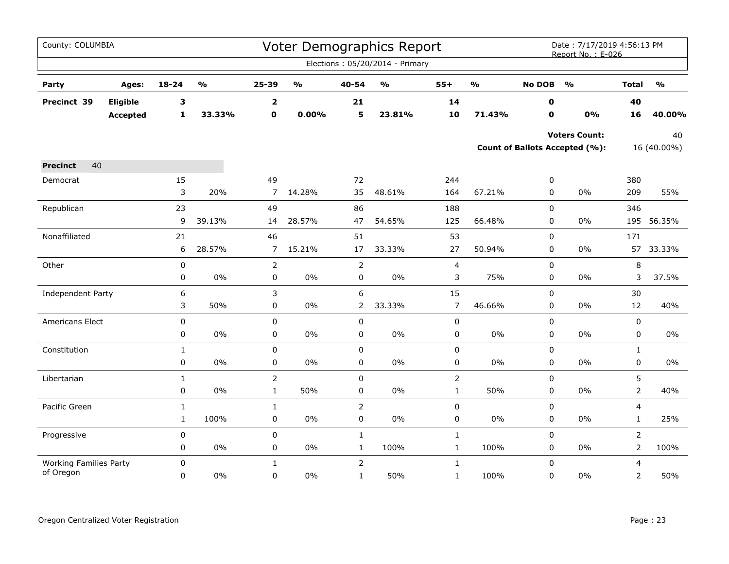| County: COLUMBIA                           |                 |              |                         |                |                                   |                | Voter Demographics Report         |                  |                         |               | Date: 7/17/2019 4:56:13 PM<br>Report No.: E-026 |                |                         |
|--------------------------------------------|-----------------|--------------|-------------------------|----------------|-----------------------------------|----------------|-----------------------------------|------------------|-------------------------|---------------|-------------------------------------------------|----------------|-------------------------|
|                                            |                 |              |                         |                |                                   |                | Elections: 05/20/2014 - Primary   |                  |                         |               |                                                 |                |                         |
| Party                                      | Ages:           | 18-24        | $\mathbf{0}/\mathbf{0}$ | 25-39          | $\mathsf{o}\mathsf{v}_\mathsf{o}$ | 40-54          | $\mathsf{o}\mathsf{v}_\mathsf{o}$ | $55+$            | $\mathbf{0}/\mathbf{0}$ | <b>No DOB</b> | $\frac{1}{2}$                                   | <b>Total</b>   | $\mathbf{O}/\mathbf{O}$ |
| Precinct 39                                | Eligible        | 3            |                         | $\mathbf{2}$   |                                   | 21             |                                   | 14               |                         | 0             |                                                 | 40             |                         |
|                                            | <b>Accepted</b> | 1            | 33.33%                  | $\mathbf 0$    | 0.00%                             | 5              | 23.81%                            | 10               | 71.43%                  | O             | 0%                                              | 16             | 40.00%                  |
|                                            |                 |              |                         |                |                                   |                |                                   |                  |                         |               | <b>Voters Count:</b>                            |                | 40                      |
|                                            |                 |              |                         |                |                                   |                |                                   |                  |                         |               | <b>Count of Ballots Accepted (%):</b>           |                | 16 (40.00%)             |
| 40<br><b>Precinct</b>                      |                 |              |                         |                |                                   |                |                                   |                  |                         |               |                                                 |                |                         |
| Democrat                                   |                 | 15           |                         | 49             |                                   | 72             |                                   | 244              |                         | 0             |                                                 | 380            |                         |
|                                            |                 | 3            | 20%                     | $\overline{7}$ | 14.28%                            | 35             | 48.61%                            | 164              | 67.21%                  | 0             | $0\%$                                           | 209            | 55%                     |
| Republican                                 |                 | 23           |                         | 49             |                                   | 86             |                                   | 188              |                         | $\pmb{0}$     |                                                 | 346            |                         |
|                                            |                 | 9            | 39.13%                  | 14             | 28.57%                            | 47             | 54.65%                            | 125              | 66.48%                  | 0             | 0%                                              |                | 195 56.35%              |
| Nonaffiliated                              |                 | 21           |                         | 46             |                                   | 51             |                                   | 53               |                         | $\mathbf 0$   |                                                 | 171            |                         |
|                                            |                 | 6            | 28.57%                  | $\overline{7}$ | 15.21%                            | 17             | 33.33%                            | 27               | 50.94%                  | 0             | 0%                                              | 57             | 33.33%                  |
| Other                                      |                 | $\pmb{0}$    |                         | $\overline{2}$ |                                   | 2              |                                   | 4                |                         | $\pmb{0}$     |                                                 | 8              |                         |
|                                            |                 | 0            | 0%                      | 0              | $0\%$                             | 0              | $0\%$                             | 3                | 75%                     | 0             | 0%                                              | 3              | 37.5%                   |
| Independent Party                          |                 | 6            |                         | 3              |                                   | 6              |                                   | 15               |                         | 0             |                                                 | 30             |                         |
|                                            |                 | 3            | 50%                     | $\pmb{0}$      | $0\%$                             | $\overline{2}$ | 33.33%                            | $\boldsymbol{7}$ | 46.66%                  | 0             | 0%                                              | 12             | 40%                     |
| Americans Elect                            |                 | 0            |                         | $\mathbf 0$    |                                   | $\mathbf 0$    |                                   | 0                |                         | $\mathbf 0$   |                                                 | 0              |                         |
|                                            |                 | 0            | 0%                      | 0              | 0%                                | 0              | 0%                                | 0                | 0%                      | 0             | 0%                                              | 0              | 0%                      |
| Constitution                               |                 | $\mathbf{1}$ |                         | $\mathbf 0$    |                                   | $\mathbf 0$    |                                   | $\pmb{0}$        |                         | 0             |                                                 | $\mathbf{1}$   |                         |
|                                            |                 | $\mathbf 0$  | 0%                      | 0              | 0%                                | $\mathbf 0$    | 0%                                | 0                | 0%                      | 0             | 0%                                              | 0              | $0\%$                   |
| Libertarian                                |                 | $\mathbf{1}$ |                         | $\overline{2}$ |                                   | 0              |                                   | $\mathsf{2}$     |                         | 0             |                                                 | 5              |                         |
|                                            |                 | 0            | $0\%$                   | $\mathbf{1}$   | 50%                               | $\mathbf 0$    | $0\%$                             | $\mathbf{1}$     | 50%                     | 0             | 0%                                              | $\overline{2}$ | 40%                     |
| Pacific Green                              |                 | $\mathbf 1$  |                         | $\mathbf 1$    |                                   | $\mathsf{2}$   |                                   | $\mathsf 0$      |                         | $\pmb{0}$     |                                                 | 4              |                         |
|                                            |                 | $\mathbf{1}$ | 100%                    | 0              | $0\%$                             | 0              | 0%                                | $\pmb{0}$        | $0\%$                   | 0             | 0%                                              | $\mathbf{1}$   | 25%                     |
| Progressive                                |                 | 0            |                         | $\pmb{0}$      |                                   | $\mathbf{1}$   |                                   | $\mathbf 1$      |                         | $\pmb{0}$     |                                                 | $\overline{2}$ |                         |
|                                            |                 | 0            | $0\%$                   | $\pmb{0}$      | $0\%$                             | $\mathbf{1}$   | 100%                              | $\mathbf{1}$     | 100%                    | 0             | 0%                                              | $\overline{2}$ | 100%                    |
| <b>Working Families Party</b><br>of Oregon |                 | 0            |                         | $\mathbf{1}$   |                                   | $\overline{2}$ |                                   | $\mathbf{1}$     |                         | 0             |                                                 | 4              |                         |
|                                            |                 | 0            | $0\%$                   | $\mathbf 0$    | $0\%$                             | $\mathbf{1}$   | 50%                               | $\mathbf{1}$     | 100%                    | $\mathbf 0$   | 0%                                              | $\overline{2}$ | 50%                     |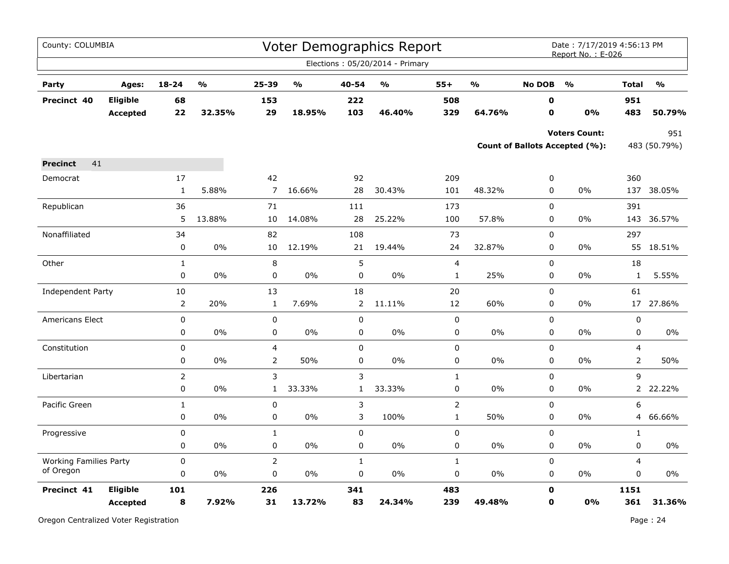| County: COLUMBIA              |                                    |                |               |                |        |              | Voter Demographics Report<br>Elections: 05/20/2014 - Primary |                |                                   |                            | Date: 7/17/2019 4:56:13 PM<br>Report No.: E-026        |                |                     |
|-------------------------------|------------------------------------|----------------|---------------|----------------|--------|--------------|--------------------------------------------------------------|----------------|-----------------------------------|----------------------------|--------------------------------------------------------|----------------|---------------------|
| Party                         | Ages:                              | 18-24          | $\frac{1}{2}$ | 25-39          | %      | 40-54        | %                                                            | $55+$          | $\mathsf{o}\mathsf{v}_\mathsf{o}$ | <b>No DOB</b>              | $\frac{1}{2}$                                          | <b>Total</b>   | $\frac{0}{0}$       |
| Precinct 40                   | <b>Eligible</b><br><b>Accepted</b> | 68<br>22       | 32.35%        | 153<br>29      | 18.95% | 222<br>103   | 46.40%                                                       | 508<br>329     | 64.76%                            | $\mathbf 0$<br>$\mathbf 0$ | 0%                                                     | 951<br>483     | 50.79%              |
|                               |                                    |                |               |                |        |              |                                                              |                |                                   |                            | <b>Voters Count:</b><br>Count of Ballots Accepted (%): |                | 951<br>483 (50.79%) |
| 41<br><b>Precinct</b>         |                                    |                |               |                |        |              |                                                              |                |                                   |                            |                                                        |                |                     |
| Democrat                      |                                    | 17             |               | 42             |        | 92           |                                                              | 209            |                                   | 0                          |                                                        | 360            |                     |
|                               |                                    | $\mathbf{1}$   | 5.88%         | $\overline{7}$ | 16.66% | 28           | 30.43%                                                       | 101            | 48.32%                            | 0                          | 0%                                                     | 137            | 38.05%              |
| Republican                    |                                    | 36             |               | 71             |        | 111          |                                                              | 173            |                                   | 0                          |                                                        | 391            |                     |
|                               |                                    | 5              | 13.88%        | 10             | 14.08% | 28           | 25.22%                                                       | 100            | 57.8%                             | 0                          | 0%                                                     | 143            | 36.57%              |
| Nonaffiliated                 |                                    | 34             |               | 82             |        | 108          |                                                              | 73             |                                   | 0                          |                                                        | 297            |                     |
|                               |                                    | 0              | 0%            | 10             | 12.19% | 21           | 19.44%                                                       | 24             | 32.87%                            | 0                          | 0%                                                     |                | 55 18.51%           |
| Other                         |                                    | $\mathbf{1}$   |               | $\,8\,$        |        | 5            |                                                              | 4              |                                   | 0                          |                                                        | 18             |                     |
|                               |                                    | 0              | 0%            | 0              | 0%     | 0            | 0%                                                           | $\mathbf{1}$   | 25%                               | 0                          | $0\%$                                                  | $\mathbf{1}$   | 5.55%               |
| Independent Party             |                                    | 10             |               | 13             |        | 18           |                                                              | 20             |                                   | 0                          |                                                        | 61             |                     |
|                               |                                    | 2              | 20%           | $\mathbf{1}$   | 7.69%  | 2            | 11.11%                                                       | 12             | 60%                               | 0                          | $0\%$                                                  | 17             | 27.86%              |
| Americans Elect               |                                    | $\pmb{0}$      |               | $\pmb{0}$      |        | $\pmb{0}$    |                                                              | 0              |                                   | 0                          |                                                        | $\pmb{0}$      |                     |
|                               |                                    | 0              | 0%            | 0              | $0\%$  | 0            | 0%                                                           | 0              | 0%                                | 0                          | $0\%$                                                  | 0              | $0\%$               |
| Constitution                  |                                    | $\pmb{0}$      |               | $\overline{4}$ |        | 0            |                                                              | 0              |                                   | 0                          |                                                        | 4              |                     |
|                               |                                    | 0              | 0%            | $\overline{2}$ | 50%    | 0            | $0\%$                                                        | 0              | 0%                                | 0                          | 0%                                                     | $\overline{2}$ | 50%                 |
| Libertarian                   |                                    | $\overline{2}$ |               | 3              |        | 3            |                                                              | $\mathbf 1$    |                                   | $\mathsf 0$                |                                                        | 9              |                     |
|                               |                                    | 0              | 0%            | $\mathbf{1}$   | 33.33% | $\mathbf{1}$ | 33.33%                                                       | 0              | 0%                                | 0                          | 0%                                                     |                | 2 22.22%            |
| Pacific Green                 |                                    | $\mathbf{1}$   |               | $\pmb{0}$      |        | 3            |                                                              | $\overline{2}$ |                                   | 0                          |                                                        | 6              |                     |
|                               |                                    | 0              | 0%            | 0              | 0%     | 3            | 100%                                                         | $\mathbf{1}$   | 50%                               | 0                          | 0%                                                     | 4              | 66.66%              |
| Progressive                   |                                    | 0              |               | $\mathbf{1}$   |        | 0            |                                                              | 0              |                                   | 0                          |                                                        | $\mathbf{1}$   |                     |
|                               |                                    | $\pmb{0}$      | 0%            | 0              | 0%     | 0            | 0%                                                           | 0              | 0%                                | 0                          | 0%                                                     | 0              | 0%                  |
| <b>Working Families Party</b> |                                    | $\mathbf 0$    |               | $\overline{2}$ |        | $\mathbf{1}$ |                                                              | $\mathbf{1}$   |                                   | $\mathbf 0$                |                                                        | $\overline{4}$ |                     |
| of Oregon                     |                                    | 0              | 0%            | 0              | 0%     | 0            | $0\%$                                                        | 0              | 0%                                | 0                          | 0%                                                     | $\mathbf 0$    | $0\%$               |
| Precinct 41                   | Eligible                           | 101            |               | 226            |        | 341          |                                                              | 483            |                                   | $\mathbf 0$                |                                                        | 1151           |                     |
|                               | Accepted                           | 8              | 7.92%         | 31             | 13.72% | 83           | 24.34%                                                       | 239            | 49.48%                            | $\mathbf 0$                | 0%                                                     | 361            | 31.36%              |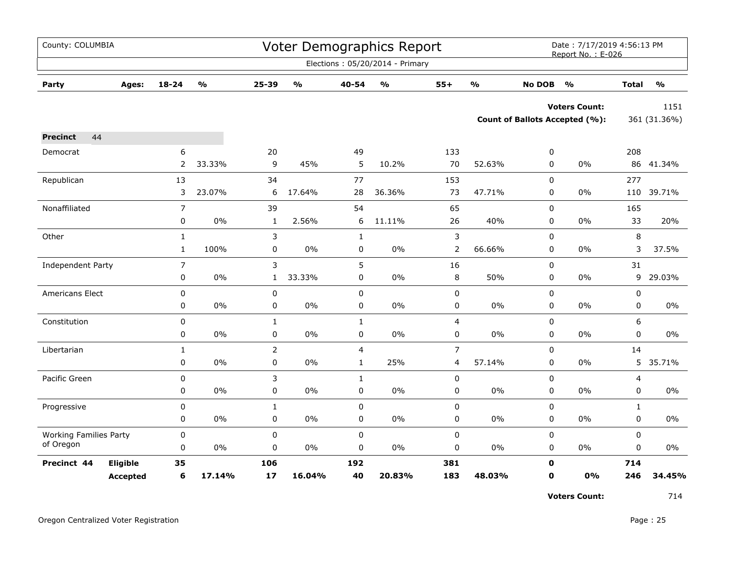| County: COLUMBIA              |                 |                |                         |                |                                   |              | <b>Voter Demographics Report</b>  |                  |                         |               | Date: 7/17/2019 4:56:13 PM<br>Report No.: E-026 |                |                         |
|-------------------------------|-----------------|----------------|-------------------------|----------------|-----------------------------------|--------------|-----------------------------------|------------------|-------------------------|---------------|-------------------------------------------------|----------------|-------------------------|
|                               |                 |                |                         |                |                                   |              | Elections: 05/20/2014 - Primary   |                  |                         |               |                                                 |                |                         |
| Party                         | Ages:           | $18 - 24$      | $\mathbf{0}/\mathbf{0}$ | 25-39          | $\mathsf{o}\mathsf{v}_\mathsf{o}$ | 40-54        | $\mathsf{o}\mathsf{v}_\mathsf{o}$ | $55+$            | $\mathbf{O}/\mathbf{O}$ | <b>No DOB</b> | $\mathsf{o}\mathsf{v}_\mathsf{o}$               | <b>Total</b>   | $\mathbf{0}/\mathbf{0}$ |
|                               |                 |                |                         |                |                                   |              |                                   |                  |                         |               | <b>Voters Count:</b>                            |                | 1151                    |
|                               |                 |                |                         |                |                                   |              |                                   |                  |                         |               | <b>Count of Ballots Accepted (%):</b>           |                | 361 (31.36%)            |
| 44<br><b>Precinct</b>         |                 |                |                         |                |                                   |              |                                   |                  |                         |               |                                                 |                |                         |
| Democrat                      |                 | 6              |                         | 20             |                                   | 49           |                                   | 133              |                         | 0             |                                                 | 208            |                         |
|                               |                 | 2              | 33.33%                  | 9              | 45%                               | 5            | 10.2%                             | 70               | 52.63%                  | 0             | $0\%$                                           |                | 86 41.34%               |
| Republican                    |                 | 13             |                         | 34             |                                   | 77           |                                   | 153              |                         | 0             |                                                 | 277            |                         |
|                               |                 | 3              | 23.07%                  | 6              | 17.64%                            | 28           | 36.36%                            | 73               | 47.71%                  | 0             | $0\%$                                           | 110            | 39.71%                  |
| Nonaffiliated                 |                 | $\overline{7}$ |                         | 39             |                                   | 54           |                                   | 65               |                         | $\mathbf 0$   |                                                 | 165            |                         |
|                               |                 | 0              | 0%                      | $\mathbf{1}$   | 2.56%                             | 6            | 11.11%                            | 26               | 40%                     | 0             | $0\%$                                           | 33             | 20%                     |
| Other                         |                 | $\mathbf{1}$   |                         | 3              |                                   | $\mathbf{1}$ |                                   | 3                |                         | 0             |                                                 | 8              |                         |
|                               |                 | $\mathbf{1}$   | 100%                    | 0              | 0%                                | 0            | 0%                                | 2                | 66.66%                  | 0             | $0\%$                                           | 3              | 37.5%                   |
| Independent Party             |                 | $\overline{7}$ |                         | 3              |                                   | 5            |                                   | 16               |                         | 0             |                                                 | 31             |                         |
|                               |                 | 0              | 0%                      | $\mathbf{1}$   | 33.33%                            | 0            | 0%                                | 8                | 50%                     | 0             | $0\%$                                           | 9              | 29.03%                  |
| Americans Elect               |                 | 0              |                         | $\pmb{0}$      |                                   | 0            |                                   | 0                |                         | 0             |                                                 | $\pmb{0}$      |                         |
|                               |                 | 0              | $0\%$                   | 0              | 0%                                | 0            | 0%                                | 0                | $0\%$                   | 0             | $0\%$                                           | 0              | $0\%$                   |
| Constitution                  |                 | $\pmb{0}$      |                         | $\mathbf{1}$   |                                   | $\mathbf{1}$ |                                   | $\overline{4}$   |                         | 0             |                                                 | 6              |                         |
|                               |                 | 0              | 0%                      | $\pmb{0}$      | $0\%$                             | 0            | 0%                                | $\boldsymbol{0}$ | $0\%$                   | 0             | $0\%$                                           | 0              | 0%                      |
| Libertarian                   |                 | $\mathbf{1}$   |                         | $\overline{2}$ |                                   | 4            |                                   | $\overline{7}$   |                         | 0             |                                                 | 14             |                         |
|                               |                 | $\pmb{0}$      | $0\%$                   | $\pmb{0}$      | $0\%$                             | $\mathbf{1}$ | 25%                               | 4                | 57.14%                  | 0             | $0\%$                                           | 5              | 35.71%                  |
| Pacific Green                 |                 | 0              |                         | 3              |                                   | $\mathbf{1}$ |                                   | 0                |                         | $\mathbf 0$   |                                                 | $\overline{4}$ |                         |
|                               |                 | 0              | 0%                      | 0              | 0%                                | 0            | 0%                                | 0                | 0%                      | 0             | 0%                                              | 0              | 0%                      |
| Progressive                   |                 | 0              |                         | $\mathbf 1$    |                                   | $\mathbf 0$  |                                   | 0                |                         | 0             |                                                 | $\mathbf{1}$   |                         |
|                               |                 | 0              | 0%                      | $\pmb{0}$      | $0\%$                             | 0            | 0%                                | 0                | $0\%$                   | 0             | $0\%$                                           | 0              | $0\%$                   |
| <b>Working Families Party</b> |                 | 0              |                         | $\pmb{0}$      |                                   | 0            |                                   | 0                |                         | $\pmb{0}$     |                                                 | $\pmb{0}$      |                         |
| of Oregon                     |                 | 0              | 0%                      | $\mathbf 0$    | $0\%$                             | 0            | $0\%$                             | 0                | $0\%$                   | 0             | $0\%$                                           | 0              | $0\%$                   |
| Precinct 44                   | Eligible        | 35             |                         | 106            |                                   | 192          |                                   | 381              |                         | $\mathbf 0$   |                                                 | 714            |                         |
|                               | <b>Accepted</b> | 6              | 17.14%                  | 17             | 16.04%                            | 40           | 20.83%                            | 183              | 48.03%                  | $\mathbf 0$   | 0%                                              | 246            | 34.45%                  |

**Voters Count:** 714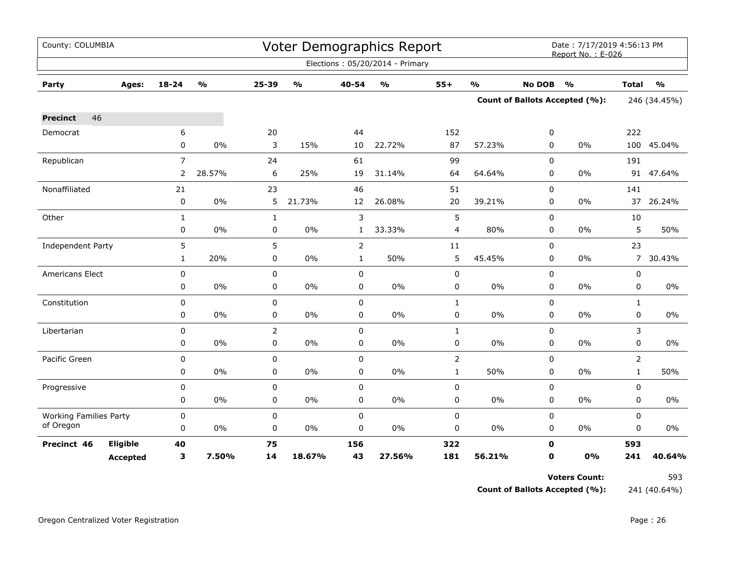| County: COLUMBIA              |                 |                |                         |                | Voter Demographics Report |                |                                 | Date: 7/17/2019 4:56:13 PM<br>Report No.: E-026 |               |               |                                       |              |               |  |
|-------------------------------|-----------------|----------------|-------------------------|----------------|---------------------------|----------------|---------------------------------|-------------------------------------------------|---------------|---------------|---------------------------------------|--------------|---------------|--|
|                               |                 |                |                         |                |                           |                | Elections: 05/20/2014 - Primary |                                                 |               |               |                                       |              |               |  |
| Party                         | Ages:           | 18-24          | $\mathbf{O}/\mathbf{o}$ | 25-39          | $\frac{0}{0}$             | 40-54          | $\frac{0}{0}$                   | $55+$                                           | $\frac{1}{2}$ | <b>No DOB</b> | $\frac{1}{2}$                         | <b>Total</b> | $\frac{1}{2}$ |  |
|                               |                 |                |                         |                |                           |                |                                 |                                                 |               |               | <b>Count of Ballots Accepted (%):</b> | 246 (34.45%) |               |  |
| 46<br><b>Precinct</b>         |                 |                |                         |                |                           |                |                                 |                                                 |               |               |                                       |              |               |  |
| Democrat                      |                 | 6              |                         | 20             |                           | 44             |                                 | 152                                             |               | 0             |                                       | 222          |               |  |
|                               |                 | 0              | 0%                      | 3              | 15%                       | 10             | 22.72%                          | 87                                              | 57.23%        | 0             | $0\%$                                 |              | 100 45.04%    |  |
| Republican                    |                 | $\overline{7}$ |                         | 24             |                           | 61             |                                 | 99                                              |               | 0             |                                       | 191          |               |  |
|                               |                 | $\overline{2}$ | 28.57%                  | 6              | 25%                       | 19             | 31.14%                          | 64                                              | 64.64%        | 0             | $0\%$                                 |              | 91 47.64%     |  |
| Nonaffiliated                 |                 | 21             |                         | 23             |                           | 46             |                                 | 51                                              |               | $\mathbf 0$   |                                       | 141          |               |  |
|                               |                 | 0              | $0\%$                   | 5              | 21.73%                    | 12             | 26.08%                          | $20\,$                                          | 39.21%        | 0             | 0%                                    |              | 37 26.24%     |  |
| Other                         |                 | $\mathbf{1}$   |                         | $\mathbf{1}$   |                           | 3              |                                 | 5                                               |               | 0             |                                       | 10           |               |  |
|                               |                 | 0              | $0\%$                   | 0              | $0\%$                     | $\mathbf{1}$   | 33.33%                          | 4                                               | 80%           | 0             | 0%                                    | 5            | 50%           |  |
| Independent Party             |                 | 5              |                         | 5              |                           | $\overline{2}$ |                                 | $11\,$                                          |               | $\mathbf 0$   |                                       | 23           |               |  |
|                               |                 | 1              | 20%                     | 0              | 0%                        | $\mathbf{1}$   | 50%                             | 5                                               | 45.45%        | 0             | 0%                                    |              | 7 30.43%      |  |
| <b>Americans Elect</b>        |                 | 0              |                         | 0              |                           | $\mathbf 0$    |                                 | 0                                               |               | 0             |                                       | 0            |               |  |
|                               |                 | 0              | $0\%$                   | 0              | $0\%$                     | $\pmb{0}$      | 0%                              | 0                                               | $0\%$         | $\mathbf 0$   | 0%                                    | 0            | $0\%$         |  |
| Constitution                  |                 | 0              |                         | 0              |                           | $\pmb{0}$      |                                 | $\mathbf{1}$                                    |               | 0             |                                       | $\mathbf{1}$ |               |  |
|                               |                 | 0              | 0%                      | 0              | $0\%$                     | $\mathbf 0$    | 0%                              | 0                                               | 0%            | 0             | $0\%$                                 | 0            | 0%            |  |
| Libertarian                   |                 | 0              |                         | $\overline{2}$ |                           | $\mathbf 0$    |                                 | $\mathbf{1}$                                    |               | $\mathbf 0$   |                                       | 3            |               |  |
|                               |                 | 0              | 0%                      | 0              | 0%                        | $\mathbf 0$    | 0%                              | 0                                               | $0\%$         | $\Omega$      | $0\%$                                 | $\Omega$     | 0%            |  |
| Pacific Green                 |                 | $\mathbf 0$    |                         | $\mathbf 0$    |                           | $\mathbf 0$    |                                 | $\overline{2}$                                  |               | 0             |                                       | 2            |               |  |
|                               |                 | 0              | $0\%$                   | 0              | $0\%$                     | $\pmb{0}$      | $0\%$                           | $\mathbf{1}$                                    | 50%           | 0             | $0\%$                                 | $\mathbf{1}$ | 50%           |  |
| Progressive                   |                 | 0              |                         | 0              |                           | $\pmb{0}$      |                                 | 0                                               |               | $\mathbf 0$   |                                       | 0            |               |  |
|                               |                 | 0              | $0\%$                   | 0              | $0\%$                     | $\pmb{0}$      | 0%                              | 0                                               | 0%            | 0             | $0\%$                                 | $\mathbf 0$  | 0%            |  |
| <b>Working Families Party</b> |                 | 0              |                         | 0              |                           | $\pmb{0}$      |                                 | 0                                               |               | $\mathbf 0$   |                                       | 0            |               |  |
| of Oregon                     |                 | 0              | $0\%$                   | 0              | 0%                        | $\pmb{0}$      | 0%                              | 0                                               | 0%            | 0             | 0%                                    | 0            | 0%            |  |
| Precinct 46                   | Eligible        | 40             |                         | 75             |                           | 156            |                                 | 322                                             |               | $\mathbf 0$   |                                       | 593          |               |  |
|                               | <b>Accepted</b> | 3              | 7.50%                   | 14             | 18.67%                    | 43             | 27.56%                          | 181                                             | 56.21%        | $\mathbf 0$   | 0%                                    | 241          | 40.64%        |  |

**Voters Count:** 593

**Count of Ballots Accepted (%):** 241 (40.64%)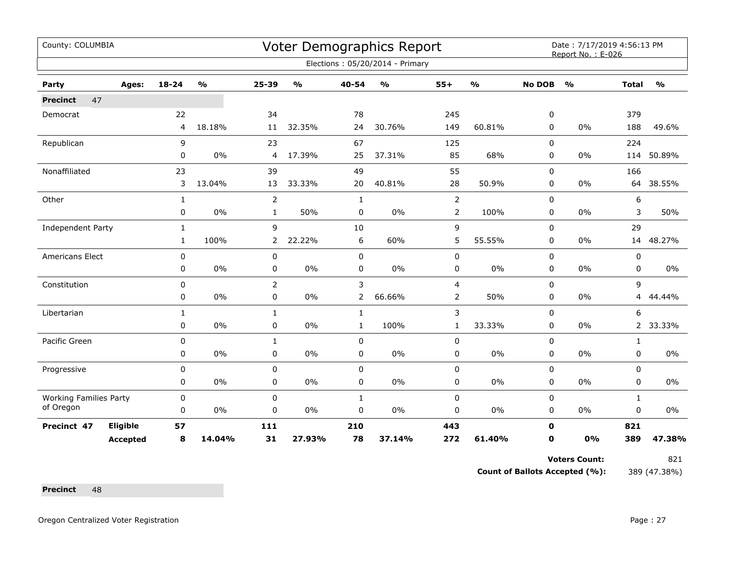| County: COLUMBIA              |                 |              |                                   |                |               |                | <b>Voter Demographics Report</b> |                |                         |               | Date: 7/17/2019 4:56:13 PM<br>Report No.: E-026 |                |                         |
|-------------------------------|-----------------|--------------|-----------------------------------|----------------|---------------|----------------|----------------------------------|----------------|-------------------------|---------------|-------------------------------------------------|----------------|-------------------------|
|                               |                 |              |                                   |                |               |                | Elections: 05/20/2014 - Primary  |                |                         |               |                                                 |                |                         |
| Party                         | Ages:           | $18 - 24$    | $\mathsf{o}\mathsf{v}_\mathsf{o}$ | 25-39          | $\frac{0}{0}$ | 40-54          | $\frac{0}{0}$                    | $55+$          | $\mathbf{O}/\mathbf{o}$ | <b>No DOB</b> | $\frac{0}{0}$                                   | <b>Total</b>   | $\mathbf{O}/\mathbf{o}$ |
| 47<br><b>Precinct</b>         |                 |              |                                   |                |               |                |                                  |                |                         |               |                                                 |                |                         |
| Democrat                      |                 | 22           |                                   | 34             |               | 78             |                                  | 245            |                         | 0             |                                                 | 379            |                         |
|                               |                 | 4            | 18.18%                            | 11             | 32.35%        | 24             | 30.76%                           | 149            | 60.81%                  | 0             | 0%                                              | 188            | 49.6%                   |
| Republican                    |                 | 9            |                                   | 23             |               | 67             |                                  | 125            |                         | $\mathbf 0$   |                                                 | 224            |                         |
|                               |                 | 0            | 0%                                | $\overline{4}$ | 17.39%        | 25             | 37.31%                           | 85             | 68%                     | 0             | 0%                                              | 114            | 50.89%                  |
| Nonaffiliated                 |                 | 23           |                                   | 39             |               | 49             |                                  | 55             |                         | 0             |                                                 | 166            |                         |
|                               |                 | 3            | 13.04%                            | 13             | 33.33%        | 20             | 40.81%                           | 28             | 50.9%                   | 0             | 0%                                              | 64             | 38.55%                  |
| Other                         |                 | $\mathbf{1}$ |                                   | $\overline{2}$ |               | $\mathbf{1}$   |                                  | $\overline{2}$ |                         | 0             |                                                 | 6              |                         |
|                               |                 | 0            | $0\%$                             | $\mathbf{1}$   | 50%           | 0              | $0\%$                            | $\overline{2}$ | 100%                    | 0             | 0%                                              | 3              | 50%                     |
| Independent Party             |                 | $\mathbf{1}$ |                                   | 9              |               | 10             |                                  | $\mathsf 9$    |                         | 0             |                                                 | 29             |                         |
|                               |                 | $\mathbf{1}$ | 100%                              | $\overline{2}$ | 22.22%        | 6              | 60%                              | 5              | 55.55%                  | $\Omega$      | 0%                                              |                | 14 48.27%               |
| Americans Elect               |                 | $\mathbf 0$  |                                   | 0              |               | $\mathbf 0$    |                                  | $\pmb{0}$      |                         | $\mathbf 0$   |                                                 | 0              |                         |
|                               |                 | 0            | 0%                                | 0              | $0\%$         | 0              | $0\%$                            | $\pmb{0}$      | $0\%$                   | 0             | 0%                                              | 0              | $0\%$                   |
| Constitution                  |                 | 0            |                                   | $\overline{2}$ |               | 3              |                                  | 4              |                         | 0             |                                                 | 9              |                         |
|                               |                 | $\mathbf 0$  | 0%                                | 0              | 0%            | $\overline{2}$ | 66.66%                           | 2              | 50%                     | 0             | 0%                                              | 4              | 44.44%                  |
| Libertarian                   |                 | 1            |                                   | $\mathbf{1}$   |               | $\mathbf{1}$   |                                  | 3              |                         | 0             |                                                 | 6              |                         |
|                               |                 | 0            | 0%                                | $\pmb{0}$      | $0\%$         | $\mathbf{1}$   | 100%                             | $\mathbf{1}$   | 33.33%                  | 0             | 0%                                              | $\overline{2}$ | 33.33%                  |
| Pacific Green                 |                 | $\mathbf 0$  |                                   | 1              |               | $\mathbf 0$    |                                  | $\mathbf 0$    |                         | 0             |                                                 | $\mathbf{1}$   |                         |
|                               |                 | 0            | 0%                                | 0              | $0\%$         | $\pmb{0}$      | $0\%$                            | $\pmb{0}$      | $0\%$                   | 0             | 0%                                              | 0              | $0\%$                   |
| Progressive                   |                 | 0            |                                   | 0              |               | $\mathbf 0$    |                                  | $\pmb{0}$      |                         | $\mathbf 0$   |                                                 | 0              |                         |
|                               |                 | 0            | 0%                                | 0              | 0%            | 0              | $0\%$                            | 0              | $0\%$                   | 0             | 0%                                              | 0              | $0\%$                   |
| <b>Working Families Party</b> |                 | 0            |                                   | 0              |               | $\mathbf{1}$   |                                  | $\pmb{0}$      |                         | $\mathbf 0$   |                                                 | $\mathbf{1}$   |                         |
| of Oregon                     |                 | 0            | 0%                                | 0              | 0%            | 0              | 0%                               | 0              | $0\%$                   | 0             | $0\%$                                           | 0              | 0%                      |
| Precinct 47                   | Eligible        | 57           |                                   | 111            |               | 210            |                                  | 443            |                         | $\mathbf 0$   |                                                 | 821            |                         |
|                               | <b>Accepted</b> | 8            | 14.04%                            | 31             | 27.93%        | 78             | 37.14%                           | 272            | 61.40%                  | 0             | 0%                                              | 389            | 47.38%                  |

Voters Count: 821

**Count of Ballots Accepted (%):** 389 (47.38%)

Precinct 48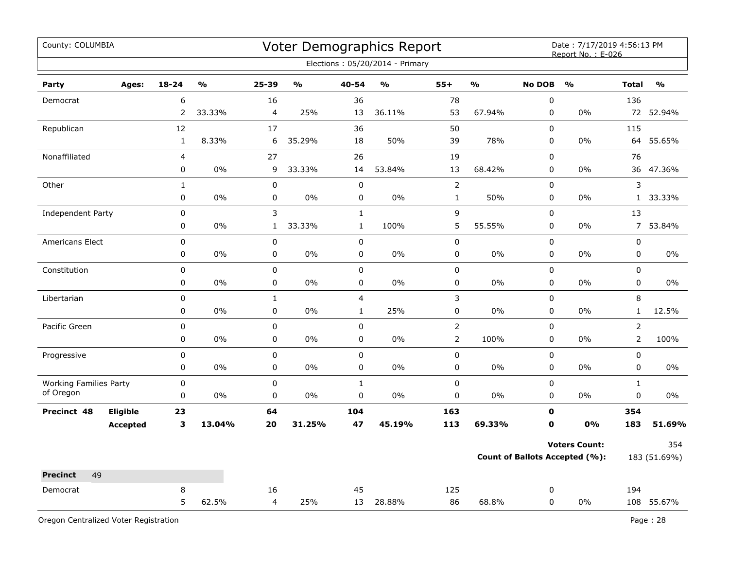| County: COLUMBIA                           |                 |                |                                   |                |                                   |                | Voter Demographics Report       |                |                         |               | Date: 7/17/2019 4:56:13 PM<br>Report No.: E-026 |                |               |
|--------------------------------------------|-----------------|----------------|-----------------------------------|----------------|-----------------------------------|----------------|---------------------------------|----------------|-------------------------|---------------|-------------------------------------------------|----------------|---------------|
|                                            |                 |                |                                   |                |                                   |                | Elections: 05/20/2014 - Primary |                |                         |               |                                                 |                |               |
| Party                                      | Ages:           | $18 - 24$      | $\mathsf{o}\mathsf{v}_\mathsf{o}$ | 25-39          | $\mathsf{o}\mathsf{v}_\mathsf{o}$ | 40-54          | $\frac{1}{2}$                   | $55+$          | $\mathbf{O}/\mathbf{O}$ | <b>No DOB</b> | $\mathsf{o}\mathsf{v}_\mathsf{o}$               | <b>Total</b>   | $\frac{0}{0}$ |
| Democrat                                   |                 | 6              |                                   | 16             |                                   | 36             |                                 | 78             |                         | $\pmb{0}$     |                                                 | 136            |               |
|                                            |                 | $\overline{2}$ | 33.33%                            | 4              | 25%                               | 13             | 36.11%                          | 53             | 67.94%                  | 0             | $0\%$                                           | 72             | 52.94%        |
| Republican                                 |                 | 12             |                                   | 17             |                                   | 36             |                                 | 50             |                         | $\mathbf 0$   |                                                 | 115            |               |
|                                            |                 | $\mathbf{1}$   | 8.33%                             | 6              | 35.29%                            | 18             | 50%                             | 39             | 78%                     | $\pmb{0}$     | $0\%$                                           | 64             | 55.65%        |
| Nonaffiliated                              |                 | $\overline{4}$ |                                   | 27             |                                   | 26             |                                 | 19             |                         | $\mathbf 0$   |                                                 | 76             |               |
|                                            |                 | 0              | 0%                                | 9              | 33.33%                            | 14             | 53.84%                          | 13             | 68.42%                  | 0             | $0\%$                                           | 36             | 47.36%        |
| Other                                      |                 | $\mathbf{1}$   |                                   | $\pmb{0}$      |                                   | $\pmb{0}$      |                                 | $\overline{2}$ |                         | 0             |                                                 | 3              |               |
|                                            |                 | 0              | 0%                                | 0              | 0%                                | 0              | 0%                              | $\mathbf{1}$   | 50%                     | 0             | 0%                                              |                | 1 33.33%      |
| Independent Party                          |                 | $\pmb{0}$      |                                   | 3              |                                   | $\mathbf 1$    |                                 | 9              |                         | 0             |                                                 | 13             |               |
|                                            |                 | 0              | 0%                                | $\mathbf{1}$   | 33.33%                            | $\mathbf{1}$   | 100%                            | 5              | 55.55%                  | 0             | 0%                                              | $\overline{7}$ | 53.84%        |
| Americans Elect                            |                 | $\pmb{0}$      |                                   | $\pmb{0}$      |                                   | $\pmb{0}$      |                                 | 0              |                         | $\pmb{0}$     |                                                 | $\pmb{0}$      |               |
|                                            |                 | 0              | 0%                                | $\pmb{0}$      | 0%                                | 0              | 0%                              | 0              | 0%                      | 0             | 0%                                              | $\pmb{0}$      | 0%            |
| Constitution                               |                 | 0              |                                   | $\mathbf 0$    |                                   | 0              |                                 | 0              |                         | $\mathbf 0$   |                                                 | $\mathsf 0$    |               |
|                                            |                 | 0              | 0%                                | $\pmb{0}$      | $0\%$                             | 0              | $0\%$                           | 0              | 0%                      | $\pmb{0}$     | 0%                                              | 0              | $0\%$         |
| Libertarian                                |                 | 0              |                                   | $\mathbf{1}$   |                                   | $\overline{4}$ |                                 | 3              |                         | $\mathbf 0$   |                                                 | 8              |               |
|                                            |                 | $\pmb{0}$      | 0%                                | $\pmb{0}$      | 0%                                | $\mathbf{1}$   | 25%                             | 0              | $0\%$                   | 0             | $0\%$                                           | $\mathbf{1}$   | 12.5%         |
| Pacific Green                              |                 | $\pmb{0}$      |                                   | $\pmb{0}$      |                                   | $\mathbf 0$    |                                 | $\overline{2}$ |                         | $\pmb{0}$     |                                                 | $\overline{2}$ |               |
|                                            |                 | $\pmb{0}$      | 0%                                | 0              | 0%                                | 0              | 0%                              | $\overline{2}$ | 100%                    | 0             | 0%                                              | $\overline{2}$ | 100%          |
| Progressive                                |                 | $\pmb{0}$      |                                   | $\pmb{0}$      |                                   | $\mathbf 0$    |                                 | 0              |                         | $\pmb{0}$     |                                                 | $\pmb{0}$      |               |
|                                            |                 | $\pmb{0}$      | 0%                                | $\pmb{0}$      | 0%                                | 0              | 0%                              | 0              | $0\%$                   | 0             | 0%                                              | $\mathbf 0$    | $0\%$         |
| <b>Working Families Party</b><br>of Oregon |                 | $\pmb{0}$      |                                   | $\pmb{0}$      |                                   | $\mathbf{1}$   |                                 | 0              |                         | $\pmb{0}$     |                                                 | $\mathbf{1}$   |               |
|                                            |                 | $\pmb{0}$      | 0%                                | $\pmb{0}$      | 0%                                | $\mathbf 0$    | 0%                              | 0              | 0%                      | 0             | 0%                                              | $\pmb{0}$      | 0%            |
| Precinct 48                                | Eligible        | 23             |                                   | 64             |                                   | 104            |                                 | 163            |                         | $\mathbf 0$   |                                                 | 354            |               |
|                                            | <b>Accepted</b> | 3              | 13.04%                            | 20             | 31.25%                            | 47             | 45.19%                          | 113            | 69.33%                  | 0             | 0%                                              | 183            | 51.69%        |
|                                            |                 |                |                                   |                |                                   |                |                                 |                |                         |               | <b>Voters Count:</b>                            |                | 354           |
|                                            |                 |                |                                   |                |                                   |                |                                 |                |                         |               | <b>Count of Ballots Accepted (%):</b>           |                | 183 (51.69%)  |
| 49<br><b>Precinct</b>                      |                 |                |                                   |                |                                   |                |                                 |                |                         |               |                                                 |                |               |
| Democrat                                   |                 | 8              |                                   | 16             |                                   | 45             |                                 | 125            |                         | 0             |                                                 | 194            |               |
|                                            |                 | 5              | 62.5%                             | $\overline{4}$ | 25%                               | 13             | 28.88%                          | 86             | 68.8%                   | $\mathbf 0$   | 0%                                              |                | 108 55.67%    |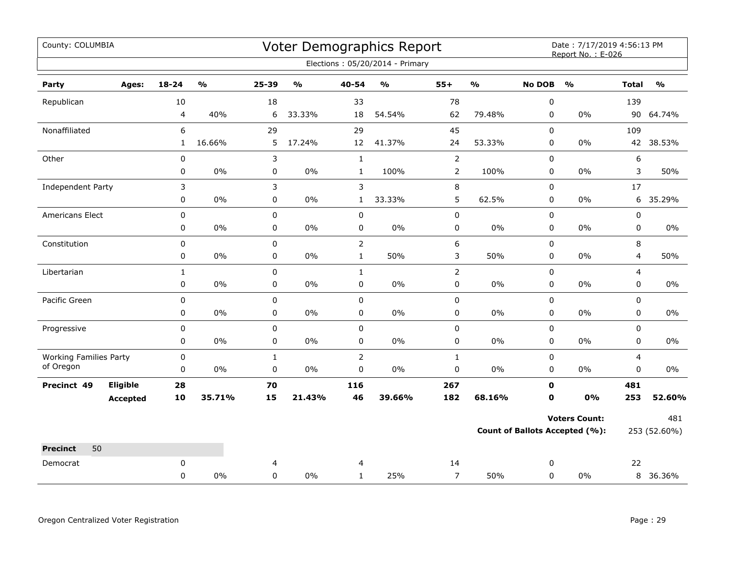| County: COLUMBIA                           |                                    |                        |                                   |                           |                         |                               | Voter Demographics Report         |                   |                         |                          | Date: 7/17/2019 4:56:13 PM<br>Report No.: E-026 |                               |                         |
|--------------------------------------------|------------------------------------|------------------------|-----------------------------------|---------------------------|-------------------------|-------------------------------|-----------------------------------|-------------------|-------------------------|--------------------------|-------------------------------------------------|-------------------------------|-------------------------|
|                                            |                                    |                        |                                   |                           |                         |                               | Elections: 05/20/2014 - Primary   |                   |                         |                          |                                                 |                               |                         |
| Party                                      | Ages:                              | 18-24                  | $\mathsf{o}\mathsf{v}_\mathsf{o}$ | 25-39                     | $\mathbf{O}/\mathbf{o}$ | 40-54                         | $\mathsf{o}\mathsf{v}_\mathsf{o}$ | $55+$             | $\mathbf{O}/\mathbf{o}$ | <b>No DOB</b>            | $\mathbf{O}/\mathbf{o}$                         | <b>Total</b>                  | $\mathbf{O}/\mathbf{o}$ |
| Republican                                 |                                    | 10                     |                                   | 18                        |                         | 33                            |                                   | 78                |                         | $\pmb{0}$                |                                                 | 139                           |                         |
|                                            |                                    | $\overline{4}$         | 40%                               | 6                         | 33.33%                  | 18                            | 54.54%                            | 62                | 79.48%                  | $\mathbf 0$              | $0\%$                                           | 90                            | 64.74%                  |
| Nonaffiliated                              |                                    | 6                      |                                   | 29                        |                         | 29                            |                                   | 45                |                         | 0                        |                                                 | 109                           |                         |
|                                            |                                    | $\mathbf{1}$           | 16.66%                            | 5                         | 17.24%                  | 12                            | 41.37%                            | 24                | 53.33%                  | 0                        | 0%                                              | 42                            | 38.53%                  |
| Other                                      |                                    | $\pmb{0}$              |                                   | 3                         |                         | $\mathbf{1}$                  |                                   | $\overline{2}$    |                         | $\pmb{0}$                |                                                 | 6                             |                         |
|                                            |                                    | 0                      | 0%                                | $\pmb{0}$                 | $0\%$                   | $\mathbf{1}$                  | 100%                              | $\overline{2}$    | 100%                    | $\mathbf 0$              | $0\%$                                           | 3                             | 50%                     |
| Independent Party                          |                                    | 3                      |                                   | 3                         |                         | 3                             |                                   | 8                 |                         | 0                        |                                                 | 17                            |                         |
|                                            |                                    | 0                      | $0\%$                             | 0                         | $0\%$                   | $\mathbf{1}$                  | 33.33%                            | 5                 | 62.5%                   | 0                        | 0%                                              | 6                             | 35.29%                  |
| Americans Elect                            |                                    | 0                      |                                   | $\pmb{0}$                 |                         | 0                             |                                   | 0                 |                         | 0                        |                                                 | $\pmb{0}$                     |                         |
|                                            |                                    | 0                      | 0%                                | 0                         | $0\%$                   | 0                             | 0%                                | 0                 | $0\%$                   | 0                        | $0\%$                                           | 0                             | $0\%$                   |
| Constitution                               |                                    | 0                      |                                   | $\pmb{0}$                 |                         | $\overline{2}$                |                                   | 6                 |                         | 0                        |                                                 | 8                             |                         |
|                                            |                                    | 0                      | $0\%$                             | $\pmb{0}$                 | $0\%$                   | $\mathbf{1}$                  | 50%                               | 3                 | 50%                     | 0                        | $0\%$                                           | 4                             | 50%                     |
| Libertarian                                |                                    | $\mathbf{1}$           |                                   | $\mathbf 0$               |                         | $\mathbf{1}$                  |                                   | $\overline{2}$    |                         | $\mathbf 0$              |                                                 | $\overline{4}$                |                         |
|                                            |                                    | 0                      | 0%                                | 0                         | 0%                      | 0                             | 0%                                | 0                 | $0\%$                   | 0                        | 0%                                              | $\mathbf 0$                   | 0%                      |
| Pacific Green                              |                                    | $\pmb{0}$              |                                   | $\pmb{0}$                 |                         | 0                             |                                   | 0                 |                         | $\pmb{0}$                |                                                 | $\mathsf 0$                   |                         |
|                                            |                                    | 0                      | $0\%$                             | 0                         | $0\%$                   | 0                             | 0%                                | 0                 | $0\%$                   | 0                        | $0\%$                                           | 0                             | $0\%$                   |
| Progressive                                |                                    | 0                      |                                   | $\mathsf 0$               |                         | 0                             |                                   | 0                 |                         | 0                        |                                                 | $\mathbf 0$                   |                         |
|                                            |                                    | 0                      | 0%                                | 0                         | 0%                      | 0                             | 0%                                | 0                 | $0\%$                   | 0                        | $0\%$                                           | 0                             | 0%                      |
| <b>Working Families Party</b><br>of Oregon |                                    | $\pmb{0}$<br>$\pmb{0}$ | $0\%$                             | $\mathbf{1}$<br>$\pmb{0}$ | $0\%$                   | $\overline{2}$<br>$\mathbf 0$ | 0%                                | $\mathbf{1}$<br>0 | $0\%$                   | $\pmb{0}$<br>$\mathbf 0$ | $0\%$                                           | $\overline{4}$<br>$\mathbf 0$ | 0%                      |
|                                            |                                    |                        |                                   |                           |                         |                               |                                   |                   |                         |                          |                                                 |                               |                         |
| Precinct 49                                | <b>Eligible</b><br><b>Accepted</b> | 28<br>10               | 35.71%                            | 70<br>15                  | 21.43%                  | 116<br>46                     | 39.66%                            | 267<br>182        | 68.16%                  | $\mathbf 0$<br>0         | 0%                                              | 481<br>253                    | 52.60%                  |
|                                            |                                    |                        |                                   |                           |                         |                               |                                   |                   |                         |                          |                                                 |                               |                         |
|                                            |                                    |                        |                                   |                           |                         |                               |                                   |                   |                         |                          | <b>Voters Count:</b>                            |                               | 481                     |
|                                            |                                    |                        |                                   |                           |                         |                               |                                   |                   |                         |                          | <b>Count of Ballots Accepted (%):</b>           |                               | 253 (52.60%)            |
| <b>Precinct</b><br>50                      |                                    |                        |                                   |                           |                         |                               |                                   |                   |                         |                          |                                                 |                               |                         |
| Democrat                                   |                                    | $\mathbf 0$            |                                   | 4                         |                         | $\overline{4}$                |                                   | 14                |                         | 0                        |                                                 | 22                            |                         |
|                                            |                                    | 0                      | 0%                                | $\mathbf 0$               | 0%                      | $\mathbf{1}$                  | 25%                               | $\overline{7}$    | 50%                     | $\mathbf 0$              | $0\%$                                           |                               | 8 36.36%                |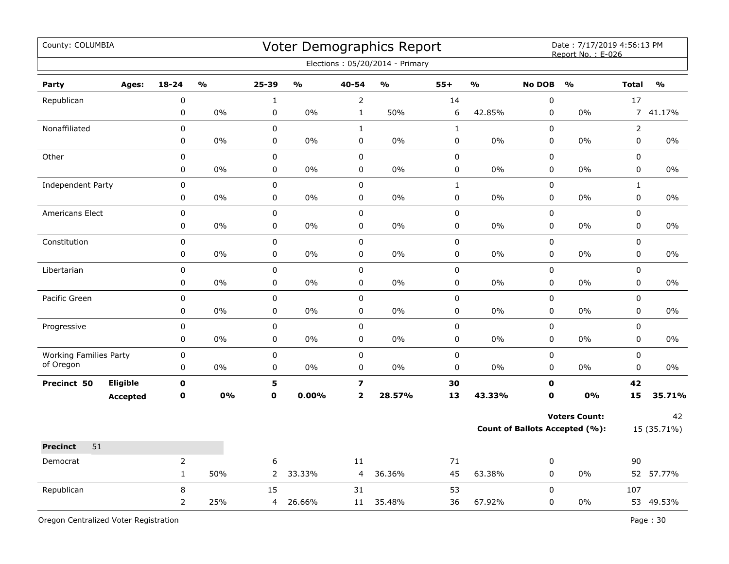| County: COLUMBIA                           |                 |                |               |                  |               |                                | Voter Demographics Report<br>Elections: 05/20/2014 - Primary |             |               |                          | Date: 7/17/2019 4:56:13 PM<br>Report No.: E-026 |                      |               |
|--------------------------------------------|-----------------|----------------|---------------|------------------|---------------|--------------------------------|--------------------------------------------------------------|-------------|---------------|--------------------------|-------------------------------------------------|----------------------|---------------|
|                                            |                 |                |               |                  |               |                                |                                                              |             |               |                          |                                                 |                      |               |
| Party                                      | Ages:           | $18 - 24$      | $\frac{0}{0}$ | 25-39            | $\frac{0}{0}$ | 40-54                          | $\frac{0}{0}$                                                | $55+$       | $\frac{9}{0}$ | <b>No DOB</b>            | $\frac{0}{0}$                                   | <b>Total</b>         | $\frac{0}{0}$ |
| Republican                                 |                 | 0<br>0         | $0\%$         | $\mathbf 1$<br>0 | 0%            | $\overline{2}$<br>$\mathbf{1}$ | 50%                                                          | 14<br>6     | 42.85%        | $\pmb{0}$<br>$\mathbf 0$ | $0\%$                                           | 17<br>$\overline{7}$ | 41.17%        |
| Nonaffiliated                              |                 | 0              |               | 0                |               | $\mathbf{1}$                   |                                                              | $\mathbf 1$ |               | $\Omega$                 |                                                 | $\overline{2}$       |               |
|                                            |                 | 0              | $0\%$         | $\pmb{0}$        | 0%            | $\mathbf 0$                    | $0\%$                                                        | 0           | $0\%$         | $\mathbf 0$              | $0\%$                                           | $\mathsf 0$          | $0\%$         |
| Other                                      |                 | 0              |               | 0                |               | $\pmb{0}$                      |                                                              | $\pmb{0}$   |               | $\pmb{0}$                |                                                 | 0                    |               |
|                                            |                 | 0              | $0\%$         | $\pmb{0}$        | $0\%$         | $\mathbf 0$                    | $0\%$                                                        | 0           | $0\%$         | $\mathbf 0$              | 0%                                              | $\mathbf 0$          | $0\%$         |
| Independent Party                          |                 | 0              |               | 0                |               | $\pmb{0}$                      |                                                              | $\mathbf 1$ |               | $\pmb{0}$                |                                                 | $\mathbf{1}$         |               |
|                                            |                 | 0              | 0%            | 0                | 0%            | $\mathbf 0$                    | 0%                                                           | 0           | 0%            | $\mathbf 0$              | 0%                                              | $\mathbf 0$          | 0%            |
| Americans Elect                            |                 | $\pmb{0}$      |               | 0                |               | $\pmb{0}$                      |                                                              | 0           |               | $\pmb{0}$                |                                                 | $\mathsf 0$          |               |
|                                            |                 | 0              | 0%            | 0                | 0%            | $\mathbf 0$                    | 0%                                                           | 0           | $0\%$         | $\pmb{0}$                | 0%                                              | $\mathbf 0$          | 0%            |
| Constitution                               |                 | 0              |               | 0                |               | $\pmb{0}$                      |                                                              | $\mathbf 0$ |               | $\pmb{0}$                |                                                 | $\mathsf 0$          |               |
|                                            |                 | 0              | 0%            | 0                | 0%            | $\mathbf 0$                    | 0%                                                           | 0           | $0\%$         | $\mathbf 0$              | $0\%$                                           | $\mathsf 0$          | $0\%$         |
| Libertarian                                |                 | 0              |               | $\mathbf 0$      |               | $\pmb{0}$                      |                                                              | 0           |               | $\pmb{0}$                |                                                 | $\mathsf 0$          |               |
|                                            |                 | 0              | $0\%$         | $\pmb{0}$        | $0\%$         | $\mathbf 0$                    | $0\%$                                                        | $\pmb{0}$   | $0\%$         | $\mathbf 0$              | $0\%$                                           | $\mathbf 0$          | 0%            |
| Pacific Green                              |                 | 0              |               | $\mathbf 0$      |               | $\pmb{0}$                      |                                                              | 0           |               | $\pmb{0}$                |                                                 | $\mathsf 0$          |               |
|                                            |                 | 0              | 0%            | 0                | 0%            | 0                              | 0%                                                           | 0           | 0%            | $\mathbf 0$              | $0\%$                                           | $\mathbf 0$          | 0%            |
| Progressive                                |                 | 0              |               | 0                |               | $\mathbf 0$                    |                                                              | 0           |               | $\mathbf 0$              |                                                 | $\mathbf 0$          |               |
|                                            |                 | 0              | 0%            | 0                | $0\%$         | $\mathbf 0$                    | 0%                                                           | 0           | 0%            | $\mathbf 0$              | 0%                                              | $\mathbf 0$          | 0%            |
| <b>Working Families Party</b><br>of Oregon |                 | 0              |               | $\mathbf 0$      |               | $\pmb{0}$                      |                                                              | $\mathbf 0$ |               | $\pmb{0}$                |                                                 | $\pmb{0}$            |               |
|                                            |                 | 0              | $0\%$         | 0                | 0%            | $\mathbf 0$                    | $0\%$                                                        | $\pmb{0}$   | $0\%$         | $\mathbf 0$              | $0\%$                                           | $\mathbf 0$          | $0\%$         |
| Precinct 50                                | Eligible        | $\mathbf 0$    |               | 5                |               | $\overline{\mathbf{z}}$        |                                                              | 30          |               | 0                        |                                                 | 42                   |               |
|                                            | <b>Accepted</b> | $\mathbf 0$    | 0%            | $\mathbf 0$      | 0.00%         | $\overline{\mathbf{2}}$        | 28.57%                                                       | 13          | 43.33%        | $\mathbf{0}$             | 0%                                              | 15                   | 35.71%        |
|                                            |                 |                |               |                  |               |                                |                                                              |             |               |                          | <b>Voters Count:</b>                            |                      | 42            |
|                                            |                 |                |               |                  |               |                                |                                                              |             |               |                          | <b>Count of Ballots Accepted (%):</b>           |                      | 15 (35.71%)   |
| 51<br><b>Precinct</b>                      |                 |                |               |                  |               |                                |                                                              |             |               |                          |                                                 |                      |               |
| Democrat                                   |                 | $\overline{2}$ |               | 6                |               | 11                             |                                                              | 71          |               | $\pmb{0}$                |                                                 | 90                   |               |
|                                            |                 | $\mathbf{1}$   | 50%           | $\overline{2}$   | 33.33%        | 4                              | 36.36%                                                       | 45          | 63.38%        | 0                        | 0%                                              |                      | 52 57.77%     |
| Republican                                 |                 | 8              |               | 15               |               | 31                             |                                                              | 53          |               | $\mathbf 0$              |                                                 | 107                  |               |
|                                            |                 | $\overline{2}$ | 25%           | 4                | 26.66%        | 11                             | 35.48%                                                       | 36          | 67.92%        | 0                        | 0%                                              |                      | 53 49.53%     |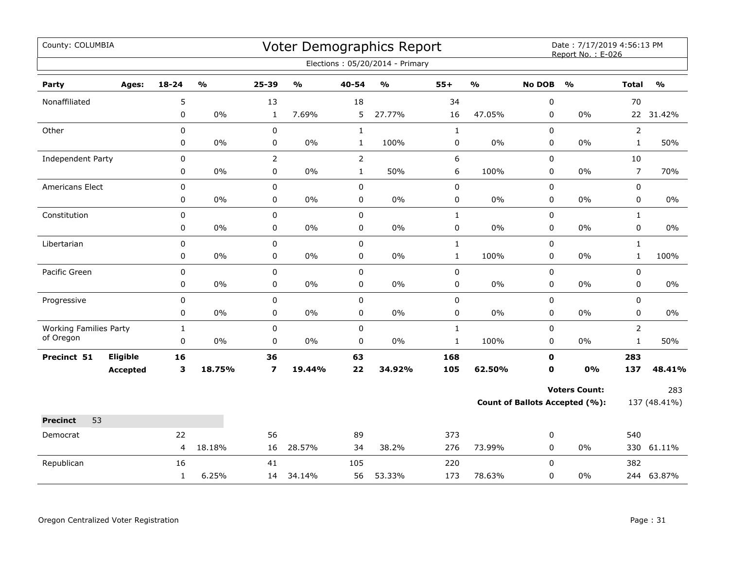| County: COLUMBIA                           |                 |              |               |                         |               |                | Voter Demographics Report       |              |               |                  | Date: 7/17/2019 4:56:13 PM<br>Report No.: E-026 |                |               |
|--------------------------------------------|-----------------|--------------|---------------|-------------------------|---------------|----------------|---------------------------------|--------------|---------------|------------------|-------------------------------------------------|----------------|---------------|
|                                            |                 |              |               |                         |               |                | Elections: 05/20/2014 - Primary |              |               |                  |                                                 |                |               |
| Party                                      | Ages:           | $18 - 24$    | $\frac{0}{0}$ | 25-39                   | $\frac{0}{0}$ | $40 - 54$      | $\frac{1}{2}$                   | $55+$        | $\frac{0}{0}$ | <b>No DOB</b>    | $\frac{1}{2}$                                   | <b>Total</b>   | $\frac{0}{0}$ |
| Nonaffiliated                              |                 | 5            |               | 13                      |               | 18             |                                 | 34           |               | $\boldsymbol{0}$ |                                                 | 70             |               |
|                                            |                 | 0            | 0%            | $\mathbf{1}$            | 7.69%         | 5              | 27.77%                          | 16           | 47.05%        | 0                | 0%                                              |                | 22 31.42%     |
| Other                                      |                 | $\mathbf 0$  |               | 0                       |               | $\mathbf{1}$   |                                 | $\mathbf{1}$ |               | 0                |                                                 | $\overline{2}$ |               |
|                                            |                 | 0            | $0\%$         | 0                       | 0%            | $\mathbf{1}$   | 100%                            | 0            | 0%            | 0                | 0%                                              | $\mathbf{1}$   | 50%           |
| Independent Party                          |                 | 0            |               | $\overline{2}$          |               | $\overline{2}$ |                                 | 6            |               | 0                |                                                 | 10             |               |
|                                            |                 | 0            | $0\%$         | $\mathbf 0$             | 0%            | $\mathbf{1}$   | 50%                             | 6            | 100%          | $\pmb{0}$        | 0%                                              | $\overline{7}$ | 70%           |
| Americans Elect                            |                 | 0            |               | 0                       |               | $\mathbf 0$    |                                 | $\pmb{0}$    |               | 0                |                                                 | 0              |               |
|                                            |                 | 0            | $0\%$         | 0                       | $0\%$         | $\pmb{0}$      | $0\%$                           | $\pmb{0}$    | $0\%$         | 0                | 0%                                              | 0              | 0%            |
| Constitution                               |                 | $\pmb{0}$    |               | 0                       |               | $\mathbf 0$    |                                 | $\mathbf{1}$ |               | 0                |                                                 | $\mathbf{1}$   |               |
|                                            |                 | 0            | $0\%$         | 0                       | 0%            | 0              | $0\%$                           | 0            | $0\%$         | 0                | 0%                                              | 0              | 0%            |
| Libertarian                                |                 | 0            |               | 0                       |               | $\mathsf 0$    |                                 | $\mathbf{1}$ |               | 0                |                                                 | $\mathbf{1}$   |               |
|                                            |                 | 0            | 0%            | 0                       | 0%            | $\pmb{0}$      | $0\%$                           | $\mathbf{1}$ | 100%          | $\pmb{0}$        | 0%                                              | $\mathbf{1}$   | 100%          |
| Pacific Green                              |                 | $\pmb{0}$    |               | $\mathbf 0$             |               | $\pmb{0}$      |                                 | $\pmb{0}$    |               | $\pmb{0}$        |                                                 | 0              |               |
|                                            |                 | 0            | $0\%$         | 0                       | 0%            | 0              | $0\%$                           | 0            | $0\%$         | 0                | $0\%$                                           | 0              | 0%            |
| Progressive                                |                 | 0            |               | $\pmb{0}$               |               | $\mathbf 0$    |                                 | $\pmb{0}$    |               | 0                |                                                 | 0              |               |
|                                            |                 | 0            | 0%            | 0                       | $0\%$         | 0              | $0\%$                           | 0            | $0\%$         | $\mathbf 0$      | 0%                                              | 0              | $0\%$         |
| <b>Working Families Party</b><br>of Oregon |                 | $\mathbf{1}$ |               | 0                       |               | $\mathbf 0$    |                                 | $\mathbf{1}$ |               | 0                |                                                 | $\overline{2}$ |               |
|                                            |                 | 0            | 0%            | $\pmb{0}$               | 0%            | 0              | 0%                              | $\mathbf{1}$ | 100%          | 0                | 0%                                              | $\mathbf{1}$   | 50%           |
| Precinct 51                                | Eligible        | 16           |               | 36                      |               | 63             |                                 | 168          |               | $\mathbf 0$      |                                                 | 283            |               |
|                                            | <b>Accepted</b> | 3            | 18.75%        | $\overline{\mathbf{z}}$ | 19.44%        | 22             | 34.92%                          | 105          | 62.50%        | 0                | 0%                                              | 137            | 48.41%        |
|                                            |                 |              |               |                         |               |                |                                 |              |               |                  | <b>Voters Count:</b>                            |                | 283           |
|                                            |                 |              |               |                         |               |                |                                 |              |               |                  | <b>Count of Ballots Accepted (%):</b>           |                | 137 (48.41%)  |
| <b>Precinct</b><br>53                      |                 |              |               |                         |               |                |                                 |              |               |                  |                                                 |                |               |
| Democrat                                   |                 | 22           |               | 56                      |               | 89             |                                 | 373          |               | 0                |                                                 | 540            |               |
|                                            |                 | 4            | 18.18%        | 16                      | 28.57%        | 34             | 38.2%                           | 276          | 73.99%        | 0                | 0%                                              |                | 330 61.11%    |
| Republican                                 |                 | 16           |               | 41                      |               | 105            |                                 | 220          |               | 0                |                                                 | 382            |               |
|                                            |                 | $\mathbf{1}$ | 6.25%         | 14                      | 34.14%        | 56             | 53.33%                          | 173          | 78.63%        | $\mathbf 0$      | 0%                                              |                | 244 63.87%    |